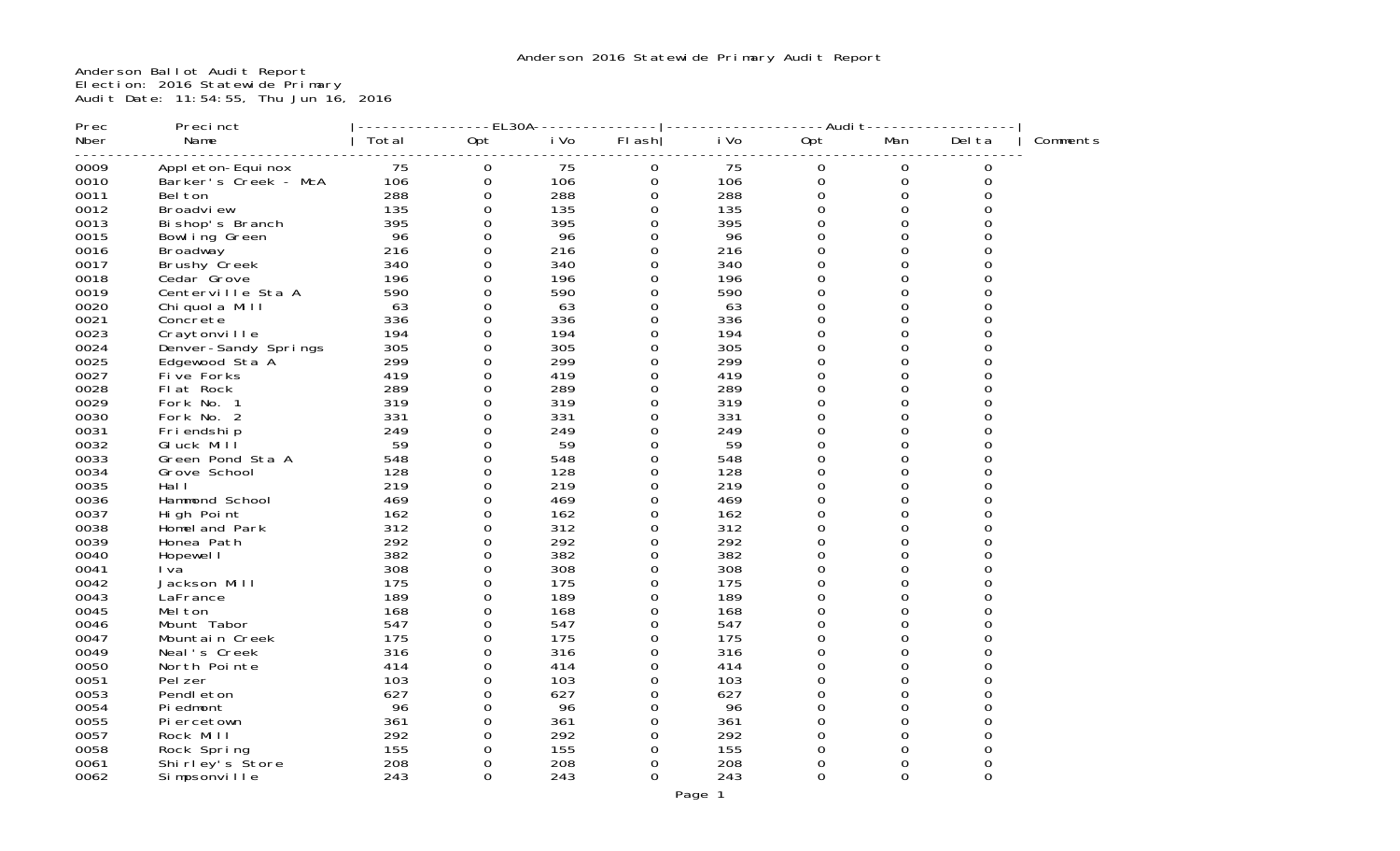Anderson Ballot Audit Report Election: 2016 Statewide Primary Audit Date: 11:54:55, Thu Jun 16, 2016

| Prec         | Precinct                       |            | ----EL30A-                      |            |                     |            | ----------Audi t- | -------          |               |          |
|--------------|--------------------------------|------------|---------------------------------|------------|---------------------|------------|-------------------|------------------|---------------|----------|
| Nber         | Name                           | Total      | Opt                             | i Vo       | $FI$ ash            | i Vo       | Opt               | Man              | Del ta        | Comments |
| 0009         | Appl eton-Equi nox             | 75         | 0                               | 75         | 0                   | 75         | 0                 | 0                | 0             |          |
| 0010         | Barker's Creek - McA           | 106        | $\mathbf 0$                     | 106        | $\mathsf{O}$        | 106        | $\mathbf 0$       | $\boldsymbol{0}$ | $\Omega$      |          |
| 0011         | Bel ton                        | 288        | $\mathbf 0$                     | 288        | 0                   | 288        | 0                 | 0                | $\Omega$      |          |
| 0012         | Broadview                      | 135        | $\mathbf 0$                     | 135        | 0                   | 135        | $\Omega$          | $\Omega$         | $\Omega$      |          |
| 0013         | Bi shop's Branch               | 395        | 0                               | 395        | $\Omega$            | 395        | $\Omega$          | $\Omega$         | O             |          |
| 0015         | Bowl ing Green                 | 96         | $\mathbf 0$                     | 96         | 0                   | 96         | 0                 | 0                | 0             |          |
| 0016         | Broadway                       | 216        | $\mathbf 0$                     | 216        | 0                   | 216        | 0                 | $\Omega$         | O             |          |
| 0017         | Brushy Creek                   | 340        | 0                               | 340        | 0                   | 340        | 0                 | $\Omega$         | $\Omega$      |          |
| 0018         | Cedar Grove                    | 196        | $\mathbf 0$                     | 196        | 0                   | 196        | 0                 | $\Omega$         | O             |          |
| 0019         | Centerville Sta A              | 590        | $\mathbf 0$                     | 590        | $\Omega$            | 590        | $\Omega$          | $\Omega$         | $\Omega$      |          |
| 0020         | Chiquola Mill                  | 63         | $\mathsf{O}\xspace$             | 63         | $\mathsf{O}\xspace$ | 63         | $\overline{0}$    | $\Omega$         | 0             |          |
| 0021         | Concrete                       | 336        | $\mathbf 0$                     | 336        | $\Omega$            | 336        | $\Omega$          | $\Omega$         | O             |          |
| 0023         | Craytonville                   | 194        | 0                               | 194        | 0                   | 194        | $\Omega$          | 0                | O             |          |
| 0024         | Denver-Sandy Springs           | 305        | 0                               | 305        | 0                   | 305        | $\Omega$          | 0                | O             |          |
| 0025         | Edgewood Sta A                 | 299        | $\mathbf 0$                     | 299        | 0                   | 299        | $\Omega$          | $\Omega$         | 0             |          |
| 0027         | Five Forks                     | 419        | $\mathbf 0$                     | 419        | 0                   | 419        | 0                 | $\Omega$         | O             |          |
| 0028         | Flat Rock                      | 289        | $\mathsf{O}\xspace$             | 289        | 0                   | 289        | 0                 | $\Omega$         | $\Omega$      |          |
| 0029         | Fork No. 1                     | 319        | $\mathbf 0$                     | 319        | $\Omega$            | 319        | $\Omega$          | $\Omega$         | O             |          |
| 0030         | Fork No. 2                     | 331        | 0                               | 331        | 0                   | 331        | $\Omega$          | $\Omega$         | $\Omega$      |          |
| 0031         | Fri endshi p                   | 249        | $\mbox{O}$                      | 249        | 0                   | 249        | 0                 | $\Omega$         | $\Omega$      |          |
| 0032         | GI uck Mill                    | 59         | 0                               | 59         | 0                   | 59         | $\Omega$          | $\Omega$         | O             |          |
| 0033         | Green Pond Sta A               | 548        | 0                               | 548        | 0                   | 548        | 0                 | 0                | 0             |          |
| 0034         | Grove School                   | 128        | 0                               | 128        | $\Omega$            | 128        | $\Omega$          | $\Omega$         | O             |          |
| 0035         | Hal I                          | 219        | $\mathbf 0$                     | 219        | 0                   | 219        | 0                 | $\Omega$         | $\Omega$      |          |
| 0036         | Hammond School                 | 469        | $\mathbf 0$                     | 469        | 0                   | 469        | $\Omega$          | $\Omega$         | ∩             |          |
| 0037         | High Point                     | 162        | 0                               | 162        | 0                   | 162        | $\Omega$          | $\Omega$         | $\Omega$      |          |
| 0038         | Homel and Park                 | 312        | $\mathbf 0$                     | 312        | $\mathbf 0$         | 312        | $\Omega$          | $\Omega$         | 0             |          |
| 0039         | Honea Path                     | 292        | $\mathbf 0$                     | 292        | $\Omega$            | 292        | $\Omega$          | $\Omega$         | $\Omega$      |          |
| 0040         | Hopewel I                      | 382        | $\mathsf{O}\xspace$             | 382        | $\mathsf{O}\xspace$ | 382        | 0                 | $\Omega$         | 0             |          |
| 0041         | I va                           | 308        | $\mathbf 0$                     | 308        | 0                   | 308        | 0                 | 0                | Ω             |          |
| 0042         | Jackson Mill                   | 175        | 0                               | 175        | 0                   | 175        | $\Omega$          | $\Omega$         | 0             |          |
| 0043         | LaFrance                       | 189        | 0                               | 189        | 0                   | 189        | $\Omega$          | $\Omega$         | O             |          |
| 0045         | Mel ton                        | 168        | $\mathsf{O}\xspace$             | 168        | 0                   | 168        | 0                 | 0                | $\Omega$      |          |
| 0046         | Mount Tabor                    | 547<br>175 | $\mathbf 0$                     | 547        | 0                   | 547        | $\overline{0}$    | $\Omega$         |               |          |
| 0047         | Mountain Creek                 |            | $\mathbf 0$                     | 175        | 0                   | 175        | 0                 | 0<br>$\Omega$    | 0<br>$\Omega$ |          |
| 0049         | Neal's Creek                   | 316        | $\mathbf 0$                     | 316        | 0                   | 316        | $\overline{0}$    | $\Omega$         | $\Omega$      |          |
| 0050         | North Pointe                   | 414        | 0                               | 414        | 0                   | 414<br>103 | $\Omega$          |                  | O             |          |
| 0051<br>0053 | Pel zer                        | 103        | $\mathsf{O}\xspace$<br>$\Omega$ | 103        | 0<br>$\Omega$       |            | 0<br>$\Omega$     | 0<br>$\Omega$    | O             |          |
| 0054         | Pendl eton                     | 627<br>96  | $\mathbf 0$                     | 627<br>96  |                     | 627<br>96  | 0                 | 0                | 0             |          |
|              | Pi edmont                      |            |                                 |            | 0<br>$\Omega$       |            | $\Omega$          | $\Omega$         | O             |          |
| 0055<br>0057 | Piercetown                     | 361<br>292 | $\mathsf{O}\xspace$<br>0        | 361<br>292 | 0                   | 361<br>292 | $\Omega$          | $\Omega$         | $\Omega$      |          |
| 0058         | Rock Mill                      | 155        | $\mathbf 0$                     | 155        | 0                   | 155        | $\overline{0}$    | $\Omega$         | $\Omega$      |          |
| 0061         | Rock Spring<br>Shirley's Store | 208        | $\Omega$                        | 208        | $\Omega$            | 208        | $\Omega$          | $\Omega$         | $\Omega$      |          |
| 0062         | Simpsonville                   | 243        | $\Omega$                        | 243        | $\Omega$            | 243        | 0                 | $\Omega$         | $\Omega$      |          |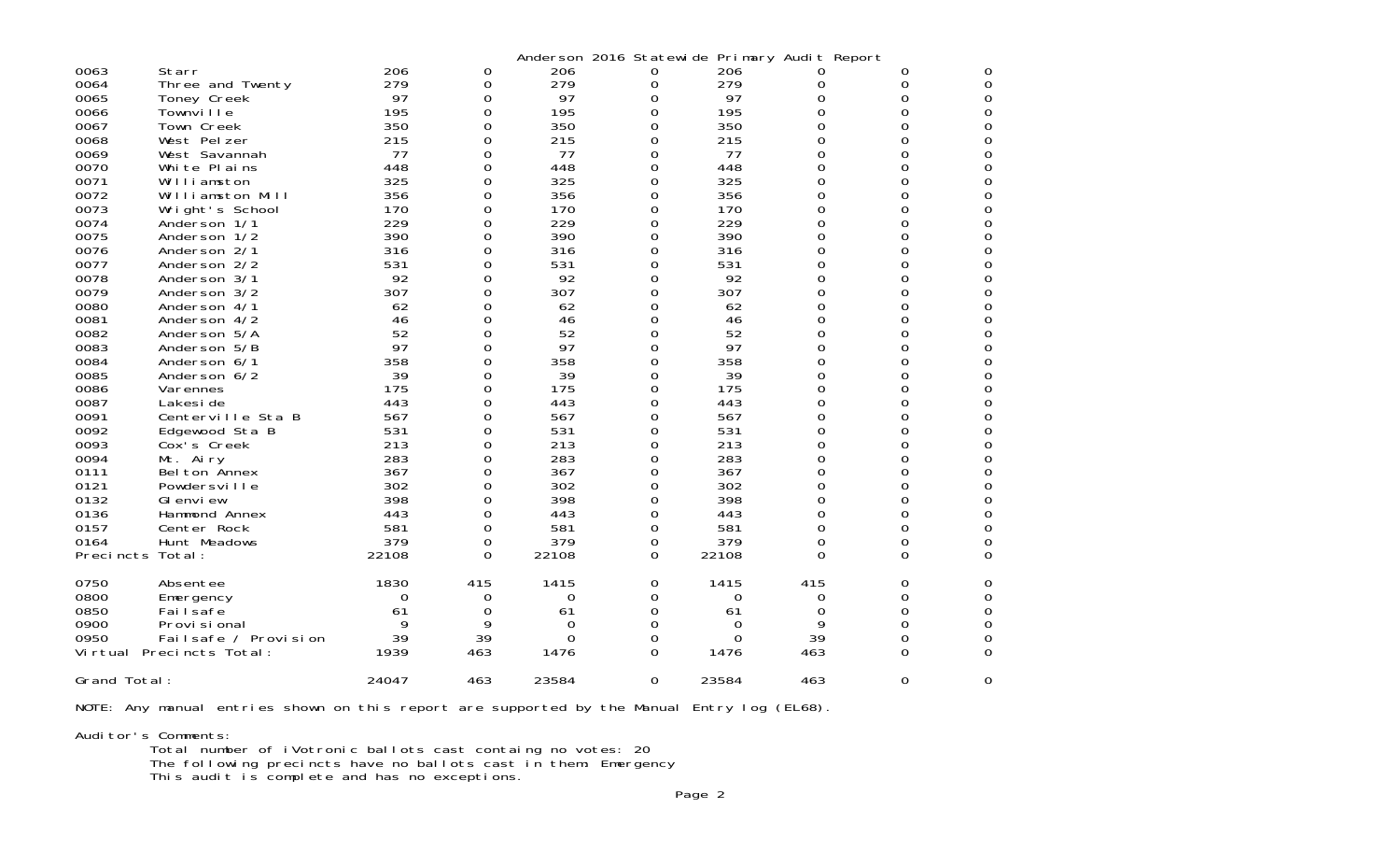|                  |                          |       |          |       | Anderson 2016 Statewide Primary Audit Report |       |          |          |   |
|------------------|--------------------------|-------|----------|-------|----------------------------------------------|-------|----------|----------|---|
| 0063             | Starr                    | 206   | 0        | 206   | 0                                            | 206   |          | 0        | 0 |
| 0064             | Three and Twenty         | 279   | 0        | 279   | 0                                            | 279   | 0        | 0        | 0 |
| 0065             | Toney Creek              | 97    | 0        | 97    | 0                                            | 97    | 0        | 0        | 0 |
| 0066             | Townville                | 195   | 0        | 195   | 0                                            | 195   | 0        | 0        | 0 |
| 0067             | Town Creek               | 350   | 0        | 350   | 0                                            | 350   | 0        | 0        | 0 |
| 0068             | West Pelzer              | 215   | 0        | 215   | 0                                            | 215   | 0        | 0        | 0 |
| 0069             | West Savannah            | 77    | $\Omega$ | 77    | 0                                            | 77    | $\Omega$ | 0        | 0 |
| 0070             | White Plains             | 448   | 0        | 448   | 0                                            | 448   | 0        | 0        | 0 |
| 0071             | Williamston              | 325   | $\Omega$ | 325   | 0                                            | 325   | 0        | 0        | 0 |
| 0072             | Williamston Mill         | 356   | 0        | 356   | 0                                            | 356   | 0        | 0        | 0 |
| 0073             | Wright's School          | 170   | 0        | 170   | 0                                            | 170   | $\Omega$ | 0        | 0 |
| 0074             | Anderson 1/1             | 229   | 0        | 229   | 0                                            | 229   | 0        | 0        | 0 |
| 0075             | Anderson 1/2             | 390   | 0        | 390   | 0                                            | 390   | 0        | 0        | 0 |
| 0076             | Anderson 2/1             | 316   | 0        | 316   | 0                                            | 316   | 0        | 0        | 0 |
| 0077             | Anderson 2/2             | 531   | $\Omega$ | 531   | 0                                            | 531   | 0        | 0        | 0 |
| 0078             | Anderson 3/1             | 92    | 0        | 92    | 0                                            | 92    | 0        | 0        | 0 |
| 0079             | Anderson 3/2             | 307   | 0        | 307   | 0                                            | 307   | 0        | 0        | 0 |
| 0080             | Anderson 4/1             | 62    | 0        | 62    | 0                                            | 62    | 0        | 0        | 0 |
| 0081             | Anderson 4/2             | 46    | 0        | 46    | 0                                            | 46    | 0        | 0        | 0 |
| 0082             | Anderson 5/A             | 52    | 0        | 52    | 0                                            | 52    | 0        | 0        | 0 |
| 0083             | Anderson 5/B             | 97    | $\Omega$ | 97    | 0                                            | 97    | 0        | 0        | 0 |
| 0084             | Anderson 6/1             | 358   | 0        | 358   | 0                                            | 358   | 0        | 0        | 0 |
| 0085             | Anderson 6/2             | 39    | $\Omega$ | 39    | 0                                            | 39    | $\Omega$ | 0        | 0 |
| 0086             | Varennes                 | 175   | 0        | 175   | 0                                            | 175   | 0        | 0        | 0 |
| 0087             | Lakesi de                | 443   | $\Omega$ | 443   | 0                                            | 443   | 0        | 0        | 0 |
| 0091             | Centerville Sta B        | 567   | 0        | 567   | 0                                            | 567   | 0        | 0        | 0 |
| 0092             | Edgewood Sta B           | 531   | $\Omega$ | 531   | 0                                            | 531   | 0        | 0        | 0 |
| 0093             | Cox's Creek              | 213   | 0        | 213   | 0                                            | 213   | 0        | 0        | 0 |
| 0094             | Mt. Airy                 | 283   | 0        | 283   | 0                                            | 283   | 0        | 0        | 0 |
| 0111             | Bel ton Annex            | 367   | 0        | 367   | 0                                            | 367   | 0        | 0        | 0 |
| 0121             | Powdersville             | 302   | $\Omega$ | 302   | 0                                            | 302   | 0        | 0        | 0 |
| 0132             | GI envi ew               | 398   | 0        | 398   | 0                                            | 398   | 0        | 0        | 0 |
| 0136             | Hammond Annex            | 443   | $\Omega$ | 443   | 0                                            | 443   | 0        | 0        | 0 |
| 0157             | Center Rock              | 581   | 0        | 581   | 0                                            | 581   | 0        | 0        | 0 |
| 0164             | Hunt Meadows             | 379   | $\Omega$ | 379   | 0                                            | 379   | 0        | 0        | 0 |
| Precincts Total: |                          | 22108 | 0        | 22108 | 0                                            | 22108 | 0        | $\Omega$ | 0 |
|                  |                          |       |          |       |                                              |       |          |          |   |
| 0750             | Absentee                 | 1830  | 415      | 1415  | 0                                            | 1415  | 415      | 0        | 0 |
| 0800             | Emergency                | 0     | 0        | 0     | 0                                            | 0     | 0        | O        | 0 |
| 0850             | Failsafe                 | 61    | 0        | 61    | 0                                            | 61    | 0        | 0        | 0 |
| 0900             | Provi si onal            | 9     | 9        | 0     | 0                                            | 0     | 9        | 0        | 0 |
| 0950             | Failsafe / Provision     | 39    | 39       | 0     | 0                                            | 0     | 39       | 0        | 0 |
|                  | Virtual Precincts Total: | 1939  | 463      | 1476  | O                                            | 1476  | 463      | $\Omega$ | 0 |
|                  |                          |       |          |       |                                              |       |          |          |   |
| Grand Total:     |                          | 24047 | 463      | 23584 | 0                                            | 23584 | 463      | $\Omega$ | 0 |

NOTE: Any manual entries shown on this report are supported by the Manual Entry log (EL68).

Auditor's Comments: Total number of iVotronic ballots cast containg no votes: 20 The following precincts have no ballots cast in them: Emergency This audit is complete and has no exceptions.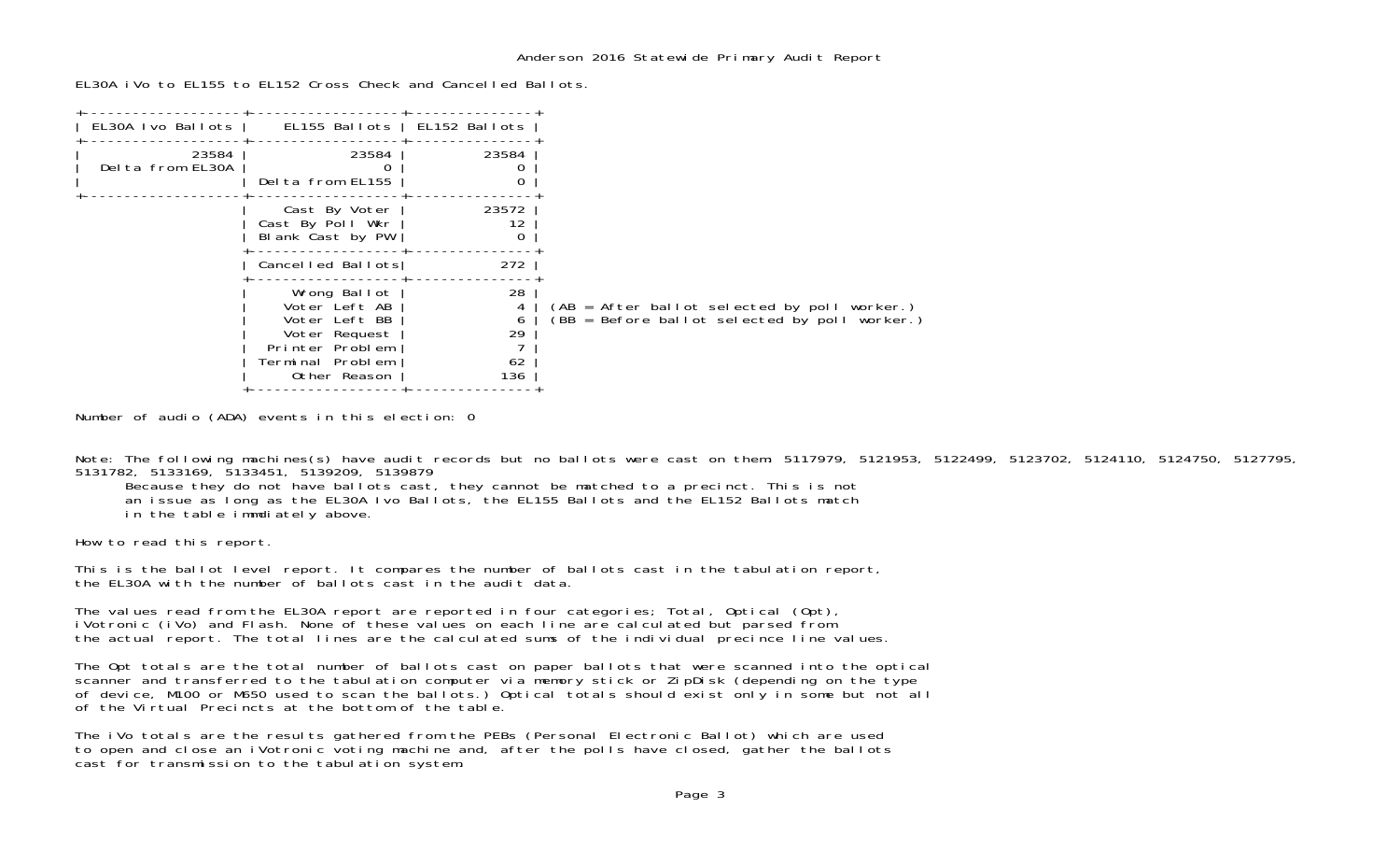EL30A iVo to EL155 to EL152 Cross Check and Cancelled Ballots.

| EL30A Ivo Ballots         | EL155 Ballots   EL152 Ballots                                                                                          |                                 |                                                                                               |
|---------------------------|------------------------------------------------------------------------------------------------------------------------|---------------------------------|-----------------------------------------------------------------------------------------------|
| 23584<br>Delta from EL30A | 23584<br>Delta from EL155                                                                                              | 23584                           |                                                                                               |
|                           | Cast By Voter<br>Cast By Poll Wkr<br>Blank Cast by PW                                                                  | 23572<br>12<br>0                |                                                                                               |
|                           | Cancelled Ballots                                                                                                      | 272                             |                                                                                               |
|                           | Wrong Ballot<br>Voter Left AB<br>Voter Left BB<br>Voter Request<br>Printer Problem<br>Terminal Problem<br>Other Reason | 28<br>4<br>6<br>29<br>62<br>136 | (AB = After ballot selected by poll worker.)<br>(BB = Before ballot selected by poll worker.) |

Number of audio (ADA) events in this election: 0

Note: The following machines(s) have audit records but no ballots were cast on them: 5117979, 5121953, 5122499, 5123702, 5124110, 5124750, 5127795, 5131782, 5133169, 5133451, 5139209, 5139879

Because they do not have ballots cast, they cannot be matched to a precinct. This is not

an issue as long as the EL30A Ivo Ballots, the EL155 Ballots and the EL152 Ballots match

in the table immdiately above.

How to read this report.

This is the ballot level report. It compares the number of ballots cast in the tabulation report, the EL30A with the number of ballots cast in the audit data.

The values read from the EL30A report are reported in four categories; Total, Optical (Opt), iVotronic (iVo) and Flash. None of these values on each line are calculated but parsed from the actual report. The total lines are the calculated sums of the individual precince line values.

The Opt totals are the total number of ballots cast on paper ballots that were scanned into the optical scanner and transferred to the tabulation computer via memory stick or ZipDisk (depending on the type of device, M100 or M650 used to scan the ballots.) Optical totals should exist only in some but not all of the Virtual Precincts at the bottom of the table.

The iVo totals are the results gathered from the PEBs (Personal Electronic Ballot) which are used to open and close an iVotronic voting machine and, after the polls have closed, gather the ballots cast for transmission to the tabulation system.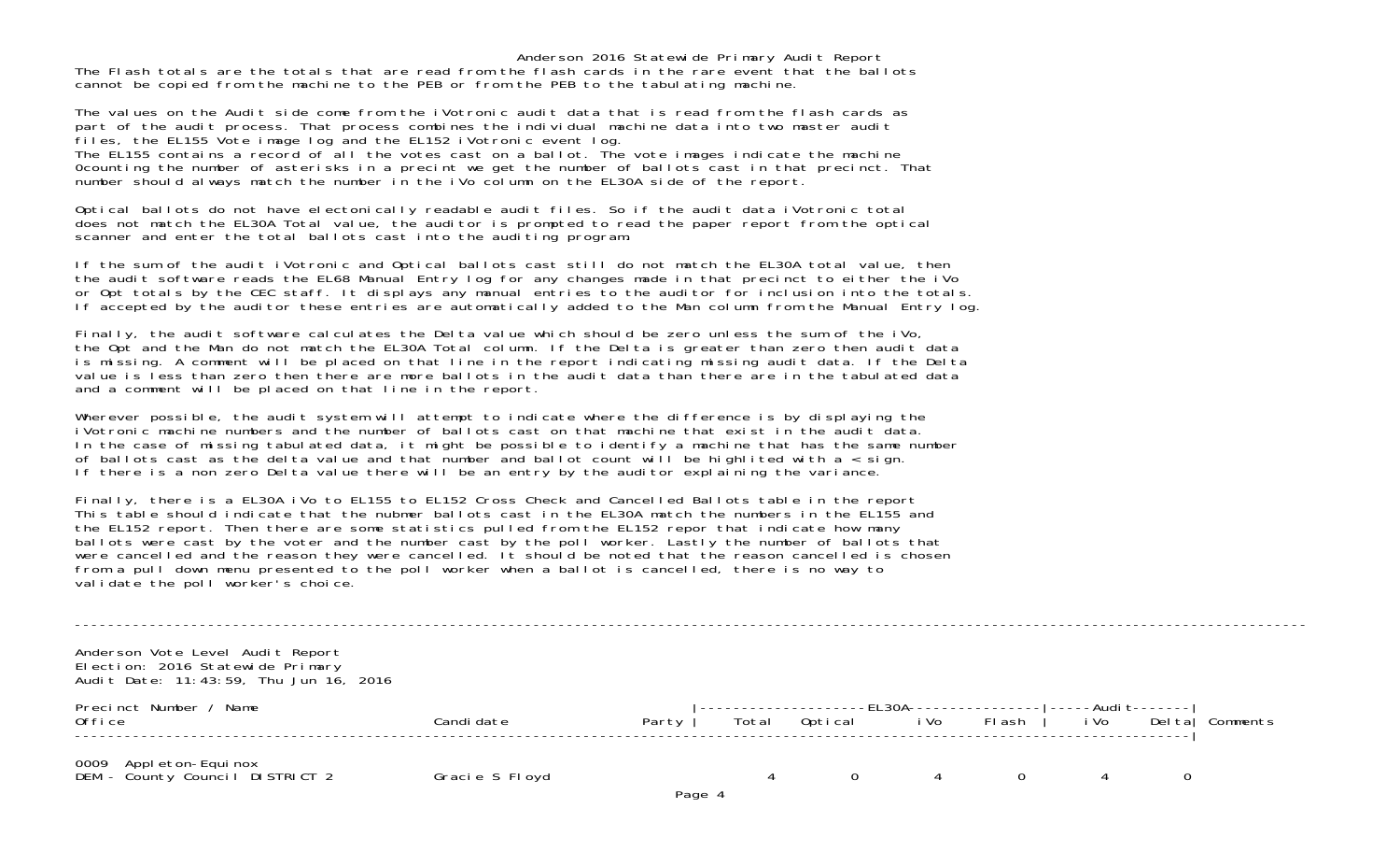Anderson 2016 Statewide Primary Audit Report The Flash totals are the totals that are read from the flash cards in the rare event that the ballotscannot be copied from the machine to the PEB or from the PEB to the tabulating machine.

The values on the Audit side come from the iVotronic audit data that is read from the flash cards as part of the audit process. That process combines the individual machine data into two master audit files, the EL155 Vote image log and the EL152 iVotronic event log. The EL155 contains a record of all the votes cast on a ballot. The vote images indicate the machine 0counting the number of asterisks in a precint we get the number of ballots cast in that precinct. That number should always match the number in the iVo column on the EL30A side of the report.

Optical ballots do not have electonically readable audit files. So if the audit data iVotronic total does not match the EL30A Total value, the auditor is prompted to read the paper report from the optical scanner and enter the total ballots cast into the auditing program.

If the sum of the audit iVotronic and Optical ballots cast still do not match the EL30A total value, then the audit software reads the EL68 Manual Entry log for any changes made in that precinct to either the iVo or Opt totals by the CEC staff. It displays any manual entries to the auditor for inclusion into the totals. If accepted by the auditor these entries are automatically added to the Man column from the Manual Entry log.

Finally, the audit software calculates the Delta value which should be zero unless the sum of the iVo, the Opt and the Man do not match the EL30A Total column. If the Delta is greater than zero then audit data is missing. A comment will be placed on that line in the report indicating missing audit data. If the Delta value is less than zero then there are more ballots in the audit data than there are in the tabulated data and a comment will be placed on that line in the report.

Wherever possible, the audit system will attempt to indicate where the difference is by displaying the iVotronic machine numbers and the number of ballots cast on that machine that exist in the audit data. In the case of missing tabulated data, it might be possible to identify a machine that has the same number of ballots cast as the delta value and that number and ballot count will be highlited with a  $\overline{\cdot}$  sign. If there is a non zero Delta value there will be an entry by the auditor explaining the variance.

Finally, there is a EL30A iVo to EL155 to EL152 Cross Check and Cancelled Ballots table in the report This table should indicate that the nubmer ballots cast in the EL30A match the numbers in the EL155 and the EL152 report. Then there are some statistics pulled from the EL152 repor that indicate how many ballots were cast by the voter and the number cast by the poll worker. Lastly the number of ballots that were cancelled and the reason they were cancelled. It should be noted that the reason cancelled is chosen from a pull down menu presented to the poll worker when a ballot is cancelled, there is no way to validate the poll worker's choice.

| Anderson Vote Level Audit Report<br>Election: 2016 Statewide Primary<br>Audit Date: 11:43:59, Thu Jun 16, 2016 |                |       |        |       |          |      |                                  |                                   |              |          |
|----------------------------------------------------------------------------------------------------------------|----------------|-------|--------|-------|----------|------|----------------------------------|-----------------------------------|--------------|----------|
| Precinct Number / Name<br>0ffi ce                                                                              | Candi date     | Party |        | Total | Optical  | i Vo | -EL30A----------------<br>FI ash | <u> -----Audit-------</u><br>i Vo | Del tal      | Comments |
| 0009   Appleton-Equinox<br>DEM - County Council DISTRICT 2                                                     | Gracie S Floyd |       | Page 4 |       | $\Omega$ | 4    |                                  |                                   | $\mathbf{0}$ |          |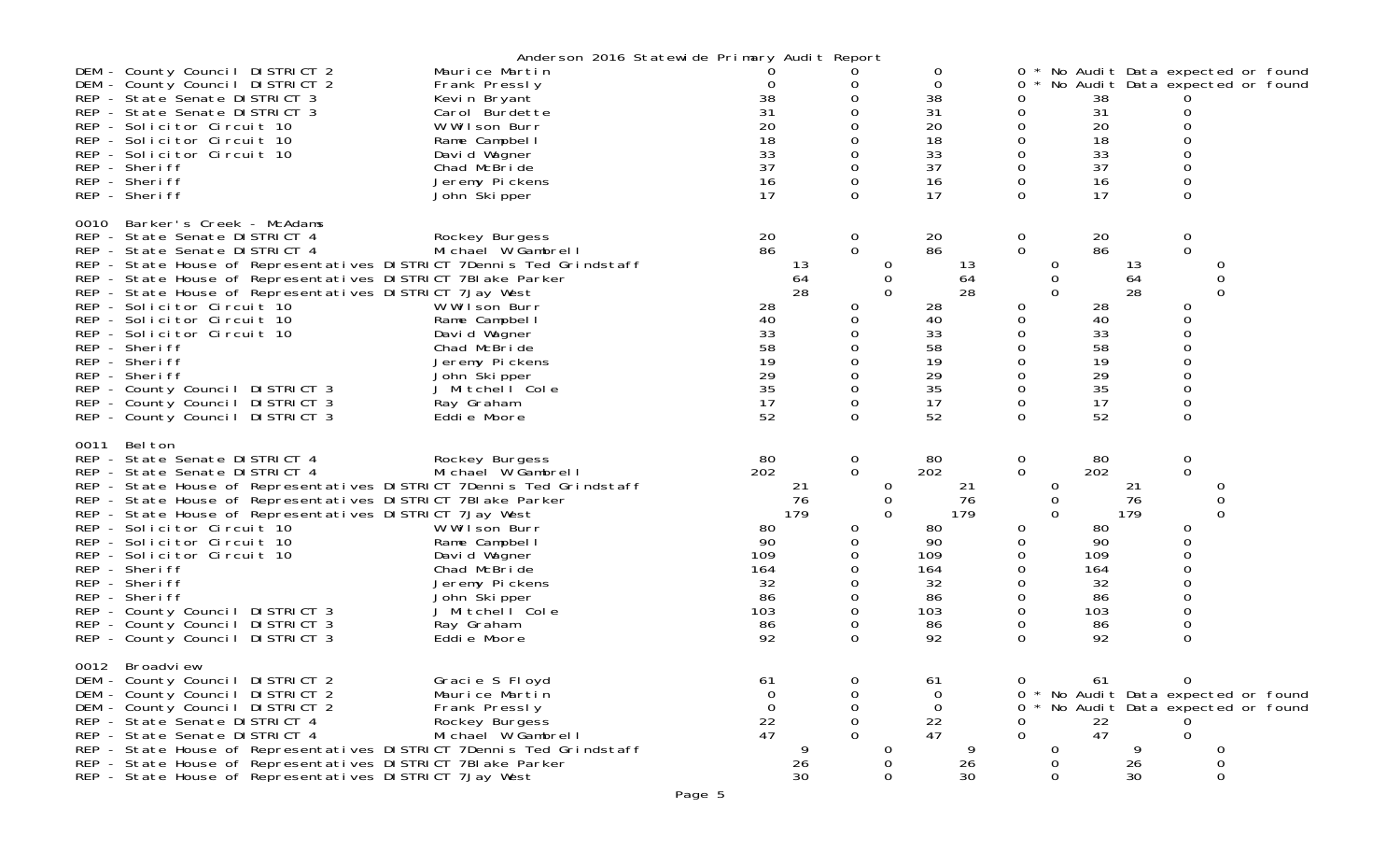|      |                                                                                                                                      | Anderson 2016 Statewide Primary Audit Report    |                   |          |                          |               |                                              |                 |                            |               |                 |              |                                 |               |                                                                        |
|------|--------------------------------------------------------------------------------------------------------------------------------------|-------------------------------------------------|-------------------|----------|--------------------------|---------------|----------------------------------------------|-----------------|----------------------------|---------------|-----------------|--------------|---------------------------------|---------------|------------------------------------------------------------------------|
|      | DEM - County Council DISTRICT 2<br>DEM - County Council DISTRICT 2<br>REP - State Senate DISTRICT 3                                  | Maurice Martin<br>Frank Pressly<br>Kevin Bryant | O<br>38           |          | 0<br>$\boldsymbol{0}$    |               | 0<br>0<br>38                                 |                 | 0<br>0                     |               | 38              |              |                                 |               | 0 * No Audit Data expected or found<br>No Audit Data expected or found |
|      | REP - State Senate DISTRICT 3<br>REP - Solicitor Circuit 10                                                                          | Carol Burdette<br>W Wilson Burr                 | 31<br>20          |          | 0<br>0                   |               | 31<br>20                                     |                 | 0<br>0                     |               | 31<br>20        |              | 0<br>0                          |               |                                                                        |
|      | REP - Solicitor Circuit 10<br>REP - Solicitor Circuit 10                                                                             | Rame Campbell<br>David Wagner                   | 18<br>33          |          | 0<br>0                   |               | 18<br>33                                     |                 | $\mathsf{O}\xspace$<br>0   |               | 18<br>33        |              | $\mathbf 0$<br>0                |               |                                                                        |
|      | REP - Sheriff<br>REP - Sheriff                                                                                                       | Chad McBride<br>Jeremy Pickens                  | 37<br>16          |          | $\mathbf 0$<br>0         |               | 37<br>16                                     |                 | $\mathbf 0$<br>$\mathbf 0$ |               | 37<br>16        |              | $\mathbf 0$<br>$\mathbf 0$      |               |                                                                        |
|      | REP - Sheriff                                                                                                                        | John Skipper                                    | 17                |          | $\Omega$                 |               | 17                                           |                 | $\Omega$                   |               | 17              |              | $\Omega$                        |               |                                                                        |
| 0010 | Barker's Creek - McAdams<br>REP - State Senate DISTRICT 4                                                                            | Rockey Burgess                                  | 20                |          | 0                        |               | 20                                           |                 | $\mathbf 0$                |               | 20              |              | $\mathbf 0$                     |               |                                                                        |
|      | REP - State Senate DISTRICT 4<br>REP - State House of Representatives DISTRICT 7Dennis Ted Grindstaff                                | Michael W Gambrell                              | 86                | 13       | $\mathbf{O}$             | 0             | 86                                           | 13              | $\mathbf 0$                | 0             | 86              | 13           | $\mathbf 0$                     | 0             |                                                                        |
|      | REP - State House of Representatives DISTRICT 7BI ake Parker<br>REP - State House of Representatives DISTRICT 7Jay West              |                                                 |                   | 64<br>28 |                          | 0<br>$\Omega$ |                                              | 64<br>28        |                            | 0<br>$\Omega$ |                 | 64<br>28     |                                 | 0<br>$\Omega$ |                                                                        |
|      | REP - Solicitor Circuit 10<br>REP - Solicitor Circuit 10                                                                             | W Wilson Burr<br>Rame Campbell                  | 28<br>40          |          | 0<br>0                   |               | 28<br>40                                     |                 | 0<br>0                     |               | 28<br>40        |              | 0<br>0                          |               |                                                                        |
|      | REP - Solicitor Circuit 10<br>REP - Sheriff                                                                                          | David Wagner<br>Chad McBride                    | 33<br>58          |          | 0<br>$\mathbf 0$         |               | 33<br>58                                     |                 | 0<br>$\mathbf 0$           |               | 33<br>58        |              | $\mathbf 0$<br>$\Omega$         |               |                                                                        |
|      | REP - Sheriff<br>REP - Sheriff                                                                                                       | Jeremy Pickens<br>John Skipper                  | 19<br>29          |          | 0<br>$\mathsf{O}\xspace$ |               | 19<br>29                                     |                 | 0<br>$\mathbf 0$           |               | 19<br>29        |              | $\overline{0}$<br>$\mathbf 0$   |               |                                                                        |
|      | REP - County Council DISTRICT 3<br>REP - County Council DISTRICT 3                                                                   | J Mitchell Cole<br>Ray Graham                   | 35<br>17          |          | 0<br>0                   |               | 35<br>17                                     |                 | 0<br>0                     |               | 35<br>17        |              | $\mathbf 0$<br>$\mathbf 0$      |               |                                                                        |
|      | REP - County Council DISTRICT 3                                                                                                      | Eddie Moore                                     | 52                |          | $\Omega$                 |               | 52                                           |                 | $\mathbf 0$                |               | 52              |              | 0                               |               |                                                                        |
| 0011 | Bel ton<br>REP - State Senate DISTRICT 4<br>REP - State Senate DISTRICT 4                                                            | Rockey Burgess<br>Michael W Gambrell            | 80<br>202         |          | $\mathbf 0$<br>0         |               | 80<br>202                                    |                 | $\mathbf 0$<br>$\mathbf 0$ |               | 80<br>202       |              | $\mathbf 0$<br>$\mathbf 0$      |               |                                                                        |
|      | REP - State House of Representatives DISTRICT 7Dennis Ted Grindstaff<br>REP - State House of Representatives DISTRICT 7BI ake Parker |                                                 |                   | 21<br>76 |                          | 0<br>0        |                                              | 21<br>76        |                            | 0<br>0        |                 | 21<br>76     |                                 | 0<br>0        |                                                                        |
|      | REP - State House of Representatives DISTRICT 7Jay West<br>REP - Solicitor Circuit 10                                                | W Wilson Burr                                   | 80                | 179      | 0                        | $\Omega$      | 80                                           | 179             | 0                          | $\Omega$      | 80              | 179          | 0                               | $\Omega$      |                                                                        |
|      | REP - Solicitor Circuit 10<br>REP - Solicitor Circuit 10                                                                             | Rame Campbell<br>David Wagner                   | 90<br>109         |          | 0<br>0                   |               | 90<br>109                                    |                 | 0<br>0                     |               | 90<br>109       |              | 0<br>0                          |               |                                                                        |
|      | REP - Sheriff<br>REP - Sheriff                                                                                                       | Chad McBride<br>Jeremy Pickens                  | 164<br>32         |          | 0<br>0                   |               | 164<br>32                                    |                 | 0<br>0                     |               | 164<br>32       |              | $\mathbf 0$<br>$\boldsymbol{0}$ |               |                                                                        |
|      | REP - Sheriff<br>REP - County Council DISTRICT 3                                                                                     | John Skipper<br>J Mitchell Cole                 | 86<br>103         |          | 0<br>$\Omega$            |               | 86<br>103                                    |                 | 0<br>$\Omega$              |               | 86<br>103       |              | $\mathbf 0$<br>$\mathbf 0$      |               |                                                                        |
|      | REP - County Council DISTRICT 3<br>REP - County Council DISTRICT 3                                                                   | Ray Graham<br>Eddie Moore                       | 86<br>92          |          | 0<br>$\Omega$            |               | 86<br>92                                     |                 | 0<br>$\Omega$              |               | 86<br>92        |              | $\mathsf{O}\xspace$<br>0        |               |                                                                        |
|      | 0012 Broadview                                                                                                                       |                                                 |                   |          |                          |               |                                              |                 |                            |               |                 |              |                                 |               |                                                                        |
|      | DEM - County Council DISTRICT 2<br>DEM - County Council DISTRICT 2                                                                   | Gracie S Floyd<br>Maurice Martin                | 61<br>∩           |          | 0<br>0                   |               | 61<br>$\Omega$                               |                 | $\Omega$<br>0              |               | 61              |              | $\mathbf 0$                     |               | No Audit Data expected or found                                        |
|      | DEM - County Council DISTRICT 2<br>REP - State Senate DISTRICT 4                                                                     | Frank Pressly<br>Rockey Burgess                 | ∩<br>$^{22}_{47}$ |          | 0<br>0                   |               | 0<br>$\begin{array}{c} 22 \\ 47 \end{array}$ |                 | 0<br>0                     |               | $\frac{22}{47}$ |              |                                 |               | No Audit Data expected or found                                        |
|      | REP - State Senate DISTRICT 4<br>REP - State House of Representatives DISTRICT 7Dennis Ted Grindstaff                                | Michael W Gambrell                              |                   |          | $\Omega$                 |               |                                              |                 | $\Omega$                   | 0             |                 |              | $\Omega$                        |               |                                                                        |
|      | REP - State House of Representatives DISTRICT 7BI ake Parker<br>REP - State House of Representatives DISTRICT 7Jay West              |                                                 |                   | 26<br>30 |                          | O<br>0        |                                              | $\frac{26}{30}$ |                            | 0             |                 | 26<br>$30\,$ |                                 | 0             |                                                                        |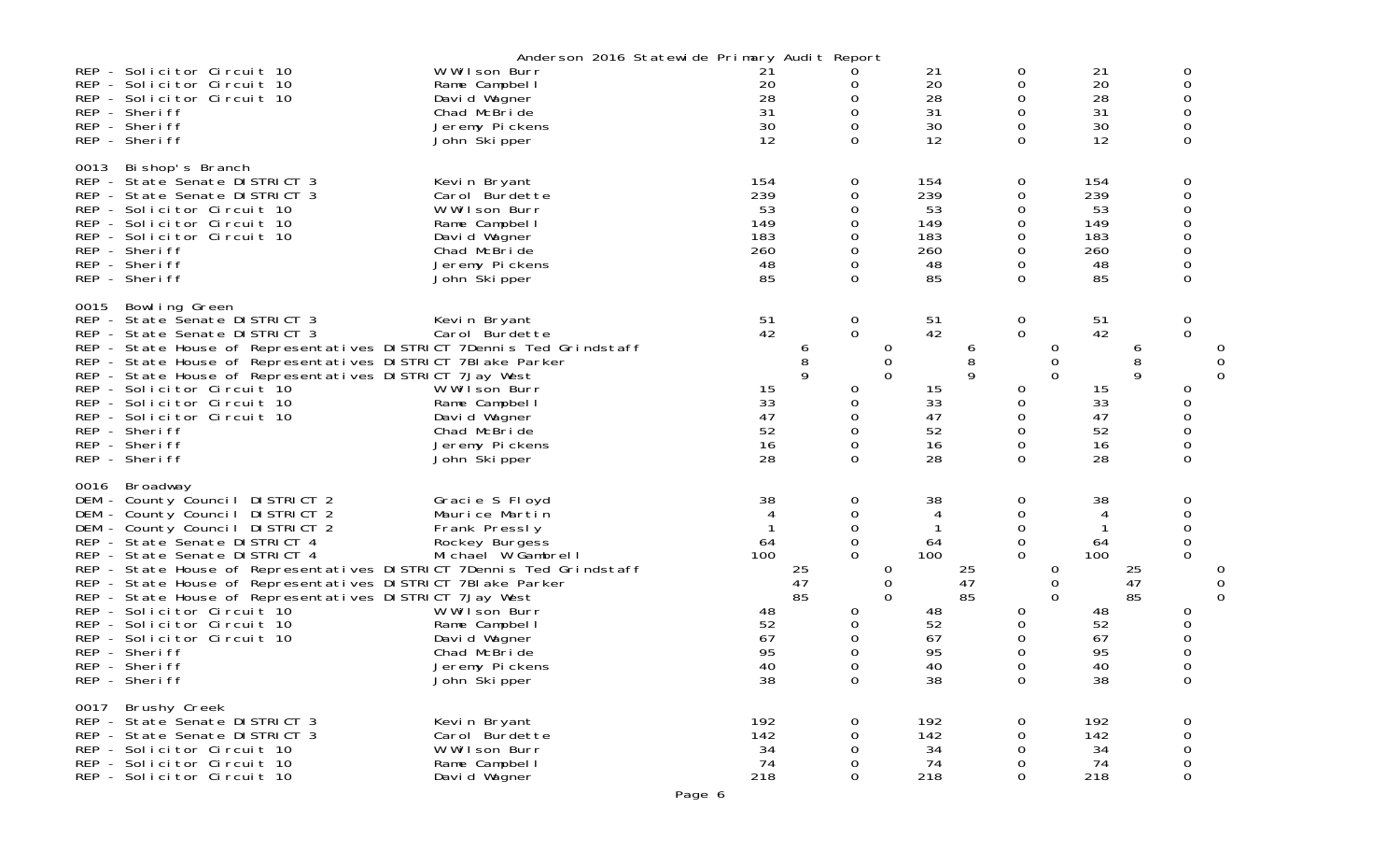|      |                                                                                                                                                                                                                                                                                                                                                                                                                                                                                                                                     | Anderson 2016 Statewide Primary Audit Report                                                                                                                                                   |                                                          |                       |                                                                             |                              |                                                          |                |                                                                                       |                    |                                                          |                |                                                                            |        |
|------|-------------------------------------------------------------------------------------------------------------------------------------------------------------------------------------------------------------------------------------------------------------------------------------------------------------------------------------------------------------------------------------------------------------------------------------------------------------------------------------------------------------------------------------|------------------------------------------------------------------------------------------------------------------------------------------------------------------------------------------------|----------------------------------------------------------|-----------------------|-----------------------------------------------------------------------------|------------------------------|----------------------------------------------------------|----------------|---------------------------------------------------------------------------------------|--------------------|----------------------------------------------------------|----------------|----------------------------------------------------------------------------|--------|
|      | REP - Solicitor Circuit 10<br>REP - Solicitor Circuit 10<br>REP - Solicitor Circuit 10<br>REP - Sheriff<br>REP - Sheriff<br>REP - Sheriff                                                                                                                                                                                                                                                                                                                                                                                           | W Wilson Burr<br>Rame Campbel I<br>David Wagner<br>Chad McBride<br>Jeremy Pickens<br>John Skipper                                                                                              | 21<br>20<br>28<br>31<br>30<br>12                         |                       | 0<br>0<br>0<br>0<br>0                                                       |                              | 21<br>20<br>28<br>31<br>30<br>12                         |                | 0<br>0<br>0<br>0<br>0<br>$\Omega$                                                     |                    | 21<br>20<br>28<br>31<br>30<br>12                         |                | 0<br>$\Omega$<br>0<br>0<br>0<br>$\Omega$                                   |        |
| 0013 | Bi shop's Branch<br>REP - State Senate DISTRICT 3<br>REP - State Senate DISTRICT 3<br>REP - Solicitor Circuit 10<br>REP - Solicitor Circuit 10<br>REP - Solicitor Circuit 10<br>REP - Sheriff<br>REP - Sheriff<br>REP - Sheriff                                                                                                                                                                                                                                                                                                     | Kevin Bryant<br>Carol Burdette<br>W Wilson Burr<br>Rame Campbel I<br>David Wagner<br>Chad McBride<br>Jeremy Pickens<br>John Skipper                                                            | 154<br>239<br>53<br>149<br>183<br>260<br>48<br>85        |                       | 0<br>0<br>0<br>0<br>0<br>0<br>0<br>$\Omega$                                 |                              | 154<br>239<br>53<br>149<br>183<br>260<br>48<br>85        |                | 0<br>0<br>0<br>0<br>0<br>0<br>0<br>$\Omega$                                           |                    | 154<br>239<br>53<br>149<br>183<br>260<br>48<br>85        |                | 0<br>0<br>$\Omega$<br>0<br>0<br>0<br>0<br>$\Omega$                         |        |
| 0015 | Bowling Green<br>REP - State Senate DISTRICT 3<br>REP - State Senate DISTRICT 3<br>REP - State House of Representatives DISTRICT 7Dennis Ted Grindstaff<br>REP - State House of Representatives DISTRICT 7BI ake Parker<br>REP - State House of Representatives DISTRICT 7Jay West<br>REP - Solicitor Circuit 10<br>REP - Solicitor Circuit 10<br>REP - Solicitor Circuit 10<br>REP - Sheriff<br>REP - Sheriff<br>REP - Sheriff                                                                                                     | Kevin Bryant<br>Carol Burdette<br>W Wilson Burr<br>Rame Campbel I<br>David Wagner<br>Chad McBride<br>Jeremy Pickens<br>John Ški pper                                                           | 51<br>42<br>15<br>33<br>47<br>52<br>16<br>28             | 6<br>8<br>9           | 0<br>$\mathbf{O}$<br>0<br>0<br>0<br>0<br>0<br>$\Omega$                      | 0<br>0<br>$\Omega$           | 51<br>42<br>15<br>33<br>47<br>52<br>16<br>28             | 6<br>8<br>9    | $\overline{0}$<br>$\mathbf 0$<br>0<br>0<br>0<br>0<br>0<br>$\Omega$                    | 0<br>0<br>$\Omega$ | $\frac{51}{42}$<br>15<br>33<br>47<br>52<br>16<br>28      | 6<br>8<br>9    | 0<br>$\Omega$<br>0<br>0<br>0<br>$\mathbf 0$<br>0<br>$\Omega$               | 0<br>0 |
| 0016 | Broadway<br>DEM - County Council DISTRICT 2<br>DEM - County Council DISTRICT 2<br>DEM - County Council DISTRICT 2<br>REP - State Senate DISTRICT 4<br>REP - State Senate DISTRICT 4<br>REP - State House of Representatives DISTRICT 7Dennis Ted Grindstaff<br>REP - State House of Representatives DISTRICT 7BI ake Parker<br>REP - State House of Representatives DISTRICT 7Jay West<br>REP - Solicitor Circuit 10<br>REP - Solicitor Circuit 10<br>REP - Solicitor Circuit 10<br>REP - Sheriff<br>REP - Sheriff<br>REP - Sheriff | Gracie S Floyd<br>Maurice Martin<br>Frank Pressly<br>Rockey Burgess<br>Michael W Gambrell<br>W Wilson Burr<br>Rame Campbel I<br>David Wagner<br>Chad McBride<br>Jeremy Pickens<br>John Škipper | 38<br>4<br>64<br>100<br>48<br>52<br>67<br>95<br>40<br>38 | $\frac{25}{47}$<br>85 | 0<br>0<br>0<br>$\mathbf 0$<br>$\Omega$<br>0<br>0<br>0<br>0<br>$\Omega$<br>0 | 0<br>$\mathbf 0$<br>$\Omega$ | 38<br>4<br>64<br>100<br>48<br>52<br>67<br>95<br>40<br>38 | 25<br>47<br>85 | 0<br>0<br>0<br>$\mathbf 0$<br>$\Omega$<br>0<br>0<br>0<br>0<br>$\Omega$<br>$\mathbf 0$ | 0<br>0<br>0        | 38<br>4<br>64<br>100<br>48<br>52<br>67<br>95<br>40<br>38 | 25<br>47<br>85 | 0<br>0<br>$\Omega$<br>0<br>$\Omega$<br>0<br>0<br>$\Omega$<br>$\Omega$<br>0 | 0      |
|      | 0017 Brushy Creek<br>REP - State Senate DISTRICT 3<br>REP - State Senate DISTRICT 3<br>REP - Solicitor Circuit 10<br>REP - Solicitor Circuit 10<br>REP - Solicitor Circuit 10                                                                                                                                                                                                                                                                                                                                                       | Kevin Bryant<br>Carol Burdette<br>W Wilson Burr<br>Rame Campbel I<br>David Wagner                                                                                                              | 192<br>142<br>34<br>74<br>218                            |                       | 0<br>0<br>$\mathbf 0$<br>0<br>$\mathbf 0$                                   |                              | 192<br>142<br>34<br>74<br>218                            |                | 0<br>$\Omega$<br>0<br>0<br>$\mathbf 0$                                                |                    | 192<br>142<br>34<br>74<br>218                            |                | 0<br>0<br>$\mathbf 0$<br>$\mathsf{O}\xspace$<br>$\mathbf 0$                |        |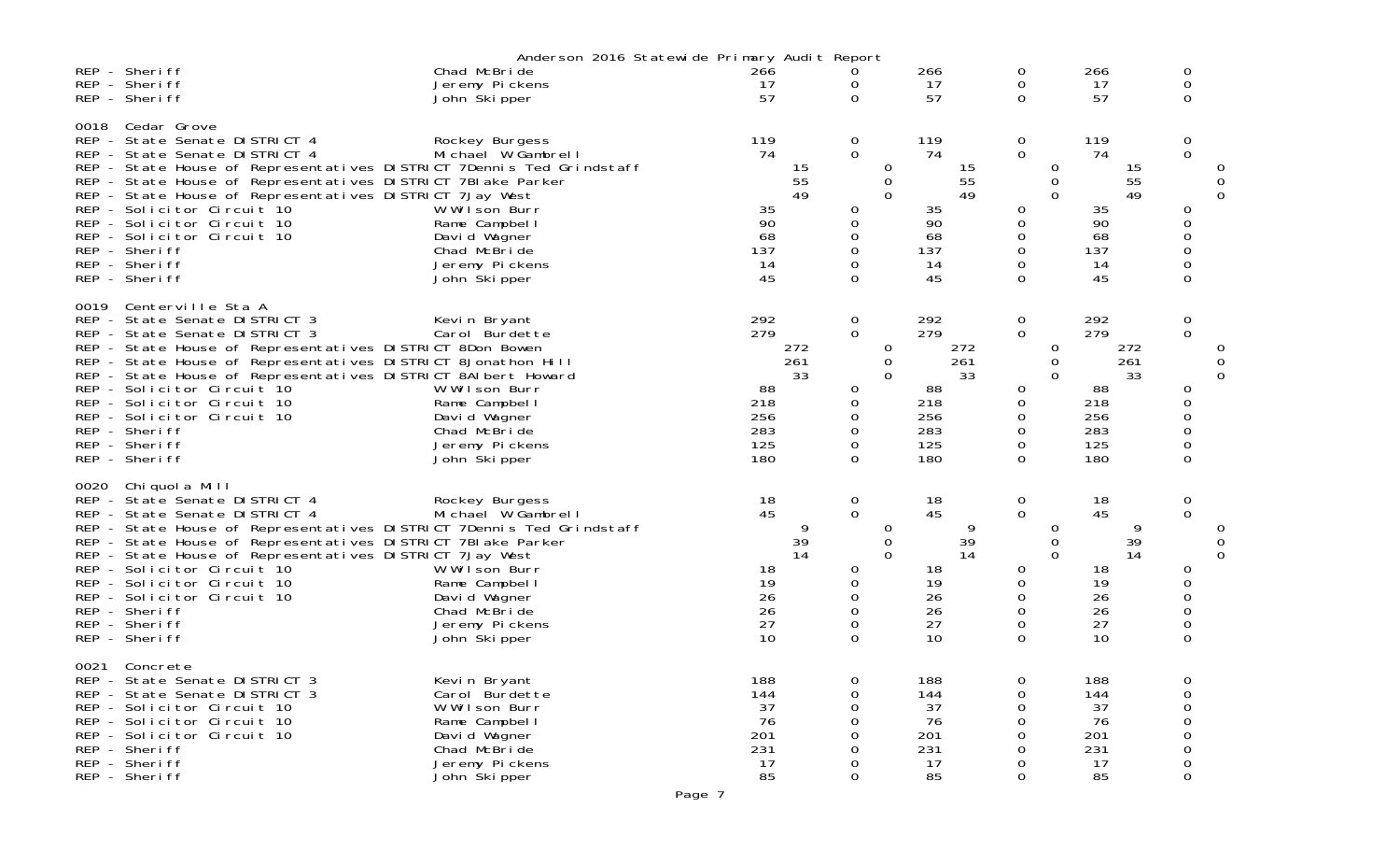|                    |                                                                                                                                                                                                                                                                                                                                                                                                                               | Anderson 2016 Statewide Primary Audit Report                                                                                              |                                                     |                  |                                                                                                               |                                                                         |                                                                                                               |                                                                         |                                                       |             |
|--------------------|-------------------------------------------------------------------------------------------------------------------------------------------------------------------------------------------------------------------------------------------------------------------------------------------------------------------------------------------------------------------------------------------------------------------------------|-------------------------------------------------------------------------------------------------------------------------------------------|-----------------------------------------------------|------------------|---------------------------------------------------------------------------------------------------------------|-------------------------------------------------------------------------|---------------------------------------------------------------------------------------------------------------|-------------------------------------------------------------------------|-------------------------------------------------------|-------------|
|                    | REP - Sheriff<br>REP - Sheriff<br>REP - Sheriff                                                                                                                                                                                                                                                                                                                                                                               | Chad McBride<br>Jeremy Pickens<br>John Skipper                                                                                            | 266<br>17<br>57                                     |                  | 0<br>0<br>$\Omega$                                                                                            | 266<br>17<br>57                                                         | 0<br>0<br>$\Omega$                                                                                            | 266<br>17<br>57                                                         | 0<br>0<br>$\Omega$                                    |             |
| 0018               | Cedar Grove<br>REP - State Senate DISTRICT 4<br>REP - State Senate DISTRICT 4<br>REP - State House of Representatives DISTRICT 7Dennis Ted Grindstaff<br>REP - State House of Representatives DISTRICT 7BI ake Parker<br>REP - State House of Representatives DISTRICT 7Jay West<br>REP - Solicitor Circuit 10<br>REP - Solicitor Circuit 10<br>REP - Solicitor Circuit 10<br>REP - Sheriff<br>REP - Sheriff<br>REP - Sheriff | Rockey Burgess<br>Michael W Gambrell<br>W Wilson Burr<br>Rame Campbel I<br>David Wagner<br>Chad McBride<br>Jeremy Pickens<br>John Skipper | 119<br>74<br>35<br>90<br>68<br>137<br>14<br>45      | 15<br>55<br>49   | $\overline{0}$<br>$\Omega$<br>0<br>0<br>$\Omega$<br>0<br>$\mathbf 0$<br>0<br>$\Omega$<br>0<br>$\Omega$        | 119<br>74<br>15<br>55<br>49<br>35<br>90<br>68<br>137<br>14<br>45        | $\mathbf 0$<br>$\mathbf{O}$<br>0<br>0<br>$\Omega$<br>0<br>0<br>0<br>$\Omega$<br>0<br>0                        | 119<br>74<br>15<br>55<br>49<br>35<br>90<br>68<br>137<br>14<br>45        | 0<br>$\Omega$<br>0<br>0<br>0<br>0<br>0<br>0           | 0           |
| 0019               | Centerville Sta A<br>REP - State Senate DISTRICT 3<br>REP - State Senate DISTRICT 3<br>REP - State House of Representatives DISTRICT 8Don Bowen<br>REP - State House of Representatives DISTRICT 8Jonathon Hill<br>REP - State House of Representatives DISTRICT 8AI bert Howard<br>REP - Solicitor Circuit 10<br>REP - Solicitor Circuit 10<br>REP - Solicitor Circuit 10<br>REP - Sheriff<br>REP - Sheriff<br>REP - Sheriff | Kevin Bryant<br>Carol Burdette<br>W Wilson Burr<br>Rame Campbell<br>David Wagner<br>Chad McBride<br>Jeremy Pickens<br>John Skipper        | 292<br>279<br>88<br>218<br>256<br>283<br>125<br>180 | 272<br>261<br>33 | $\mathbf 0$<br>$\Omega$<br>0<br>0<br>$\Omega$<br>0<br>0<br>$\Omega$<br>0<br>0<br>$\Omega$                     | 292<br>279<br>272<br>261<br>33<br>88<br>218<br>256<br>283<br>125<br>180 | $\begin{matrix} 0 \\ 0 \end{matrix}$<br>$\sigma$<br>0<br>$\Omega$<br>0<br>0<br>$\Omega$<br>0<br>0<br>$\Omega$ | 292<br>279<br>272<br>261<br>33<br>88<br>218<br>256<br>283<br>125<br>180 | 0<br>$\overline{0}$<br>0<br>0<br>0<br>0<br>0<br>0     | 0<br>0<br>0 |
| 0020<br><b>REP</b> | Chiquola Mill<br>REP - State Senate DISTRICT 4<br>REP - State Senate DISTRICT 4<br>REP - State House of Representatives DISTRICT 7Dennis Ted Grindstaff<br>REP - State House of Representatives DISTRICT 7BI ake Parker<br>REP - State House of Representatives DISTRICT 7Jay West<br>REP - Solicitor Circuit 10<br>REP - Solicitor Circuit 10<br>- Solicitor Circuit 10<br>REP - Sheriff<br>REP - Sheriff<br>REP - Sheriff   | Rockey Burgess<br>Michael W Gambrell<br>W Wilson Burr<br>Rame Campbell<br>David Wagner<br>Chad McBride<br>Jeremy Pickens<br>John Skipper  | 18<br>45<br>18<br>19<br>26<br>26<br>27<br>10        | 9<br>39<br>14    | 0<br>$\mathbf{0}$<br>0<br>$\mathbf 0$<br>$\Omega$<br>$\overline{O}$<br>0<br>$\mathbf 0$<br>0<br>0<br>$\Omega$ | 18<br>45<br>9<br>39<br>14<br>18<br>19<br>26<br>26<br>27<br>10           | 0<br>$\overline{0}$<br>$\sigma$<br>0<br>$\mathbf 0$<br>0<br>0<br>0<br>0<br>0<br>$\Omega$                      | 18<br>45<br>9<br>39<br>14<br>18<br>19<br>26<br>26<br>27<br>10           | 0<br>$\mathbf 0$<br>0<br>0<br>0<br>0<br>0<br>$\Omega$ | 0<br>0<br>0 |
| 0021               | Concrete<br>REP - State Senate DISTRICT 3<br>REP - State Senate DISTRICT 3<br>REP - Solicitor Circuit 10<br>REP - Solicitor Circuit 10<br>REP - Solicitor Circuit 10<br>REP - Sheriff<br>REP - Sheriff<br>REP - Sheriff                                                                                                                                                                                                       | Kevin Bryant<br>Carol Burdette<br>W Wilson Burr<br>Rame Campbel I<br>David Wagner<br>Chad McBride<br>Jeremy Pickens<br>John Škipper       | 188<br>144<br>37<br>76<br>201<br>231<br>17<br>85    |                  | $\Omega$<br>0<br>0<br>$\Omega$<br>0<br>0<br>0<br>$\Omega$                                                     | 188<br>144<br>37<br>76<br>201<br>231<br>17<br>85                        | 0<br>0<br>0<br>0                                                                                              | 188<br>144<br>37<br>76<br>201<br>231<br>17<br>85                        | 0<br>0<br>$\Omega$<br>0<br>0<br>$\mathbf 0$           |             |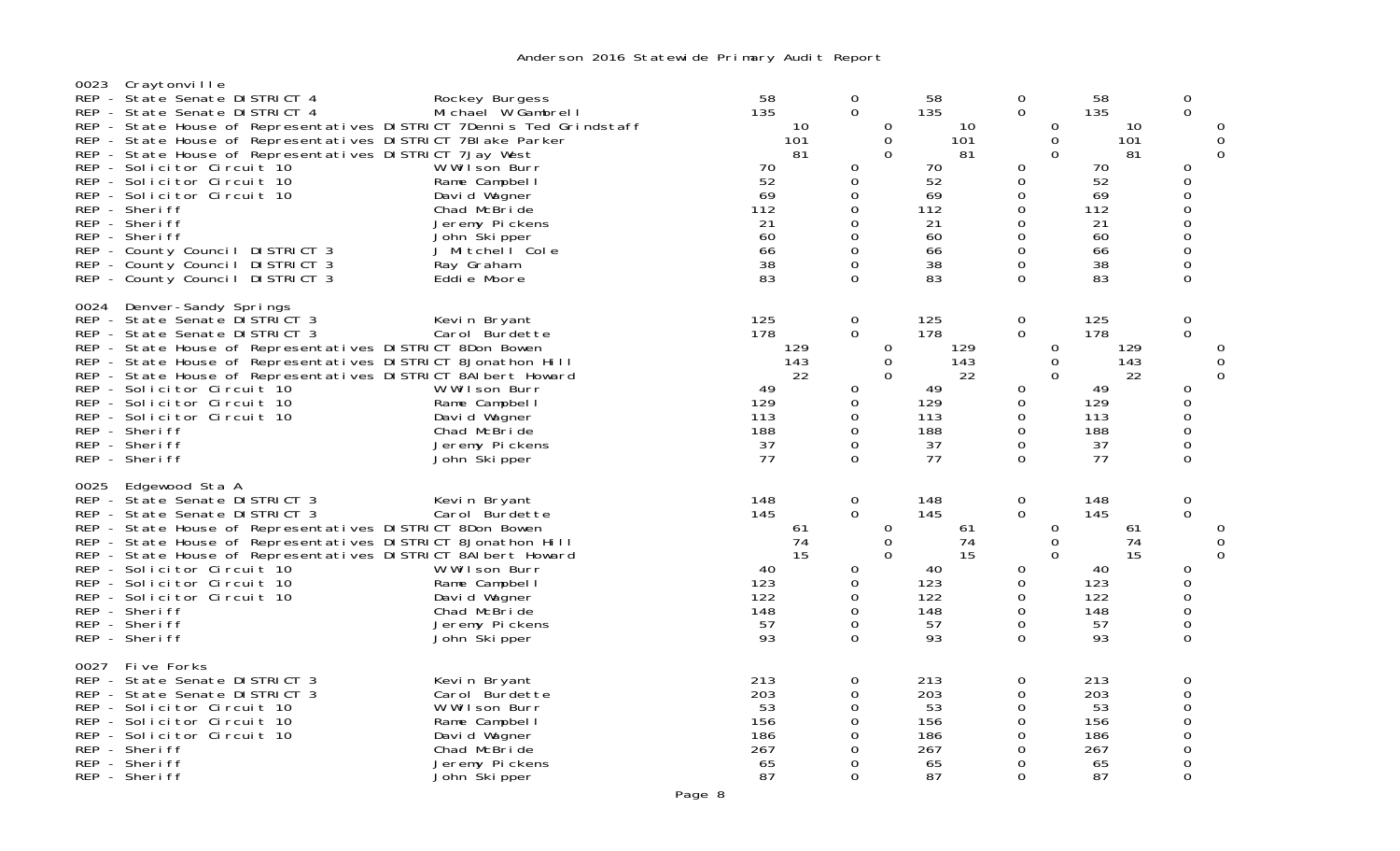| 0023 | Craytonville<br>REP - State Senate DISTRICT 4<br>REP - State Senate DISTRICT 4<br>REP - State House of Representatives DISTRICT 7Dennis Ted Grindstaff<br>REP - State House of Representatives DISTRICT 7BI ake Parker<br>REP - State House of Representatives DISTRICT 7Jay West<br>REP - Solicitor Circuit 10<br>REP - Solicitor Circuit 10<br>REP - Solicitor Circuit 10<br>REP - Sheriff<br>REP - Sheriff<br>REP - Sheriff<br>REP - County Council DISTRICT 3<br>REP - County Council DISTRICT 3<br>REP - County Council DISTRICT 3 | Rockey Burgess<br>Michael W Gambrell<br>W Wilson Burr<br>Rame Campbel I<br>David Wagner<br>Chad McBride<br>Jeremy Pickens<br>John Skipper<br>J Mitchell Cole<br>Ray Graham<br>Eddie Moore | 58<br>135<br>10<br>101<br>81<br>70<br>52<br>69<br>112<br>21<br>60<br>66<br>38<br>83 | 0<br>$\overline{0}$<br>0<br>0<br>$\Omega$<br>0<br>$\Omega$<br>$\mathbf 0$<br>0<br>0<br>$\Omega$ | 58<br>135<br>10<br>0<br>$\mathbf 0$<br>101<br>$\Omega$<br>81<br>70<br>52<br>69<br>112<br>21<br>60<br>66<br>38<br>83 | 0<br>$\overline{0}$<br>$\Omega$<br>0<br>$\Omega$<br>0<br>0<br>0<br>0<br>0<br>0<br>0<br>0<br>$\Omega$ | 58<br>135<br>10<br>101<br>81<br>70<br>52<br>69<br>112<br>21<br>60<br>66<br>38<br>83 | 0<br>0<br>O<br>0<br>0<br>0<br>0<br>$\Omega$<br>0<br>$\overline{0}$<br>$\mathsf{O}\xspace$<br>$\Omega$<br>0<br>$\Omega$ |
|------|-----------------------------------------------------------------------------------------------------------------------------------------------------------------------------------------------------------------------------------------------------------------------------------------------------------------------------------------------------------------------------------------------------------------------------------------------------------------------------------------------------------------------------------------|-------------------------------------------------------------------------------------------------------------------------------------------------------------------------------------------|-------------------------------------------------------------------------------------|-------------------------------------------------------------------------------------------------|---------------------------------------------------------------------------------------------------------------------|------------------------------------------------------------------------------------------------------|-------------------------------------------------------------------------------------|------------------------------------------------------------------------------------------------------------------------|
| 0024 | Denver-Sandy Springs<br>REP - State Senate DISTRICT 3<br>REP - State Senate DISTRICT 3<br>REP - State House of Representatives DISTRICT 8Don Bowen<br>REP - State House of Representatives DISTRICT 8Jonathon Hill<br>REP - State House of Representatives DISTRICT 8AI bert Howard<br>REP - Solicitor Circuit 10<br>REP - Solicitor Circuit 10<br>REP - Solicitor Circuit 10<br>REP - Sheriff<br>REP - Sheriff<br>REP - Sheriff                                                                                                        | Kevin Bryant<br>Carol Burdette<br>W Wilson Burr<br>Rame Campbel I<br>David Wagner<br>Chad McBride<br>Jeremy Pickens<br>John Ški pper                                                      | 125<br>178<br>129<br>143<br>22<br>49<br>129<br>113<br>188<br>37<br>77               | $\mathbf 0$<br>$\Omega$<br>0<br>0<br>0<br>0<br>0<br>$\Omega$                                    | 125<br>178<br>0<br>129<br>143<br>0<br>0<br>22<br>49<br>129<br>113<br>188<br>37<br>77                                | 0<br>$\Omega$<br>0<br>0<br>$\Omega$<br>0<br>0<br>0<br>0<br>$\mathbf 0$<br>$\Omega$                   | 125<br>178<br>129<br>143<br>22<br>49<br>129<br>113<br>188<br>37<br>77               | 0<br>$\mathbf 0$<br>O<br>0<br>$\Omega$<br>0<br>0<br>0<br>$\Omega$<br>0<br>$\Omega$                                     |
| 0025 | Edgewood Sta A<br>REP - State Senate DISTRICT 3<br>REP - State Senate DISTRICT 3<br>REP - State House of Representatives DISTRICT 8Don Bowen<br>REP - State House of Representatives DISTRICT 8Jonathon Hill<br>REP - State House of Representatives DISTRICT 8AI bert Howard<br>REP - Solicitor Circuit 10<br>REP - Solicitor Circuit 10<br>REP - Solicitor Circuit 10<br>REP - Sheriff<br>REP - Sheriff<br>REP - Sheriff                                                                                                              | Kevin Bryant<br>Carol Burdette<br>W Wilson Burr<br>Rame Campbel I<br>David Wagner<br>Chad McBride<br>Jeremy Pickens<br>John Ški pper                                                      | 148<br>145<br>61<br>74<br>15<br>40<br>123<br>122<br>148<br>57<br>93                 | $\overline{0}$<br>$\overline{0}$<br>0<br>0<br>0<br>0<br>0<br>$\Omega$                           | 148<br>145<br>0<br>61<br>$\mathbf 0$<br>74<br>$\Omega$<br>15<br>40<br>123<br>122<br>148<br>57<br>93                 | 0<br>$\overline{0}$<br>$\Omega$<br>0<br>$\mathbf{O}$<br>0<br>0<br>0<br>0<br>$\mathbf 0$<br>0         | 148<br>145<br>61<br>74<br>15<br>40<br>123<br>122<br>148<br>57<br>93                 | 0<br>0<br>0<br><sup>0</sup><br>0<br>0<br>$\Omega$<br>0<br>0<br>0<br>0                                                  |
| 0027 | Five Forks<br>REP - State Senate DISTRICT 3<br>REP - State Senate DISTRICT 3<br>REP - Solicitor Circuit 10<br>REP - Solicitor Circuit 10<br>REP - Solicitor Circuit 10<br>REP - Sheriff<br>REP - Sheriff<br>REP - Sheriff                                                                                                                                                                                                                                                                                                               | Kevin Bryant<br>Carol Burdette<br>W Wilson Burr<br>Rame Campbell<br>David Wagner<br>Chad McBride<br>Jeremy Pickens<br>John Skipper                                                        | 213<br>203<br>53<br>156<br>186<br>267<br>65<br>87                                   | 0<br>0<br>0<br>0<br>0<br>0<br>0<br>$\Omega$                                                     | 213<br>203<br>53<br>156<br>186<br>267<br>65<br>87                                                                   | 0<br>0<br>0<br>0<br>0<br>0<br>0<br>$\Omega$                                                          | 213<br>203<br>53<br>156<br>186<br>267<br>65<br>87                                   | 0<br>$\overline{O}$<br>$\overline{0}$<br>$\Omega$<br>$\Omega$<br>$\Omega$<br>0<br>0                                    |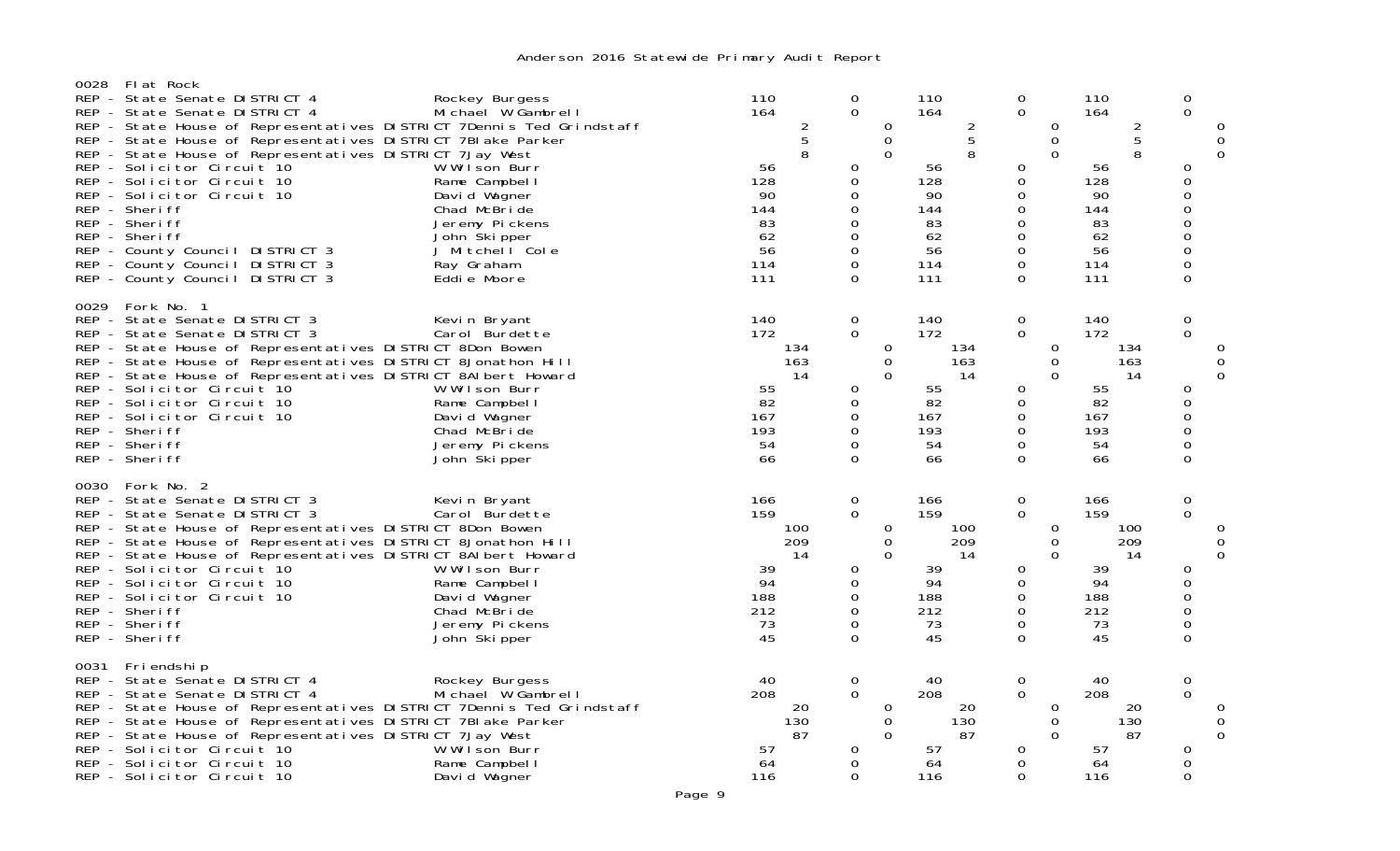| 0028 | Flat Rock<br>REP - State Senate DISTRICT 4<br>REP - State Senate DISTRICT 4<br>REP - State House of Representatives DISTRICT 7Dennis Ted Grindstaff<br>REP - State House of Representatives DISTRICT 7BI ake Parker<br>REP - State House of Representatives DISTRICT 7Jay West<br>REP - Solicitor Circuit 10<br>REP - Solicitor Circuit 10<br>REP - Solicitor Circuit 10<br>REP - Sheriff<br>REP - Sheriff<br>REP - Sheriff<br>REP - County Council DISTRICT 3<br>REP - County Council DISTRICT 3<br>REP - County Council DISTRICT 3 | Rockey Burgess<br>Michael W Gambrell<br>W Wilson Burr<br>Rame Campbel I<br>David Wagner<br>Chad McBride<br>Jeremy Pickens<br>John Skipper<br>J Mitchell Cole<br>Ray Graham<br>Eddie Moore | 110<br>164<br>56<br>128<br>90<br>144<br>83<br>62<br>56<br>114<br>111 | $\frac{2}{5}$<br>8 | 0<br>$\mathbf 0$<br>0<br>0<br>0<br>0<br>$\Omega$<br>0<br>0<br>$\Omega$<br>$\Omega$ | 0<br>$\mbox{O}$<br>$\mathbf 0$      | 110<br>164<br>56<br>128<br>90<br>144<br>83<br>62<br>56<br>114<br>111 | $rac{2}{5}$<br>8 | 0<br>$\mathbf{O}$<br>0<br>0<br>0<br>$\Omega$<br>$\mathbf 0$<br>0<br>0<br>0<br>$\Omega$ | 0<br>$\mathbf 0$<br>$\Omega$ | 110<br>164<br>56<br>128<br>90<br>144<br>83<br>62<br>56<br>114<br>111 | $rac{2}{5}$<br>8 | 0<br>$\Omega$<br>0<br>0<br>$\Omega$<br>$\Omega$<br>0<br>0<br>$\Omega$<br>0<br>$\Omega$ | 0<br>0<br>0        |
|------|--------------------------------------------------------------------------------------------------------------------------------------------------------------------------------------------------------------------------------------------------------------------------------------------------------------------------------------------------------------------------------------------------------------------------------------------------------------------------------------------------------------------------------------|-------------------------------------------------------------------------------------------------------------------------------------------------------------------------------------------|----------------------------------------------------------------------|--------------------|------------------------------------------------------------------------------------|-------------------------------------|----------------------------------------------------------------------|------------------|----------------------------------------------------------------------------------------|------------------------------|----------------------------------------------------------------------|------------------|----------------------------------------------------------------------------------------|--------------------|
| 0029 | Fork No. 1<br>REP - State Senate DISTRICT 3<br>REP - State Senate DISTRICT 3<br>REP - State House of Representatives DISTRICT 8Don Bowen<br>REP - State House of Representatives DISTRICT 8Jonathon Hill<br>REP - State House of Representatives DISTRICT 8AI bert Howard<br>REP - Solicitor Circuit 10<br>REP - Solicitor Circuit 10<br>REP - Solicitor Circuit 10<br>REP - Sheriff<br>REP - Sheriff<br>REP - Sheriff                                                                                                               | Kevin Bryant<br>Carol Burdette<br>W Wilson Burr<br>Rame Campbel I<br>David Wagner<br>Chad McBride<br>Jeremy Pickens<br>John Škipper                                                       | 140<br>172<br>55<br>82<br>167<br>193<br>54<br>66                     | 134<br>163<br>14   | $\mathbf 0$<br>$\mathbf 0$<br>0<br>0<br>0<br>0<br>$\Omega$<br>$\Omega$             | $\mathbf 0$<br>$\Omega$<br>$\Omega$ | 140<br>172<br>55<br>82<br>167<br>193<br>54<br>66                     | 134<br>163<br>14 | 0<br>$\Omega$<br>0<br>$\mathbf 0$<br>$\mathbf 0$<br>0<br>0<br>$\Omega$                 | 0<br>0<br>$\Omega$           | 140<br>172<br>55<br>82<br>167<br>193<br>54<br>66                     | 134<br>163<br>14 | $\mathbf 0$<br>$\Omega$<br>0<br>$\Omega$<br>$\Omega$<br>$\Omega$<br>0<br>$\Omega$      | 0<br>$\Omega$      |
| 0030 | Fork No. 2<br>REP - State Senate DISTRICT 3<br>REP - State Senate DISTRICT 3<br>REP - State House of Representatives DISTRICT 8Don Bowen<br>REP - State House of Representatives DISTRICT 8Jonathon Hill<br>REP - State House of Representatives DISTRICT 8AI bert Howard<br>REP - Solicitor Circuit 10<br>REP - Solicitor Circuit 10<br>REP - Solicitor Circuit 10<br>REP - Sheriff<br>REP - Sheriff<br>REP - Sheriff                                                                                                               | Kevin Bryant<br>Carol Burdette<br>W Wilson Burr<br>Rame Campbel I<br>David Wagner<br>Chad McBride<br>Jeremy Pickens<br>John Skipper                                                       | 166<br>159<br>39<br>94<br>188<br>212<br>73<br>45                     | 100<br>209<br>14   | 0<br>$\overline{0}$<br>0<br>0<br>0<br>$\Omega$<br>$\Omega$<br>$\Omega$             | $\mathbf 0$<br>$\Omega$<br>$\Omega$ | 166<br>159<br>39<br>94<br>188<br>212<br>73<br>45                     | 100<br>209<br>14 | $\mathbf 0$<br>$\Omega$<br>0<br>$\mathbf 0$<br>0<br>0<br>0<br>$\Omega$                 | 0<br>$\Omega$<br>$\Omega$    | 166<br>159<br>39<br>94<br>188<br>212<br>73<br>45                     | 100<br>209<br>14 | $\mathbf 0$<br>$\Omega$<br>0<br>$\Omega$<br>0<br>0<br>0<br>$\Omega$                    | 0<br>0<br>$\Omega$ |
| 0031 | Friendship<br>REP - State Senate DISTRICT 4<br>REP - State Senate DISTRICT 4<br>REP - State House of Representatives DISTRICT 7Dennis Ted Grindstaff<br>REP - State House of Representatives DISTRICT 7BI ake Parker<br>REP - State House of Representatives DISTRICT 7Jay West<br>REP - Solicitor Circuit 10<br>REP - Solicitor Circuit 10<br>REP - Solicitor Circuit 10                                                                                                                                                            | Rockey Burgess<br>Michael W Gambrell<br>W Wilson Burr<br>Rame Campbel I<br>David Wagner                                                                                                   | 40<br>208<br>57<br>64<br>116                                         | 20<br>130<br>87    | 0<br>$\Omega$<br>0<br>0<br>$\Omega$                                                | 0<br>$\mathbf 0$<br>$\Omega$        | 40<br>208<br>57<br>64<br>116                                         | 20<br>130<br>87  | 0<br>$\Omega$<br>0<br>$\mathbf 0$<br>$\Omega$                                          | 0<br>0<br>$\Omega$           | 40<br>208<br>57<br>64<br>116                                         | 20<br>130<br>87  | 0<br>$\Omega$<br>0<br>0<br>0                                                           | 0<br>0<br>$\Omega$ |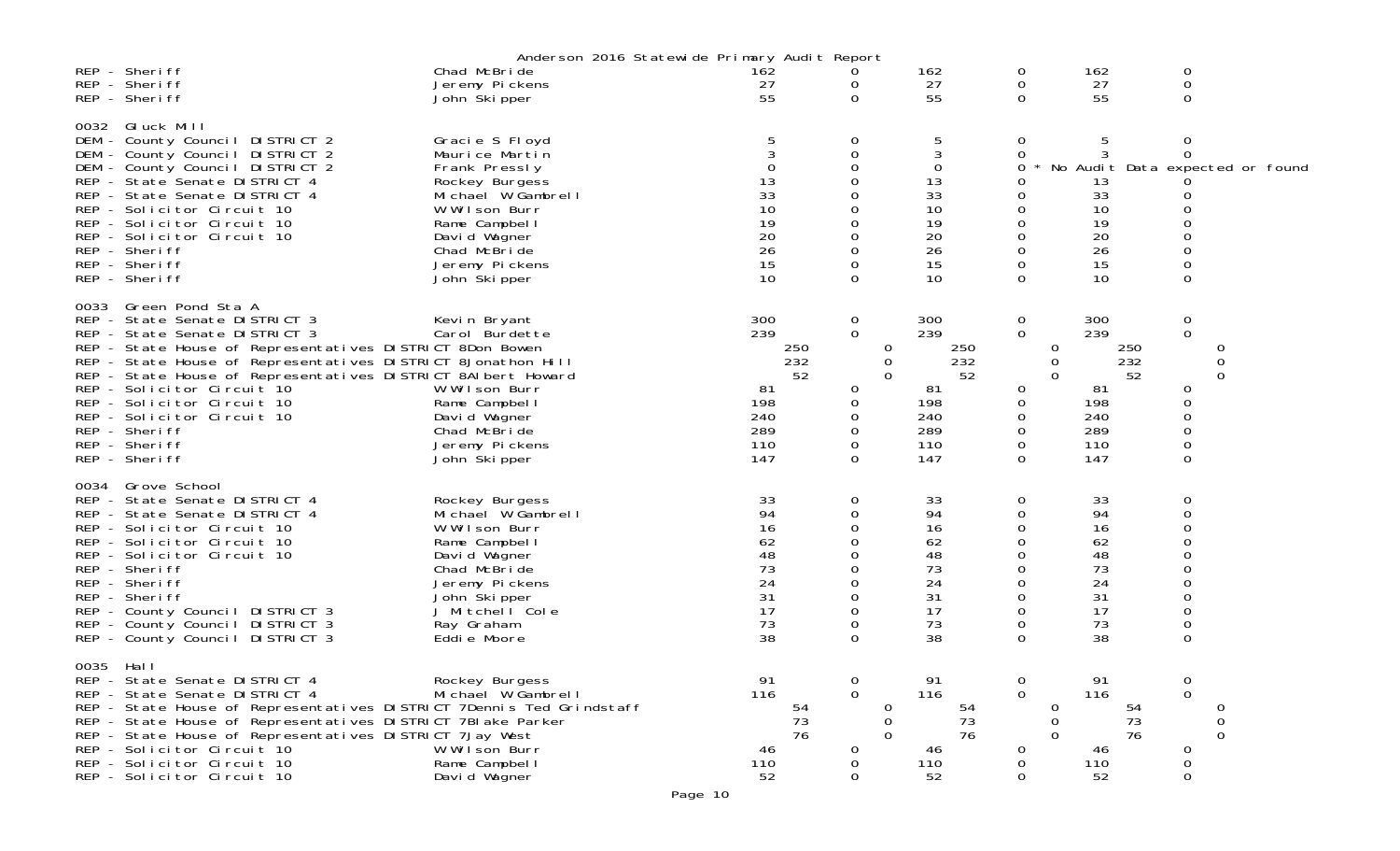|           |                                                                                                                                                                                                                                                                                                                                                                                                                              | Anderson 2016 Statewide Primary Audit Report                                                                                                                                                   |                                                                         |                                                              |                                                                         |                                                                      |                                                                         |                                                                                      |
|-----------|------------------------------------------------------------------------------------------------------------------------------------------------------------------------------------------------------------------------------------------------------------------------------------------------------------------------------------------------------------------------------------------------------------------------------|------------------------------------------------------------------------------------------------------------------------------------------------------------------------------------------------|-------------------------------------------------------------------------|--------------------------------------------------------------|-------------------------------------------------------------------------|----------------------------------------------------------------------|-------------------------------------------------------------------------|--------------------------------------------------------------------------------------|
|           | REP - Sheriff<br>REP - Sheriff<br>REP - Sheriff                                                                                                                                                                                                                                                                                                                                                                              | Chad McBride<br>Jeremy Pickens<br>John Ški pper                                                                                                                                                | 162<br>27<br>55                                                         | 0<br>0<br>0                                                  | 162<br>27<br>55                                                         | 0<br>0<br>0                                                          | 162<br>27<br>55                                                         | 0<br>0<br>0                                                                          |
| 0032      | Gluck Mill<br>DEM - County Council DISTRICT 2<br>DEM - County Council DISTRICT 2<br>DEM - County Council DISTRICT 2<br>REP - State Senate DISTRICT 4<br>REP - State Senate DISTRICT 4<br>REP - Solicitor Circuit 10<br>REP - Solicitor Circuit 10<br>REP - Solicitor Circuit 10<br>REP - Sheriff<br>REP - Sheriff<br>REP - Sheriff                                                                                           | Gracie S Floyd<br>Maurice Martin<br>Frank Pressly<br>Rockey Burgess<br>Michael W Gambrell<br>W Wilson Burr<br>Rame Campbel I<br>David Wagner<br>Chad McBride<br>Jeremy Pickens<br>John Skipper | 13<br>33<br>10<br>19<br>20<br>26<br>15<br>10                            | 0<br>0<br>$\Omega$                                           | 5<br>3<br>0<br>13<br>33<br>10<br>19<br>20<br>26<br>15<br>10             | 0<br>0<br>0<br>0<br>0<br>0<br>0<br>0<br>0<br>0<br>$\Omega$           | 5<br>13<br>33<br>10<br>19<br>20<br>26<br>15<br>10                       | 0<br>0<br>* No Audit Data expected or found<br>0<br>0<br>0<br>$\Omega$               |
| 0033      | Green Pond Sta A<br>REP - State Senate DISTRICT 3<br>REP - State Senate DISTRICT 3<br>REP - State House of Representatives DISTRICT 8Don Bowen<br>REP - State House of Representatives DISTRICT 8Jonathon Hill<br>REP - State House of Representatives DISTRICT 8AI bert Howard<br>REP - Solicitor Circuit 10<br>REP - Solicitor Circuit 10<br>REP - Solicitor Circuit 10<br>REP - Sheriff<br>REP - Sheriff<br>REP - Sheriff | Kevin Bryant<br>Carol Burdette<br>W Wilson Burr<br>Rame Campbel I<br>David Wagner<br>Chad McBride<br>Jeremy Pickens<br>John Skipper                                                            | 300<br>239<br>250<br>232<br>52<br>81<br>198<br>240<br>289<br>110<br>147 | 0<br>$\mathbf 0$<br>0<br>0<br>$\Omega$<br>0<br>0<br>$\Omega$ | 300<br>239<br>250<br>232<br>52<br>81<br>198<br>240<br>289<br>110<br>147 | 0<br>$\mathbf 0$<br>0<br>0<br>$\Omega$<br>0<br>0<br>0<br>0<br>0<br>0 | 300<br>239<br>250<br>232<br>52<br>81<br>198<br>240<br>289<br>110<br>147 | $\overline{0}$<br>$\overline{0}$<br>0<br>0<br>0<br>0<br>0<br>0<br>0<br>0<br>$\Omega$ |
| 0034      | Grove School<br>REP - State Senate DISTRICT 4<br>REP - State Senate DISTRICT 4<br>REP - Solicitor Circuit 10<br>REP - Solicitor Circuit 10<br>REP - Solicitor Circuit 10<br>REP - Sheriff<br>REP - Sheriff<br>REP - Sheriff<br>REP - County Council DISTRICT 3<br>REP - County Council DISTRICT 3<br>REP - County Council DISTRICT 3                                                                                         | Rockey Burgess<br>Michael W Gambrell<br>W Wilson Burr<br>Rame Campbel I<br>David Wagner<br>Chad McBride<br>Jeremy Pickens<br>John Skipper<br>J Mitchell Cole<br>Ray Graham<br>Eddie Moore      | 33<br>94<br>16<br>62<br>48<br>73<br>24<br>31<br>17<br>73<br>38          | 0<br>0<br>0<br>0<br>$\Omega$                                 | 33<br>94<br>16<br>62<br>48<br>73<br>24<br>31<br>17<br>73<br>38          | 0<br>0<br>0<br>0<br>0<br>0<br>0<br>0<br>0<br>0<br>$\Omega$           | 33<br>94<br>16<br>62<br>48<br>73<br>24<br>31<br>17<br>73<br>38          | 0<br>0<br>$\Omega$<br>0<br>0<br>0<br>0<br>0<br>0<br>0<br>0                           |
| 0035 Hall | REP - State Senate DISTRICT 4<br>REP - State Senate DISTRICT 4<br>REP - State House of Representatives DISTRICT 7Dennis Ted Grindstaff<br>REP - State House of Representatives DISTRICT 7BI ake Parker<br>REP - State House of Representatives DISTRICT 7Jay West<br>REP - Solicitor Circuit 10<br>REP - Solicitor Circuit 10<br>REP - Solicitor Circuit 10                                                                  | Rockey Burgess<br>Michael W Gambrell<br>W Wilson Burr<br>Rame Campbel I<br>David Wagner                                                                                                        | 91<br>116<br>54<br>73<br>76<br>46<br>110<br>52                          | 0<br>$\Omega$<br>0<br>0<br>$\Omega$<br>0<br>0<br>0           | 91<br>116<br>54<br>73<br>76<br>46<br>110<br>52                          | 0<br>$\mathbf 0$<br>0<br>0<br>$\Omega$<br>0<br>0<br>0                | 91<br>116<br>54<br>73<br>76<br>46<br>110<br>52                          | 0<br>$\Omega$<br>0<br>0<br>0<br>0<br>0<br>0                                          |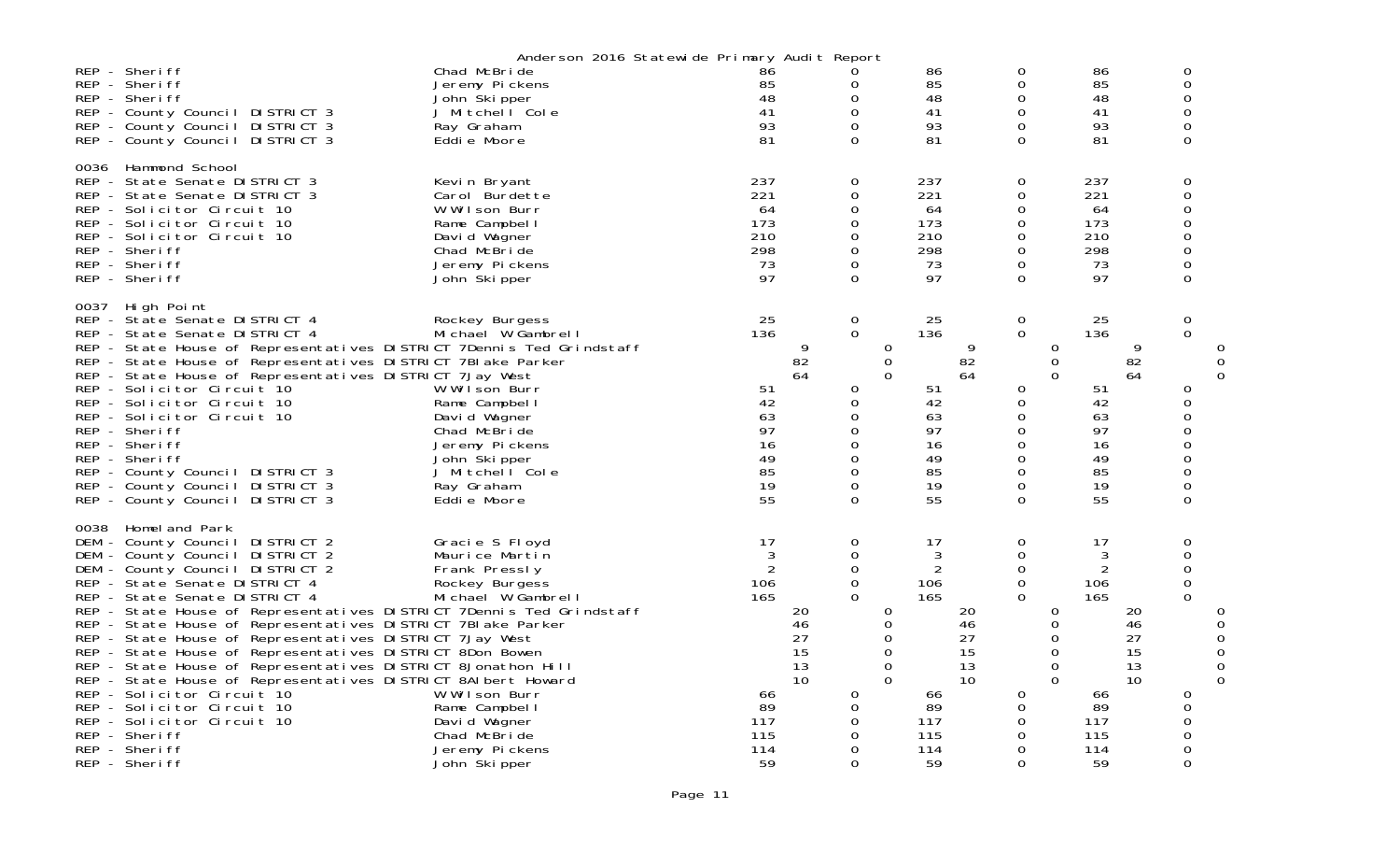|                                                                                                                                                                                                                                                                                                                                                                                                                                                                                                                                                                                                                                                                                                                                             | Anderson 2016 Statewide Primary Audit Report                                                                                                                                                   |                                                                   |                                  |                                                                                                 |                                                    |                                                                                |                                  |                                                                                                    |                                                           |                                                                   |                                  |                                                                          |                  |
|---------------------------------------------------------------------------------------------------------------------------------------------------------------------------------------------------------------------------------------------------------------------------------------------------------------------------------------------------------------------------------------------------------------------------------------------------------------------------------------------------------------------------------------------------------------------------------------------------------------------------------------------------------------------------------------------------------------------------------------------|------------------------------------------------------------------------------------------------------------------------------------------------------------------------------------------------|-------------------------------------------------------------------|----------------------------------|-------------------------------------------------------------------------------------------------|----------------------------------------------------|--------------------------------------------------------------------------------|----------------------------------|----------------------------------------------------------------------------------------------------|-----------------------------------------------------------|-------------------------------------------------------------------|----------------------------------|--------------------------------------------------------------------------|------------------|
| REP - Sheriff<br>REP - Sheriff<br>REP - Sheriff<br>REP - County Council DISTRICT 3<br>REP - County Council DISTRICT 3<br>REP - County Council DISTRICT 3                                                                                                                                                                                                                                                                                                                                                                                                                                                                                                                                                                                    | Chad McBride<br>Jeremy Pickens<br>John Skipper<br>J Mitchell Cole<br>Ray Graham<br>Eddie Moore                                                                                                 | 86<br>85<br>48<br>41<br>93<br>81                                  |                                  | 0<br>0<br>$\mathbf 0$<br>0<br>0<br>$\Omega$                                                     |                                                    | 86<br>85<br>48<br>41<br>93<br>81                                               |                                  | 0<br>0<br>$\mathbf 0$<br>0<br>0<br>$\Omega$                                                        |                                                           | 86<br>85<br>48<br>41<br>93<br>81                                  |                                  | 0<br>$\Omega$<br>0<br>$\Omega$<br>0<br>0                                 |                  |
| 0036 Hammond School<br>REP - State Senate DISTRICT 3<br>REP - State Senate DISTRICT 3<br>REP - Solicitor Circuit 10<br>REP - Solicitor Circuit 10<br>REP - Solicitor Circuit 10<br>REP - Sheriff<br>REP - Sheriff<br>REP - Sheriff                                                                                                                                                                                                                                                                                                                                                                                                                                                                                                          | Kevin Bryant<br>Carol Burdette<br>W Wilson Burr<br>Rame Campbel I<br>David Wagner<br>Chad McBride<br>Jeremy Pickens<br>John Skipper                                                            | 237<br>221<br>64<br>173<br>210<br>298<br>73<br>97                 |                                  | 0<br>$\mathbf 0$<br>0<br>0<br>$\mathbf 0$<br>$\mathbf 0$<br>0<br>$\Omega$                       |                                                    | 237<br>221<br>64<br>173<br>210<br>298<br>73<br>97                              |                                  | $\mathbf 0$<br>$\mathbf 0$<br>0<br>$\mathbf 0$<br>0<br>$\mathbf 0$<br>0<br>$\mathbf 0$             |                                                           | 237<br>221<br>64<br>173<br>210<br>298<br>73<br>97                 |                                  | 0<br>0<br>0<br>0<br>0<br>0<br>0<br>0                                     |                  |
| 0037 High Point<br>REP - State Senate DISTRICT 4<br>REP - State Senate DISTRICT 4<br>REP - State House of Representatives DISTRICT 7Dennis Ted Grindstaff<br>REP - State House of Representatives DISTRICT 7BI ake Parker<br>REP - State House of Representatives DISTRICT 7Jay West<br>REP - Solicitor Circuit 10<br>REP - Solicitor Circuit 10<br>REP - Solicitor Circuit 10<br>REP - Sheriff<br>REP - Sheriff<br>REP - Sheriff<br>REP - County Council DISTRICT 3<br>REP - County Council DISTRICT 3<br>REP - County Council DISTRICT 3                                                                                                                                                                                                  | Rockey Burgess<br>Michael W Gambrell<br>W Wilson Burr<br>Rame Campbel I<br>David Wagner<br>Chad McBride<br>Jeremy Pickens<br>John Škipper<br>J Mitchell Cole<br>Ray Graham<br>Eddie Moore      | 25<br>136<br>51<br>42<br>63<br>97<br>16<br>49<br>85<br>19<br>55   | 9<br>82<br>64                    | $\mathbf 0$<br>$\mathbf 0$<br>0<br>$\mathbf 0$<br>0<br>0<br>0<br>0<br>0<br>$\Omega$<br>$\Omega$ | 0<br>0<br>$\Omega$                                 | 25<br>136<br>51<br>42<br>63<br>97<br>16<br>49<br>85<br>19<br>55                | 9<br>82<br>64                    | $\mathbf 0$<br>$\mathbf 0$<br>0<br>0<br>0<br>0<br>$\mathbf 0$<br>$\mathbf 0$<br>0<br>0<br>$\Omega$ | 0<br>0<br>$\Omega$                                        | 25<br>136<br>51<br>42<br>63<br>97<br>16<br>49<br>85<br>19<br>55   | 9<br>82<br>64                    | 0<br>$\mathbf{O}$<br>0<br>0<br>0<br>0<br>0<br>$\Omega$<br>0<br>0<br>0    | O<br>$\Omega$    |
| 0038 Homel and Park<br>DEM - County Council DISTRICT 2<br>DEM - County Council DISTRICT 2<br>DEM - County Council DISTRICT 2<br>REP - State Senate DISTRICT 4<br>REP - State Senate DISTRICT 4<br>REP - State House of Representatives DISTRICT 7Dennis Ted Grindstaff<br>REP - State House of Representatives DISTRICT 7BI ake Parker<br>REP - State House of Representatives DISTRICT 7Jay West<br>REP - State House of Representatives DISTRICT 8Don Bowen<br>REP - State House of Representatives DISTRICT 8Jonathon Hill<br>REP - State House of Representatives DISTRICT 8AI bert Howard<br>REP - Solicitor Circuit 10<br>REP - Solicitor Circuit 10<br>REP - Solicitor Circuit 10<br>REP - Sheriff<br>REP - Sheriff<br>REP - Sheriff | Gracie S Floyd<br>Maurice Martin<br>Frank Pressly<br>Rockey Burgess<br>Michael W Gambrell<br>W Wilson Burr<br>Rame Campbel I<br>David Wagner<br>Chad McBride<br>Jeremy Pickens<br>John Skipper | 17<br>3<br>2<br>106<br>165<br>66<br>89<br>117<br>115<br>114<br>59 | 20<br>46<br>27<br>15<br>13<br>10 | 0<br>0<br>0<br>$\mathbf 0$<br>$\Omega$<br>0<br>0<br>$\Omega$<br>0<br>0<br>$\Omega$              | 0<br>0<br>0<br>$\Omega$<br>$\mathbf 0$<br>$\Omega$ | 17<br>3<br>$\overline{2}$<br>106<br>165<br>66<br>89<br>117<br>115<br>114<br>59 | 20<br>46<br>27<br>15<br>13<br>10 | 0<br>0<br>$\mathbf 0$<br>$\mathbf 0$<br>$\Omega$<br>0<br>0<br>0<br>0<br>0<br>$\Omega$              | 0<br>$\Omega$<br>0<br>$\Omega$<br>$\mathbf 0$<br>$\Omega$ | 17<br>3<br>2<br>106<br>165<br>66<br>89<br>117<br>115<br>114<br>59 | 20<br>46<br>27<br>15<br>13<br>10 | 0<br>$\Omega$<br>$\mathbf 0$<br>0<br>$\Omega$<br>0<br>0<br>0<br>$\Omega$ | 0<br>0<br>0<br>0 |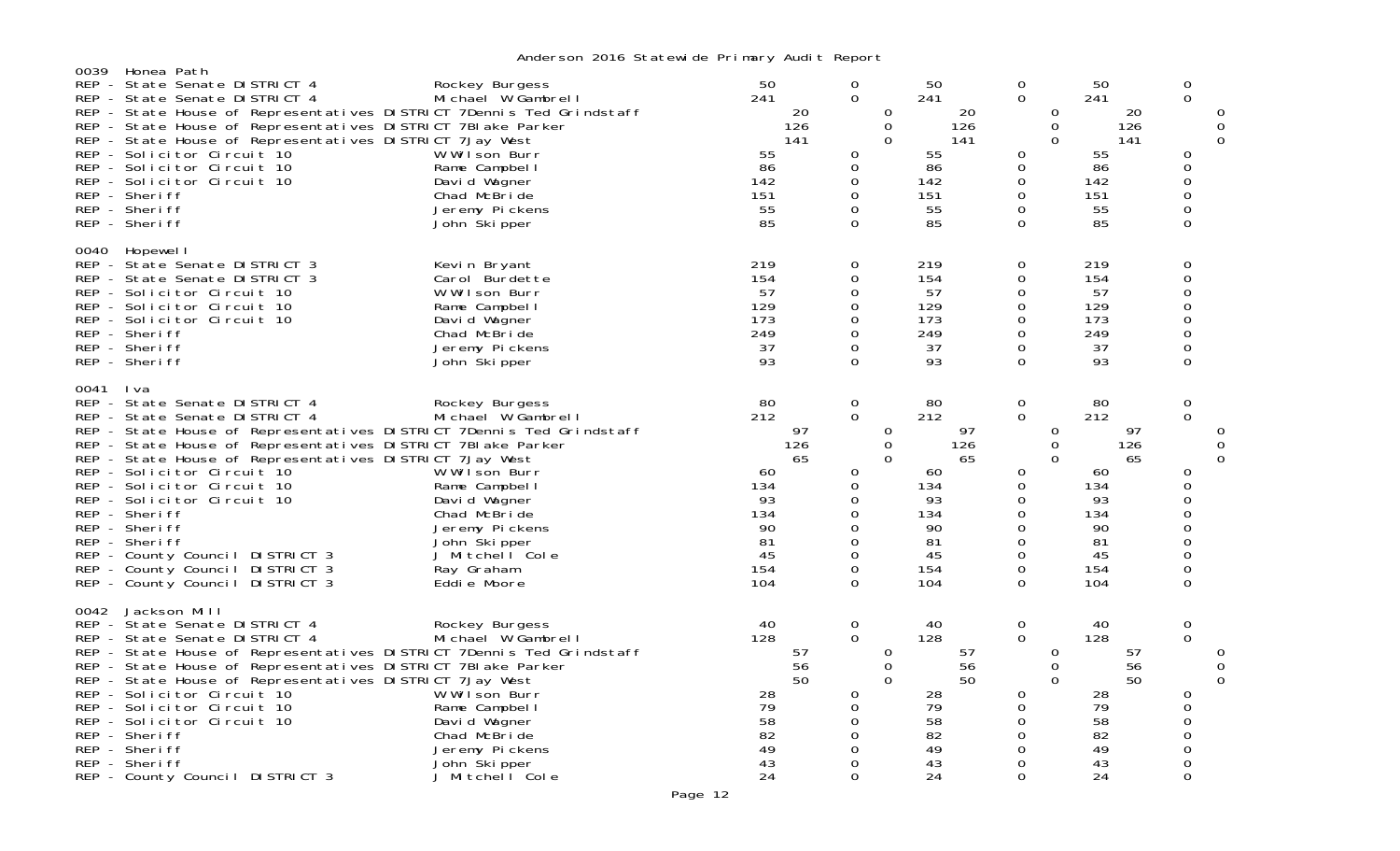| 0039 | Honea Path                                                                                                                                                                                                                                                                                                                                                                                                                                                                                                                      | rindor son Esto Statom do Titimary nadit nopor                                                                                                                                           |                                                                                        |                                                                                                                                                         |                                                                                        |                                                                                                                 |                                                                                        |                                                                                                                           |
|------|---------------------------------------------------------------------------------------------------------------------------------------------------------------------------------------------------------------------------------------------------------------------------------------------------------------------------------------------------------------------------------------------------------------------------------------------------------------------------------------------------------------------------------|------------------------------------------------------------------------------------------------------------------------------------------------------------------------------------------|----------------------------------------------------------------------------------------|---------------------------------------------------------------------------------------------------------------------------------------------------------|----------------------------------------------------------------------------------------|-----------------------------------------------------------------------------------------------------------------|----------------------------------------------------------------------------------------|---------------------------------------------------------------------------------------------------------------------------|
|      | REP - State Senate DISTRICT 4<br>REP - State Senate DISTRICT 4<br>REP - State House of Representatives DISTRICT 7Dennis Ted Grindstaff<br>REP - State House of Representatives DISTRICT 7BI ake Parker<br>REP - State House of Representatives DISTRICT 7Jay West<br>REP - Solicitor Circuit 10<br>REP - Solicitor Circuit 10<br>REP - Solicitor Circuit 10<br>REP - Sheriff<br>REP - Sheriff<br>REP - Sheriff                                                                                                                  | Rockey Burgess<br>Michael W Gambrell<br>W Wilson Burr<br>Rame Campbell<br>David Wagner<br>Chad McBride<br>Jeremy Pickens<br>John Skipper                                                 | 50<br>241<br>20<br>126<br>141<br>55<br>86<br>142<br>151<br>55<br>85                    | 0<br>$\mathbf 0$<br>0<br>$\mathbf 0$<br>$\Omega$<br>0<br>$\mathbf 0$<br>0<br>0<br>0<br>0                                                                | 50<br>241<br>20<br>126<br>141<br>55<br>86<br>142<br>151<br>55<br>85                    | 0<br>0<br>0<br>$\Omega$<br>$\Omega$<br>0<br>$\mathbf 0$<br>0<br>0<br>0<br>0                                     | 50<br>241<br>20<br>126<br>141<br>55<br>86<br>142<br>151<br>55<br>85                    | 0<br>$\Omega$<br>Ω<br>$\mathbf 0$<br>$\Omega$<br>$\Omega$<br>0<br>0<br>0<br>$\Omega$<br>$\Omega$                          |
| 0040 | Hopewel I<br>REP - State Senate DISTRICT 3<br>REP - State Senate DISTRICT 3<br>REP - Solicitor Circuit 10<br>REP - Solicitor Circuit 10<br>REP - Solicitor Circuit 10<br>REP - Sheriff<br>REP - Sheriff<br>REP - Sheriff                                                                                                                                                                                                                                                                                                        | Kevin Bryant<br>Carol Burdette<br>W Wilson Burr<br>Rame Campbell<br>David Wagner<br>Chad McBride<br>Jeremy Pickens<br>John Skipper                                                       | 219<br>154<br>57<br>129<br>173<br>249<br>37<br>93                                      | 0<br>$\Omega$<br>0<br>$\Omega$<br>0<br>$\mathbf 0$<br>$\mathbf 0$<br>$\Omega$                                                                           | 219<br>154<br>57<br>129<br>173<br>249<br>37<br>93                                      | 0<br>0<br>0<br>0<br>0<br>$\mathbf 0$<br>0<br>0                                                                  | 219<br>154<br>57<br>129<br>173<br>249<br>37<br>93                                      | 0<br>$\Omega$<br>0<br>$\Omega$<br>0<br>$\mathbf 0$<br>$\mathbf 0$<br>$\Omega$                                             |
| 0041 | I va<br>REP - State Senate DISTRICT 4<br>REP - State Senate DISTRICT 4<br>REP - State House of Representatives DISTRICT 7Dennis Ted Grindstaff<br>REP - State House of Representatives DISTRICT 7BI ake Parker<br>REP - State House of Representatives DISTRICT 7Jay West<br>REP - Solicitor Circuit 10<br>REP - Solicitor Circuit 10<br>REP - Solicitor Circuit 10<br>REP - Sheriff<br>REP - Sheriff<br>REP - Sheriff<br>REP - County Council DISTRICT 3<br>REP - County Council DISTRICT 3<br>REP - County Council DISTRICT 3 | Rockey Burgess<br>Michael W Gambrell<br>W Wilson Burr<br>Rame Campbell<br>David Wagner<br>Chad McBride<br>Jeremy Pickens<br>John Skipper<br>J Mitchell Cole<br>Ray Graham<br>Eddie Moore | 80<br>212<br>97<br>126<br>65<br>60<br>134<br>93<br>134<br>90<br>81<br>45<br>154<br>104 | 0<br>$\Omega$<br>0<br>$\mathbf 0$<br>$\overline{0}$<br>$\mathbf 0$<br>0<br>0<br>0<br>$\Omega$<br>0<br>0<br>0<br>0                                       | 80<br>212<br>97<br>126<br>65<br>60<br>134<br>93<br>134<br>90<br>81<br>45<br>154<br>104 | $\mathbf 0$<br>$\mathbf 0$<br>0<br>0<br>$\Omega$<br>0<br>0<br>0<br>0<br>$\Omega$<br>$\mathbf 0$<br>0<br>0<br>0  | 80<br>212<br>97<br>126<br>65<br>60<br>134<br>93<br>134<br>90<br>81<br>45<br>154<br>104 | 0<br>$\Omega$<br>0<br>$\Omega$<br>0<br>$\Omega$<br>$\Omega$<br>0<br>$\Omega$<br>$\mathbf{O}$<br>0<br>$\Omega$<br>$\Omega$ |
| 0042 | Jackson Mill<br>REP - State Senate DISTRICT 4<br>REP - State Senate DISTRICT 4<br>REP - State House of Representatives DISTRICT 7Dennis Ted Grindstaff<br>REP - State House of Representatives DISTRICT 7BI ake Parker<br>REP - State House of Representatives DISTRICT 7Jay West<br>REP - Solicitor Circuit 10<br>REP - Solicitor Circuit 10<br>REP - Solicitor Circuit 10<br>REP - Sheriff<br>REP - Sheriff<br>REP - Sheriff<br>REP - County Council DISTRICT 3                                                               | Rockey Burgess<br>Michael W Gambrell<br>W Wilson Burr<br>Rame Campbell<br>David Wagner<br>Chad McBride<br>Jeremy Pickens<br>John Skipper<br>J Mitchell Cole                              | 40<br>128<br>57<br>56<br>50<br>28<br>79<br>58<br>82<br>49<br>43<br>24                  | $\mathbf 0$<br>$\mathbf{0}$<br>0<br>$\mathbf 0$<br>$\overline{0}$<br>$\mathbf 0$<br>$\mathbf 0$<br>$\Omega$<br>0<br>$\Omega$<br>$\mathbf 0$<br>$\Omega$ | 40<br>128<br>57<br>56<br>50<br>28<br>79<br>58<br>82<br>49<br>43<br>24                  | $\mathbf 0$<br>$\mathbf{O}$<br>0<br>0<br>$\Omega$<br>0<br>0<br>0<br>$\mathbf 0$<br>$\mathbf 0$<br>0<br>$\Omega$ | 40<br>128<br>57<br>56<br>50<br>28<br>79<br>58<br>82<br>49<br>43<br>24                  | 0<br>$\Omega$<br>Ω<br>0<br>$\Omega$<br>0<br>0<br>$\Omega$<br>0<br>$\Omega$<br>$\Omega$<br>$\Omega$                        |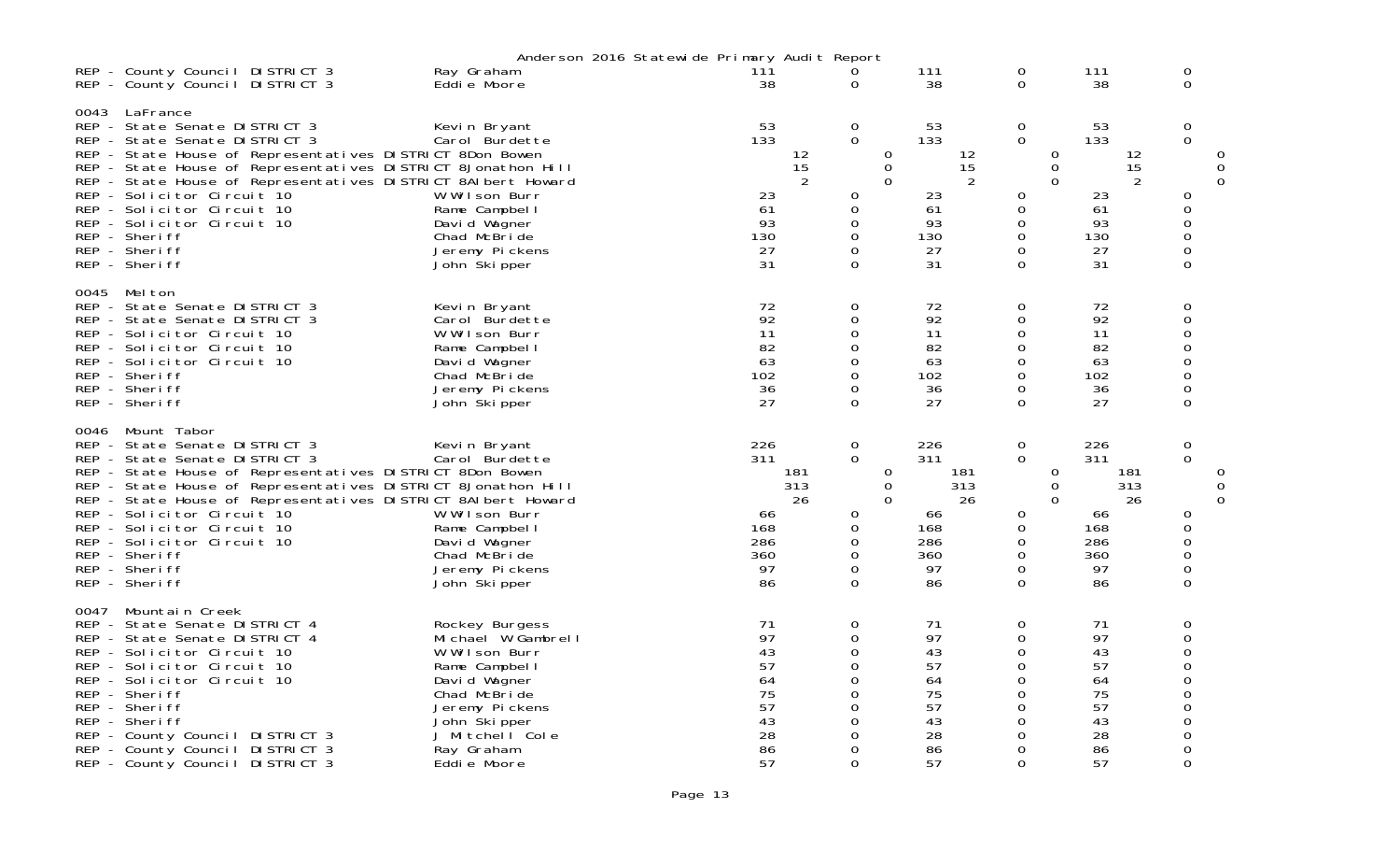|      |                                                                                                                                                                                                                                                                                                                                                                                                                         |                                                                                                                                                                                           | Anderson 2016 Statewide Primary Audit Report                   |                                                                                                  |                           |                                                                       |                                                                                                                                           |                                                                       |                                                    |          |
|------|-------------------------------------------------------------------------------------------------------------------------------------------------------------------------------------------------------------------------------------------------------------------------------------------------------------------------------------------------------------------------------------------------------------------------|-------------------------------------------------------------------------------------------------------------------------------------------------------------------------------------------|----------------------------------------------------------------|--------------------------------------------------------------------------------------------------|---------------------------|-----------------------------------------------------------------------|-------------------------------------------------------------------------------------------------------------------------------------------|-----------------------------------------------------------------------|----------------------------------------------------|----------|
|      | REP - County Council DISTRICT 3<br>REP - County Council DISTRICT 3                                                                                                                                                                                                                                                                                                                                                      | Ray Graham<br>Eddie Moore                                                                                                                                                                 | 111<br>38                                                      | 0<br>0                                                                                           |                           | 111<br>38                                                             | 0<br>0                                                                                                                                    | 111<br>38                                                             | 0<br>0                                             |          |
| 0043 | LaFrance<br>REP - State Senate DISTRICT 3<br>REP - State Senate DISTRICT 3<br>REP - State House of Representatives DISTRICT 8Don Bowen<br>REP - State House of Representatives DISTRICT 8Jonathon Hill                                                                                                                                                                                                                  | Kevin Bryant<br>Carol Burdette                                                                                                                                                            | 53<br>133                                                      | 0<br>$\mathbf 0$<br>12<br>15                                                                     | 0<br>0                    | 53<br>133<br>12<br>15                                                 | $\mathbf 0$<br>$\mathbf 0$<br>0<br>0                                                                                                      | 53<br>133<br>12<br>15                                                 | 0<br>$\Omega$                                      |          |
|      | REP - State House of Representatives DISTRICT 8AI bert Howard<br>REP - Solicitor Circuit 10<br>REP - Solicitor Circuit 10<br>REP - Solicitor Circuit 10<br>REP - Sheriff<br>REP - Sheriff<br>REP - Sheriff                                                                                                                                                                                                              | W Wilson Burr<br>Rame Campbell<br>David Wagner<br>Chad McBride<br>Jeremy Pickens<br>John Skipper                                                                                          | 23<br>61<br>93<br>130<br>27<br>31                              | 2<br>0<br>$\mathbf 0$<br>$\mathbf 0$<br>0<br>0<br>$\Omega$                                       | $\Omega$                  | 2<br>23<br>61<br>93<br>130<br>27<br>31                                | $\Omega$<br>0<br>$\mathbf 0$<br>$\mathbf 0$<br>0<br>0<br>$\Omega$                                                                         | $\overline{2}$<br>23<br>61<br>93<br>130<br>27<br>31                   | 0<br>0<br>0<br>0<br>0<br>$\Omega$                  | $\Omega$ |
| 0045 | Mel ton<br>REP - State Senate DISTRICT 3<br>REP - State Senate DISTRICT 3<br>REP - Solicitor Circuit 10<br>REP - Solicitor Circuit 10<br>REP - Solicitor Circuit 10<br>REP - Sheriff<br>REP - Sheriff<br>REP - Sheriff                                                                                                                                                                                                  | Kevin Bryant<br>Carol Burdette<br>W Wilson Burr<br>Rame Campbell<br>David Wagner<br>Chad McBride<br>Jeremy Pickens<br>John Skipper                                                        | 72<br>92<br>11<br>82<br>63<br>102<br>36<br>27                  | 0<br>0<br>$\mathbf 0$<br>0<br>$\mathbf 0$<br>$\mathbf 0$<br>0<br>$\Omega$                        |                           | 72<br>92<br>11<br>82<br>63<br>102<br>36<br>27                         | 0<br>0<br>0<br>0<br>0<br>$\boldsymbol{0}$<br>0<br>0                                                                                       | 72<br>92<br>11<br>82<br>63<br>102<br>36<br>27                         | 0<br>0<br>$\Omega$<br>0<br>0<br>0<br>0<br>0        |          |
| 0046 | Mount Tabor<br>REP - State Senate DISTRICT 3<br>REP - State Senate DISTRICT 3<br>REP - State House of Representatives DISTRICT 8Don Bowen<br>REP - State House of Representatives DISTRICT 8Jonathon Hill<br>REP - State House of Representatives DISTRICT 8AI bert Howard<br>REP - Solicitor Circuit 10<br>REP - Solicitor Circuit 10<br>REP - Solicitor Circuit 10<br>REP - Sheriff<br>REP - Sheriff<br>REP - Sheriff | Kevin Bryant<br>Carol Burdette<br>W Wilson Burr<br>Rame Campbell<br>David Wagner<br>Chad McBride<br>Jeremy Pickens<br>John Ški pper                                                       | 226<br>311<br>66<br>168<br>286<br>360<br>97<br>86              | 0<br>$\mathbf 0$<br>181<br>313<br>26<br>0<br>$\mathbf 0$<br>$\mathbf 0$<br>$\mathbf 0$<br>0<br>0 | 0<br>$\Omega$<br>$\Omega$ | 226<br>311<br>181<br>313<br>26<br>66<br>168<br>286<br>360<br>97<br>86 | 0<br>$\mathbf 0$<br>0<br>0<br>$\Omega$<br>0<br>0<br>$\mathbf 0$<br>$\mathbf 0$<br>0<br>$\Omega$                                           | 226<br>311<br>181<br>313<br>26<br>66<br>168<br>286<br>360<br>97<br>86 | 0<br>$\Omega$<br>0<br>0<br>0<br>0<br>0<br>$\Omega$ | 0<br>0   |
| 0047 | Mountain Creek<br>REP - State Senate DISTRICT 4<br>REP - State Senate DISTRICT 4<br>REP - Solicitor Circuit 10<br>REP - Solicitor Circuit 10<br>REP - Solicitor Circuit 10<br>REP - Sheriff<br>REP - Sheriff<br>REP - Sheriff<br>REP - County Council DISTRICT 3<br>REP - County Council DISTRICT 3<br>REP - County Council DISTRICT 3                                                                                  | Rockey Burgess<br>Michael W Gambrell<br>W Wilson Burr<br>Rame Campbel I<br>David Wagner<br>Chad McBride<br>Jeremy Pickens<br>John Skipper<br>J Mitchell Cole<br>Ray Graham<br>Eddie Moore | 71<br>97<br>43<br>57<br>64<br>75<br>57<br>43<br>28<br>86<br>57 | 0<br>0<br>0<br>$\mathbf 0$<br>0<br>$\mathbf 0$<br>0<br>0<br>0<br>0<br>$\Omega$                   |                           | 71<br>97<br>43<br>57<br>64<br>75<br>57<br>43<br>28<br>86<br>57        | 0<br>$\boldsymbol{0}$<br>0<br>$\boldsymbol{0}$<br>0<br>$\boldsymbol{0}$<br>$\mathbf 0$<br>$\mathbf 0$<br>0<br>$\mathbf 0$<br>$\mathbf{O}$ | 71<br>97<br>43<br>57<br>64<br>75<br>57<br>43<br>28<br>86<br>57        | 0<br>0<br>∩<br>0<br>ი<br>0<br>0<br>0<br>$\Omega$   |          |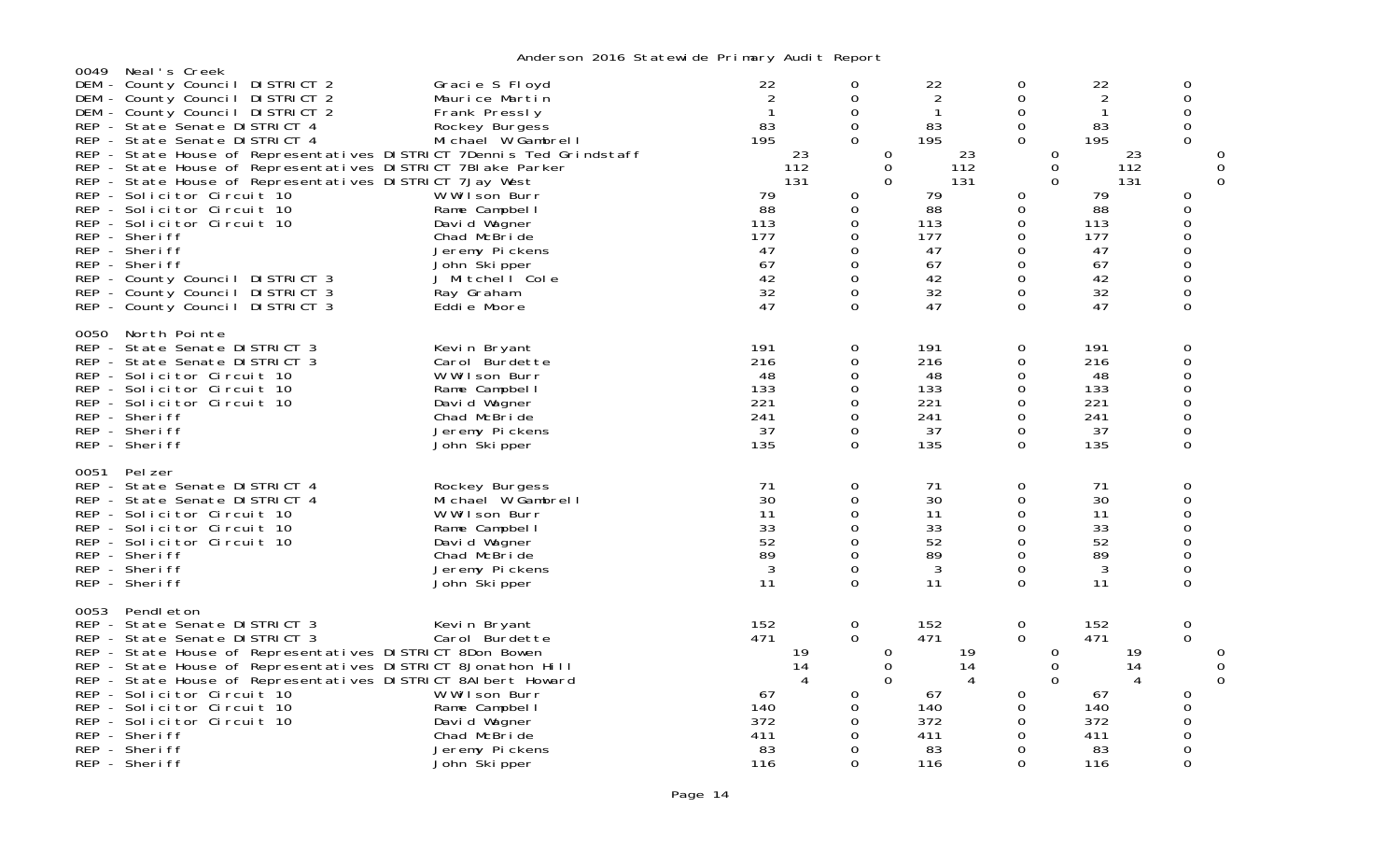| 0049                            | Neal's Creek                                                                                                                                                                                                                                                                                                                                                                                                                                                                                                                                                                                                     |                                                                                                                                                                                                                                                 |                                                                                                                               |                                                                                                                     |                                                                                                                               |                                                                                                                                                         |                                                                                                                               |                                                                                                                                                     |                    |
|---------------------------------|------------------------------------------------------------------------------------------------------------------------------------------------------------------------------------------------------------------------------------------------------------------------------------------------------------------------------------------------------------------------------------------------------------------------------------------------------------------------------------------------------------------------------------------------------------------------------------------------------------------|-------------------------------------------------------------------------------------------------------------------------------------------------------------------------------------------------------------------------------------------------|-------------------------------------------------------------------------------------------------------------------------------|---------------------------------------------------------------------------------------------------------------------|-------------------------------------------------------------------------------------------------------------------------------|---------------------------------------------------------------------------------------------------------------------------------------------------------|-------------------------------------------------------------------------------------------------------------------------------|-----------------------------------------------------------------------------------------------------------------------------------------------------|--------------------|
| DEM<br>DEM<br>DEM<br><b>REP</b> | - County Council DISTRICT 2<br>- County Council DISTRICT 2<br>- County Council DISTRICT 2<br>- State Senate DISTRICT 4<br>REP - State Senate DISTRICT 4<br>REP - State House of Representatives DISTRICT 7Dennis Ted Grindstaff<br>REP - State House of Representatives DISTRICT 7BI ake Parker<br>REP - State House of Representatives DISTRICT 7Jay West<br>REP - Solicitor Circuit 10<br>REP - Solicitor Circuit 10<br>REP - Solicitor Circuit 10<br>REP - Sheriff<br>REP - Sheriff<br>REP - Sheriff<br>REP - County Council DISTRICT 3<br>REP - County Council DISTRICT 3<br>REP - County Council DISTRICT 3 | Gracie S Floyd<br>Maurice Martin<br>Frank Pressly<br>Rockey Burgess<br>Michael W Gambrell<br>W Wilson Burr<br>Rame Campbel I<br>David Wagner<br>Chad McBride<br>Jeremy Pickens<br>John Ški pper<br>J Mitchell Cole<br>Ray Graham<br>Eddie Moore | 22<br>$\overline{2}$<br>$\mathbf{1}$<br>83<br>195<br>23<br>112<br>131<br>79<br>88<br>113<br>177<br>47<br>67<br>42<br>32<br>47 | 0<br>0<br>0<br>$\mathbf 0$<br>$\Omega$<br>0<br>$\mathbf 0$<br>$\Omega$<br>0<br>0<br>0<br>0<br>0<br>0<br>0<br>0<br>0 | 22<br>$\overline{2}$<br>$\mathbf{1}$<br>83<br>195<br>23<br>112<br>131<br>79<br>88<br>113<br>177<br>47<br>67<br>42<br>32<br>47 | 0<br>$\Omega$<br>0<br>$\Omega$<br>$\Omega$<br>0<br>$\mathbf 0$<br>$\Omega$<br>0<br>0<br>0<br>$\Omega$<br>0<br>$\Omega$<br>0<br>$\Omega$<br>$\mathbf{O}$ | 22<br>$\overline{2}$<br>$\mathbf{1}$<br>83<br>195<br>23<br>112<br>131<br>79<br>88<br>113<br>177<br>47<br>67<br>42<br>32<br>47 | 0<br>0<br>$\Omega$<br>0<br>$\Omega$<br>0<br>O<br>0<br>$\overline{0}$<br>$\mathbf 0$<br>$\overline{0}$<br>$\mathsf{O}\xspace$<br>$\overline{0}$<br>0 | 0<br>0<br>$\Omega$ |
| 0050                            | North Pointe<br>REP - State Senate DISTRICT 3<br>REP - State Senate DISTRICT 3<br>REP - Solicitor Circuit 10<br>REP - Solicitor Circuit 10<br>REP - Solicitor Circuit 10<br>REP - Sheriff<br>REP - Sheriff<br>REP - Sheriff                                                                                                                                                                                                                                                                                                                                                                                      | Kevin Bryant<br>Carol Burdette<br>W Wilson Burr<br>Rame Campbel I<br>David Wagner<br>Chad McBride<br>Jeremy Pickens<br>John Skipper                                                                                                             | 191<br>216<br>48<br>133<br>221<br>241<br>37<br>135                                                                            | 0<br>0<br>0<br>0<br>0<br>$\Omega$<br>0<br>0                                                                         | 191<br>216<br>48<br>133<br>221<br>241<br>37<br>135                                                                            | 0<br>0<br>0<br>$\Omega$<br>0<br>$\Omega$<br>0<br>$\mathbf 0$                                                                                            | 191<br>216<br>48<br>133<br>221<br>241<br>37<br>135                                                                            | 0<br>$\overline{0}$<br>0<br>0<br>0<br>0<br>0<br>$\Omega$                                                                                            |                    |
| 0051                            | Pel zer<br>REP - State Senate DISTRICT 4<br>REP - State Senate DISTRICT 4<br>REP - Solicitor Circuit 10<br>REP - Solicitor Circuit 10<br>REP - Solicitor Circuit 10<br>REP - Sheriff<br>REP - Sheriff<br>REP - Sheriff                                                                                                                                                                                                                                                                                                                                                                                           | Rockey Burgess<br>Michael W Gambrell<br>W Wilson Burr<br>Rame Campbel I<br>David Wagner<br>Chad McBride<br>Jeremy Pickens<br>John Skipper                                                                                                       | 71<br>30<br>11<br>33<br>52<br>89<br>$\mathbf{3}$<br>11                                                                        | 0<br>$\Omega$<br>0<br>0<br>0<br>0<br>0<br>$\Omega$                                                                  | 71<br>30<br>11<br>33<br>52<br>89<br>3<br>11                                                                                   | 0<br>$\Omega$<br>$\Omega$<br>$\mathbf 0$<br>0<br>$\mathsf{O}\xspace$<br>0<br>$\Omega$                                                                   | 71<br>30<br>11<br>33<br>52<br>89<br>3<br>11                                                                                   | 0<br>$\Omega$<br>0<br>$\overline{0}$<br>$\overline{0}$<br>0<br>0<br>0                                                                               |                    |
| 0053                            | Pendl eton<br>REP - State Senate DISTRICT 3<br>REP - State Senate DISTRICT 3<br>REP - State House of Representatives DISTRICT 8Don Bowen<br>REP - State House of Representatives DISTRICT 8Jonathon Hill<br>REP - State House of Representatives DISTRICT 8AI bert Howard<br>REP - Solicitor Circuit 10<br>REP - Solicitor Circuit 10<br>REP - Solicitor Circuit 10<br>REP - Sheriff<br>REP - Sheriff<br>REP - Sheriff                                                                                                                                                                                           | Kevin Bryant<br>Carol Burdette<br>W Wilson Burr<br>Rame Campbel I<br>David Wagner<br>Chad McBride<br>Jeremy Pickens<br>John Skipper                                                                                                             | 152<br>471<br>19<br>14<br>4<br>67<br>140<br>372<br>411<br>83<br>116                                                           | 0<br>$\mathbf 0$<br>0<br>$\overline{0}$<br>$\Omega$<br>0<br>0<br>$\Omega$<br>0<br>0<br>$\Omega$                     | 152<br>471<br>19<br>14<br>4<br>67<br>140<br>372<br>411<br>83<br>116                                                           | 0<br>$\mathbf 0$<br>0<br>0<br>$\Omega$<br>0<br>0<br>$\Omega$<br>0<br>0<br>$\Omega$                                                                      | 152<br>471<br>19<br>14<br>4<br>67<br>140<br>372<br>411<br>83<br>116                                                           | 0<br>0<br>0<br>O<br>$\Omega$<br>$\Omega$<br>$\Omega$<br>$\Omega$                                                                                    | 0<br>0<br>0        |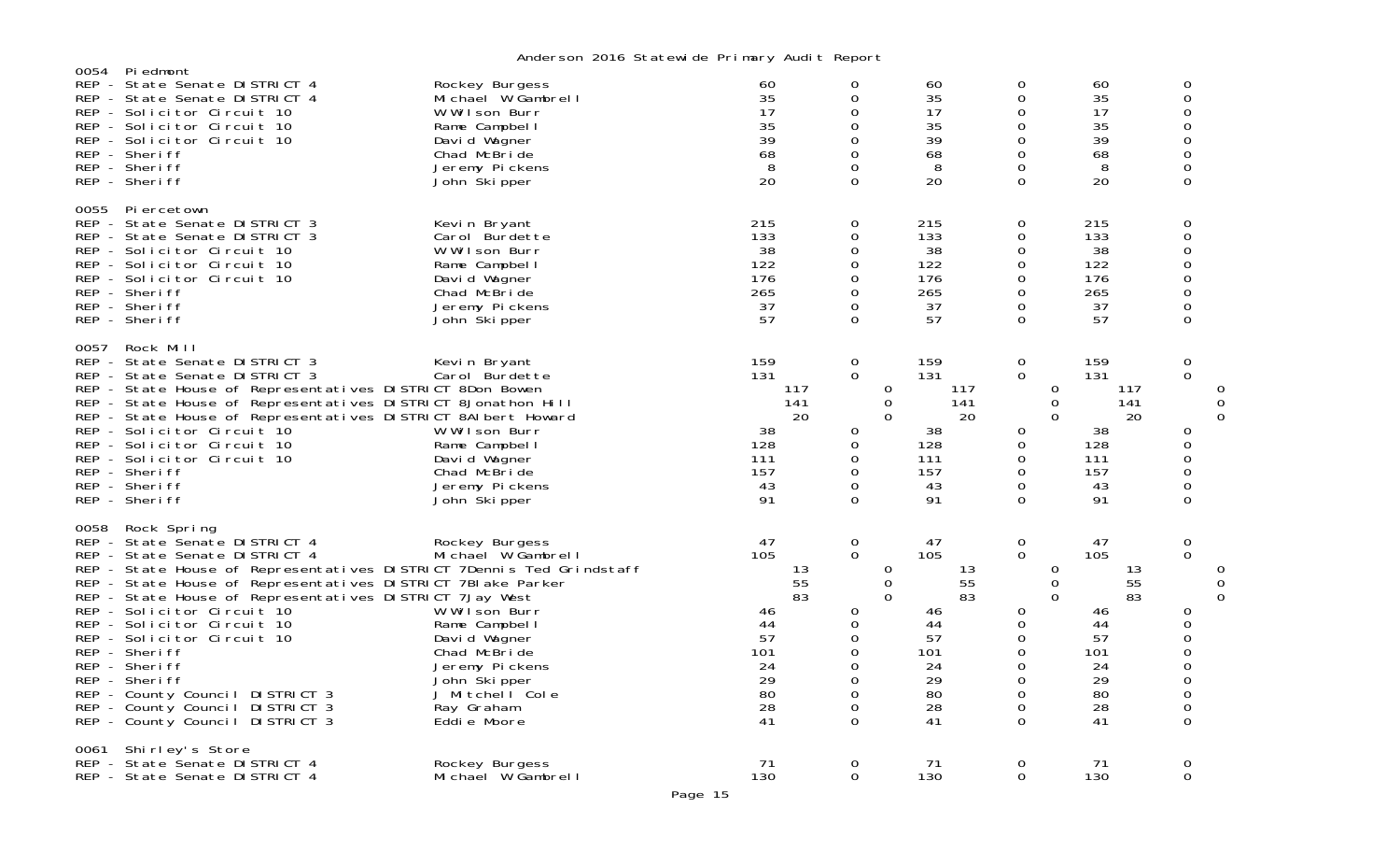|      |                                                                                                                                                                                                                                                                                                                                                                                                                                                                                                                                        | middle son zo to beat cwn do i'r mar y nadr t noport                                                                                                                                     |                                                                                    |                                                                                                                |                                                                                    |                                                                                                                                 |                                                                                    |                                                                                                                      |
|------|----------------------------------------------------------------------------------------------------------------------------------------------------------------------------------------------------------------------------------------------------------------------------------------------------------------------------------------------------------------------------------------------------------------------------------------------------------------------------------------------------------------------------------------|------------------------------------------------------------------------------------------------------------------------------------------------------------------------------------------|------------------------------------------------------------------------------------|----------------------------------------------------------------------------------------------------------------|------------------------------------------------------------------------------------|---------------------------------------------------------------------------------------------------------------------------------|------------------------------------------------------------------------------------|----------------------------------------------------------------------------------------------------------------------|
| 0054 | Piedmont<br>REP - State Senate DISTRICT 4<br>REP - State Senate DISTRICT 4<br>REP - Solicitor Circuit 10<br>REP - Solicitor Circuit 10<br>REP - Solicitor Circuit 10<br>REP - Sheriff<br>REP - Sheriff<br>REP - Sheriff                                                                                                                                                                                                                                                                                                                | Rockey Burgess<br>Michael W Gambrell<br>W Wilson Burr<br>Rame Campbell<br>David Wagner<br>Chad McBride<br>Jeremy Pickens<br>John Skipper                                                 | 60<br>35<br>17<br>35<br>39<br>68<br>8<br>20                                        | 0<br>0<br>$\Omega$<br>0<br>0<br>0<br>0<br>$\Omega$                                                             | 60<br>35<br>17<br>35<br>39<br>68<br>8<br>20                                        | 0<br>0<br>0<br>0<br>0<br>0<br>0<br>$\Omega$                                                                                     | 60<br>35<br>17<br>35<br>39<br>68<br>8<br>20                                        | 0<br>0<br>O<br>$\overline{0}$<br>0<br>$\overline{0}$<br>0<br>$\Omega$                                                |
| 0055 | Pi ercetown<br>REP - State Senate DISTRICT 3<br>REP - State Senate DISTRICT 3<br>REP - Solicitor Circuit 10<br>REP - Solicitor Circuit 10<br>REP - Solicitor Circuit 10<br>REP - Sheriff<br>REP - Sheriff<br>REP - Sheriff                                                                                                                                                                                                                                                                                                             | Kevin Bryant<br>Carol Burdette<br>W Wilson Burr<br>Rame Campbell<br>David Wagner<br>Chad McBride<br>Jeremy Pickens<br>John Skipper                                                       | 215<br>133<br>38<br>122<br>176<br>265<br>37<br>57                                  | 0<br>0<br>0<br>0<br>0<br>0<br>0<br>$\Omega$                                                                    | 215<br>133<br>38<br>122<br>176<br>265<br>37<br>57                                  | $\mathbf 0$<br>0<br>0<br>$\mathbf 0$<br>0<br>0<br>0<br>$\Omega$                                                                 | 215<br>133<br>38<br>122<br>176<br>265<br>37<br>57                                  | 0<br>0<br>0<br>$\mathbf 0$<br>$\overline{0}$<br>0<br>0<br>$\Omega$                                                   |
| 0057 | Rock Mill<br>REP - State Senate DISTRICT 3<br>REP - State Senate DISTRICT 3<br>REP - State House of Representatives DISTRICT 8Don Bowen<br>REP - State House of Representatives DISTRICT 8Jonathon Hill<br>REP - State House of Representatives DISTRICT 8AI bert Howard<br>REP - Solicitor Circuit 10<br>REP - Solicitor Circuit 10<br>REP - Solicitor Circuit 10<br>REP - Sheriff<br>REP - Sheriff<br>REP - Sheriff                                                                                                                  | Kevin Bryant<br>Carol Burdette<br>W Wilson Burr<br>Rame Campbell<br>David Wagner<br>Chad McBride<br>Jeremy Pickens<br>John Skipper                                                       | 159<br>131<br>117<br>141<br>20<br>38<br>128<br>111<br>157<br>43<br>91              | $\mathbf 0$<br>$\mathbf 0$<br>0<br>0<br>$\mathbf 0$<br>0<br>0<br>0<br>0<br>0<br>$\Omega$                       | 159<br>131<br>117<br>141<br>20<br>38<br>128<br>111<br>157<br>43<br>91              | $\mathbf 0$<br>0<br>$\mathbf 0$<br>$\Omega$<br>$\Omega$<br>0<br>0<br>0<br>0<br>0<br>$\Omega$                                    | 159<br>131<br>117<br>141<br>20<br>38<br>128<br>111<br>157<br>43<br>91              | $\boldsymbol{0}$<br>0<br>0<br>$\Omega$<br>$\Omega$<br>0<br>$\Omega$<br>O<br>$\Omega$<br>0<br>0                       |
| 0058 | Rock Spring<br>REP - State Senate DISTRICT 4<br>REP - State Senate DISTRICT 4<br>REP - State House of Representatives DISTRICT 7Dennis Ted Grindstaff<br>REP - State House of Representatives DISTRICT 7BI ake Parker<br>REP - State House of Representatives DISTRICT 7Jay West<br>REP - Solicitor Circuit 10<br>REP - Solicitor Circuit 10<br>REP - Solicitor Circuit 10<br>REP - Sheriff<br>REP - Sheriff<br>REP - Sheriff<br>REP - County Council DISTRICT 3<br>REP - County Council DISTRICT 3<br>REP - County Council DISTRICT 3 | Rockey Burgess<br>Michael W Gambrell<br>W Wilson Burr<br>Rame Campbell<br>David Wagner<br>Chad McBride<br>Jeremy Pickens<br>John Skipper<br>J Mitchell Cole<br>Ray Graham<br>Eddie Moore | 47<br>105<br>13<br>55<br>83<br>46<br>44<br>57<br>101<br>24<br>29<br>80<br>28<br>41 | 0<br>$\mathbf 0$<br>0<br>$\mathbf 0$<br>$\mathbf 0$<br>0<br>0<br>0<br>0<br>$\Omega$<br>0<br>0<br>0<br>$\Omega$ | 47<br>105<br>13<br>55<br>83<br>46<br>44<br>57<br>101<br>24<br>29<br>80<br>28<br>41 | $\mathbf 0$<br>$\mathbf 0$<br>0<br>0<br>$\Omega$<br>0<br>$\mathbf 0$<br>0<br>$\mathbf 0$<br>$\Omega$<br>0<br>0<br>0<br>$\Omega$ | 47<br>105<br>13<br>55<br>83<br>46<br>44<br>57<br>101<br>24<br>29<br>80<br>28<br>41 | 0<br>$\mathbf 0$<br>0<br>0<br>$\Omega$<br>0<br>0<br>$\Omega$<br>0<br>$\overline{0}$<br>$\overline{0}$<br>0<br>0<br>0 |
|      | 0061 Shirley's Store<br>REP - State Senate DISTRICT 4<br>REP - State Senate DISTRICT 4                                                                                                                                                                                                                                                                                                                                                                                                                                                 | Rockey Burgess<br>Michael W Gambrell                                                                                                                                                     | 71<br>130                                                                          | 0<br>0                                                                                                         | 71<br>130                                                                          | 0<br>0                                                                                                                          | 71<br>130                                                                          | 0<br>0                                                                                                               |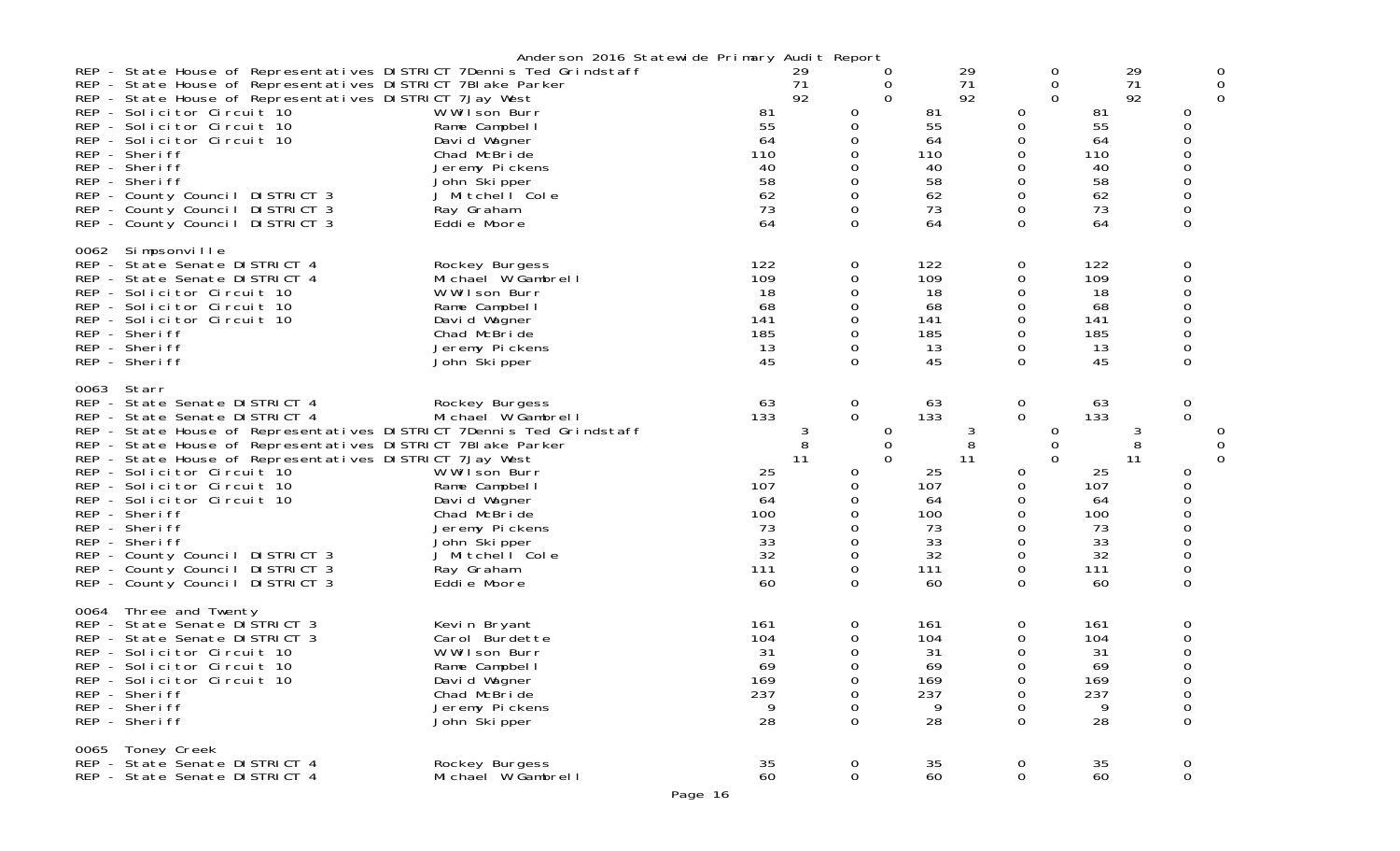|      |                                                                                                                                                                                                                                                                                                                                                                                                                                                                                                                                  | Anderson 2016 Statewide Primary Audit Report                                                                                                                                             |                                                                                    |                                                                                               |                                                                                    |                                                                                        |                                                                                    |                                                                                         |
|------|----------------------------------------------------------------------------------------------------------------------------------------------------------------------------------------------------------------------------------------------------------------------------------------------------------------------------------------------------------------------------------------------------------------------------------------------------------------------------------------------------------------------------------|------------------------------------------------------------------------------------------------------------------------------------------------------------------------------------------|------------------------------------------------------------------------------------|-----------------------------------------------------------------------------------------------|------------------------------------------------------------------------------------|----------------------------------------------------------------------------------------|------------------------------------------------------------------------------------|-----------------------------------------------------------------------------------------|
|      | REP - State House of Representatives DISTRICT 7Dennis Ted Grindstaff<br>REP - State House of Representatives DISTRICT 7BI ake Parker<br>REP - State House of Representatives DISTRICT 7Jay West<br>REP - Solicitor Circuit 10<br>REP - Solicitor Circuit 10<br>REP - Solicitor Circuit 10<br>REP - Sheriff<br>REP - Sheriff<br>REP - Sheriff<br>REP - County Council DISTRICT 3<br>REP - County Council DISTRICT 3<br>REP - County Council DISTRICT 3                                                                            | W Wilson Burr<br>Rame Campbel I<br>David Wagner<br>Chad McBride<br>Jeremy Pickens<br>John Skipper<br>J Mitchell Cole<br>Ray Graham<br>Eddie Moore                                        | 29<br>71<br>92<br>81<br>55<br>64<br>110<br>40<br>58<br>62<br>73<br>64              | O<br>0<br>$\mathbf 0$<br>0<br>0<br>0<br>0<br>0<br>0<br>0<br>0<br>$\Omega$                     | 29<br>71<br>92<br>81<br>55<br>64<br>110<br>40<br>58<br>62<br>73<br>64              | 0<br>0<br>$\Omega$<br>0<br>0<br>0<br>0<br>0<br>0<br>0<br>0<br>0                        | 29<br>71<br>92<br>81<br>55<br>64<br>110<br>40<br>58<br>62<br>73<br>64              | 0<br>0<br>$\Omega$<br>0<br>0<br>0<br>0<br>0<br>0<br>0<br>0<br>0                         |
| 0062 | Simpsonville<br>REP - State Senate DISTRICT 4<br>REP - State Senate DISTRICT 4<br>REP - Solicitor Circuit 10<br>REP - Solicitor Circuit 10<br>REP - Solicitor Circuit 10<br>REP - Sheriff<br>REP - Sheriff<br>REP - Sheriff                                                                                                                                                                                                                                                                                                      | Rockey Burgess<br>Michael W Gambrell<br>W Wilson Burr<br>Rame Campbel I<br>David Wagner<br>Chad McBride<br>Jeremy Pickens<br>John Skipper                                                | 122<br>109<br>18<br>68<br>141<br>185<br>13<br>45                                   | 0<br>0<br>0<br>0<br>0<br>0<br>0<br>$\Omega$                                                   | 122<br>109<br>18<br>68<br>141<br>185<br>13<br>45                                   | 0<br>0<br>0<br>0<br>0<br>0<br>0<br>$\Omega$                                            | 122<br>109<br>18<br>68<br>141<br>185<br>13<br>45                                   | 0<br>0<br>0<br>0<br>0<br>0<br>0<br>0                                                    |
| 0063 | Starr<br>REP - State Senate DISTRICT 4<br>REP - State Senate DISTRICT 4<br>REP - State House of Representatives DISTRICT 7Dennis Ted Grindstaff<br>REP - State House of Representatives DISTRICT 7BI ake Parker<br>REP - State House of Representatives DISTRICT 7Jay West<br>REP - Solicitor Circuit 10<br>REP - Solicitor Circuit 10<br>REP - Solicitor Circuit 10<br>REP - Sheriff<br>REP - Sheriff<br>REP - Sheriff<br>REP - County Council DISTRICT 3<br>REP - County Council DISTRICT 3<br>REP - County Council DISTRICT 3 | Rockey Burgess<br>Michael W Gambrell<br>W Wilson Burr<br>Rame Campbell<br>David Wagner<br>Chad McBride<br>Jeremy Pickens<br>John Skipper<br>J Mitchell Cole<br>Ray Graham<br>Eddie Moore | 63<br>133<br>3<br>8<br>11<br>25<br>107<br>64<br>100<br>73<br>33<br>32<br>111<br>60 | $\mathbf 0$<br>$\mathbf 0$<br>0<br>0<br>$\Omega$<br>0<br>0<br>0<br>0<br>0<br>0<br>0<br>0<br>0 | 63<br>133<br>3<br>8<br>11<br>25<br>107<br>64<br>100<br>73<br>33<br>32<br>111<br>60 | 0<br>$\overline{0}$<br>0<br>0<br>$\Omega$<br>0<br>0<br>0<br>0<br>0<br>0<br>0<br>0<br>0 | 63<br>133<br>3<br>8<br>11<br>25<br>107<br>64<br>100<br>73<br>33<br>32<br>111<br>60 | 0<br>$\Omega$<br>0<br>0<br>$\Omega$<br>0<br>0<br>0<br>0<br>$\Omega$<br>0<br>0<br>0<br>0 |
| 0064 | Three and Twenty<br>REP - State Senate DISTRICT 3<br>REP - State Senate DISTRICT 3<br>REP - Solicitor Circuit 10<br>REP - Solicitor Circuit 10<br>REP - Solicitor Circuit 10<br>REP - Sheriff<br>REP - Sheriff<br>REP - Sheriff                                                                                                                                                                                                                                                                                                  | Kevin Bryant<br>Carol Burdette<br>W Wilson Burr<br>Rame Campbel I<br>David Wagner<br>Chad McBride<br>Jeremy Pickens<br>John Skipper                                                      | 161<br>104<br>31<br>69<br>169<br>237<br>9<br>28                                    | 0<br>0<br>0<br>$\Omega$<br>0<br>0<br>0<br>$\Omega$                                            | 161<br>104<br>31<br>69<br>169<br>237<br>9<br>28                                    | 0<br>0<br>$\Omega$<br>$\Omega$<br>$\mathbf{0}$<br>0<br>0<br>0                          | 161<br>104<br>31<br>69<br>169<br>237<br>9<br>28                                    | 0<br>0<br>0<br>0<br>0<br>0<br>0<br>$\mathbf 0$                                          |
|      | 0065 Toney Creek<br>REP - State Senate DISTRICT 4<br>REP - State Senate DISTRICT 4                                                                                                                                                                                                                                                                                                                                                                                                                                               | Rockey Burgess<br>Michael W Gambrell                                                                                                                                                     | 35<br>60                                                                           | $\overline{0}$<br>$\mathbf 0$                                                                 | 35<br>60                                                                           | $\overline{0}$<br>$\mathbf 0$                                                          | 35<br>60                                                                           | 0<br>$\mathbf 0$                                                                        |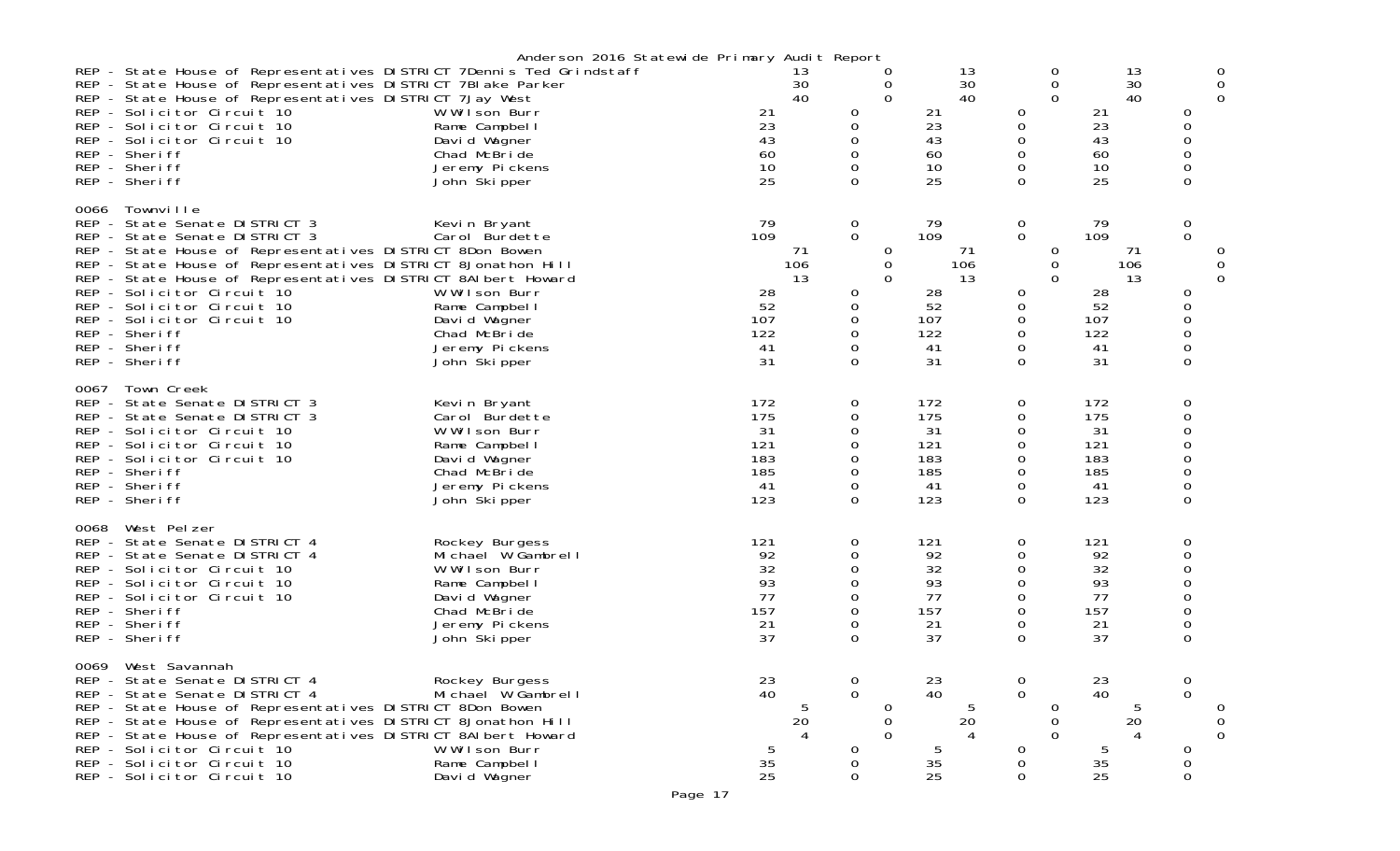|                 | REP - State House of Representatives DISTRICT 7Dennis Ted Grindstaff<br>REP - State House of Representatives DISTRICT 7BI ake Parker<br>REP - State House of Representatives DISTRICT 7Jay West<br>REP - Solicitor Circuit 10<br>REP - Solicitor Circuit 10<br>REP - Solicitor Circuit 10<br>REP - Sheriff<br>REP - Sheriff<br>REP - Sheriff                                                                    | Anderson 2016 Statewide Primary Audit Report<br>W Wilson Burr<br>Rame Campbell<br>David Wagner<br>Chad McBride<br>Jeremy Pickens<br>John Skipper | 21<br>23<br>43<br>60<br>10<br>25                   | 13<br>30<br>40  | O<br>0<br>$\Omega$<br>$\mathbf 0$<br>0<br>0<br>$\Omega$<br>$\Omega$<br>0                     | 13<br>30<br>40<br>21<br>23<br>43<br>60<br>10<br>25                 | 0<br>0<br>$\Omega$<br>0<br>0<br>$\mathbf 0$<br>0<br>0<br>0                      | 13<br>30<br>40<br>21<br>23<br>43<br>60<br>10<br>25                 | 0<br>$\mathbf 0$<br>$\overline{0}$<br>0<br>0<br>$\mathbf 0$<br>$\begin{smallmatrix}0\\0\end{smallmatrix}$<br>0                                                 |
|-----------------|-----------------------------------------------------------------------------------------------------------------------------------------------------------------------------------------------------------------------------------------------------------------------------------------------------------------------------------------------------------------------------------------------------------------|--------------------------------------------------------------------------------------------------------------------------------------------------|----------------------------------------------------|-----------------|----------------------------------------------------------------------------------------------|--------------------------------------------------------------------|---------------------------------------------------------------------------------|--------------------------------------------------------------------|----------------------------------------------------------------------------------------------------------------------------------------------------------------|
| 0066<br>$REP -$ | Townville<br>State Senate DISTRICT 3<br>REP - State Senate DISTRICT 3<br>REP - State House of Representatives DISTRICT 8Don Bowen<br>REP - State House of Representatives DISTRICT 8Jonathon Hill<br>REP - State House of Representatives DISTRICT 8AI bert Howard<br>REP - Solicitor Circuit 10<br>REP - Solicitor Circuit 10<br>REP - Solicitor Circuit 10<br>REP - Sheriff<br>REP - Sheriff<br>REP - Sheriff | Kevin Bryant<br>Carol Burdette<br>W Wilson Burr<br>Rame Campbel I<br>David Wagner<br>Chad McBride<br>Jeremy Pickens<br>John Ški pper             | 79<br>109<br>28<br>52<br>107<br>122<br>41<br>31    | 71<br>106<br>13 | $\mathbf 0$<br>$\mathbf 0$<br>0<br>0<br>$\Omega$<br>0<br>0<br>0<br>$\Omega$<br>0<br>$\Omega$ | 79<br>109<br>71<br>106<br>13<br>28<br>52<br>107<br>122<br>41<br>31 | 0<br>$\Omega$<br>0<br>0<br>$\Omega$<br>0<br>0<br>0<br>$\Omega$<br>$\Omega$<br>0 | 79<br>109<br>71<br>106<br>13<br>28<br>52<br>107<br>122<br>41<br>31 | $\mathbf 0$<br>$\mathbf 0$<br>0<br>$\overline{0}$<br>$\mathbf 0$<br>0<br>0<br>$\mathbf 0$<br>$\mathsf{O}\xspace$<br>$\mathsf{O}\xspace$<br>$\mathsf{O}\xspace$ |
| 0067            | Town Creek<br>REP - State Senate DISTRICT 3<br>REP - State Senate DISTRICT 3<br>REP - Solicitor Circuit 10<br>REP - Solicitor Circuit 10<br>REP - Solicitor Circuit 10<br>REP - Sheriff<br>REP - Sheriff<br>REP - Sheriff                                                                                                                                                                                       | Kevin Bryant<br>Carol Burdette<br>W Wilson Burr<br>Rame Campbel I<br>David Wagner<br>Chad McBride<br>Jeremy Pickens<br>John Skipper              | 172<br>175<br>31<br>121<br>183<br>185<br>41<br>123 |                 | 0<br>0<br>0<br>$\Omega$<br>$\Omega$<br>0<br>0<br>$\Omega$                                    | 172<br>175<br>31<br>121<br>183<br>185<br>41<br>123                 | 0<br>0<br>0<br>0<br>0<br>0<br>0<br>$\Omega$                                     | 172<br>175<br>31<br>121<br>183<br>185<br>41<br>123                 | 0<br>000000                                                                                                                                                    |
| 0068            | West Pelzer<br>REP - State Senate DISTRICT 4<br>REP - State Senate DISTRICT 4<br>REP - Solicitor Circuit 10<br>REP - Solicitor Circuit 10<br>REP - Solicitor Circuit 10<br>REP - Sheriff<br>REP - Sheriff<br>REP - Sheriff                                                                                                                                                                                      | Rockey Burgess<br>Michael W Gambrell<br>W Wilson Burr<br>Rame Campbell<br>David Wagner<br>Chad McBride<br>Jeremy Pickens<br>John Skipper         | 121<br>92<br>32<br>93<br>77<br>157<br>21<br>37     |                 | 0<br>0<br>0<br>$\Omega$<br>0<br>$\Omega$<br>$\mathbf 0$<br>0                                 | 121<br>92<br>32<br>93<br>77<br>157<br>21<br>37                     | 0<br>0<br>0<br>$\Omega$<br>0<br>0<br>0<br>$\Omega$                              | 121<br>92<br>32<br>93<br>77<br>157<br>21<br>37                     | 0<br>$\mathbf 0$<br>$\begin{smallmatrix}0\\0\end{smallmatrix}$<br>$\begin{matrix} 0 \\ 0 \\ 0 \end{matrix}$<br>$\mathbf 0$                                     |
| 0069            | West Savannah<br>REP - State Senate DISTRICT 4<br>REP - State Senate DISTRICT 4<br>REP - State House of Representatives DISTRICT 8Don Bowen<br>REP - State House of Representatives DISTRICT 8Jonathon Hill<br>REP - State House of Representatives DISTRICT 8AI bert Howard<br>REP - Solicitor Circuit 10<br>REP - Solicitor Circuit 10<br>REP - Solicitor Circuit 10                                          | Rockey Burgess<br>Michael W Gambrell<br>W Wilson Burr<br>Rame Campbel I<br>David Wagner                                                          | 23<br>40<br>5<br>35<br>25                          | 20              | 0<br>$\Omega$<br>O<br>0<br>$\Omega$<br>0<br>$\mathbf 0$<br>$\mathbf 0$                       | 23<br>40<br>20<br>$\overline{A}$<br>5<br>35<br>25                  | $\mathbf 0$<br>$\Omega$<br>O<br>0<br>$\Omega$<br>0<br>0<br>0                    | 23<br>40<br>20<br>5<br>35<br>25                                    | $\boldsymbol{0}$<br>$\Omega$<br>O<br>$\boldsymbol{0}$<br>$\Omega$<br>0<br>0<br>0                                                                               |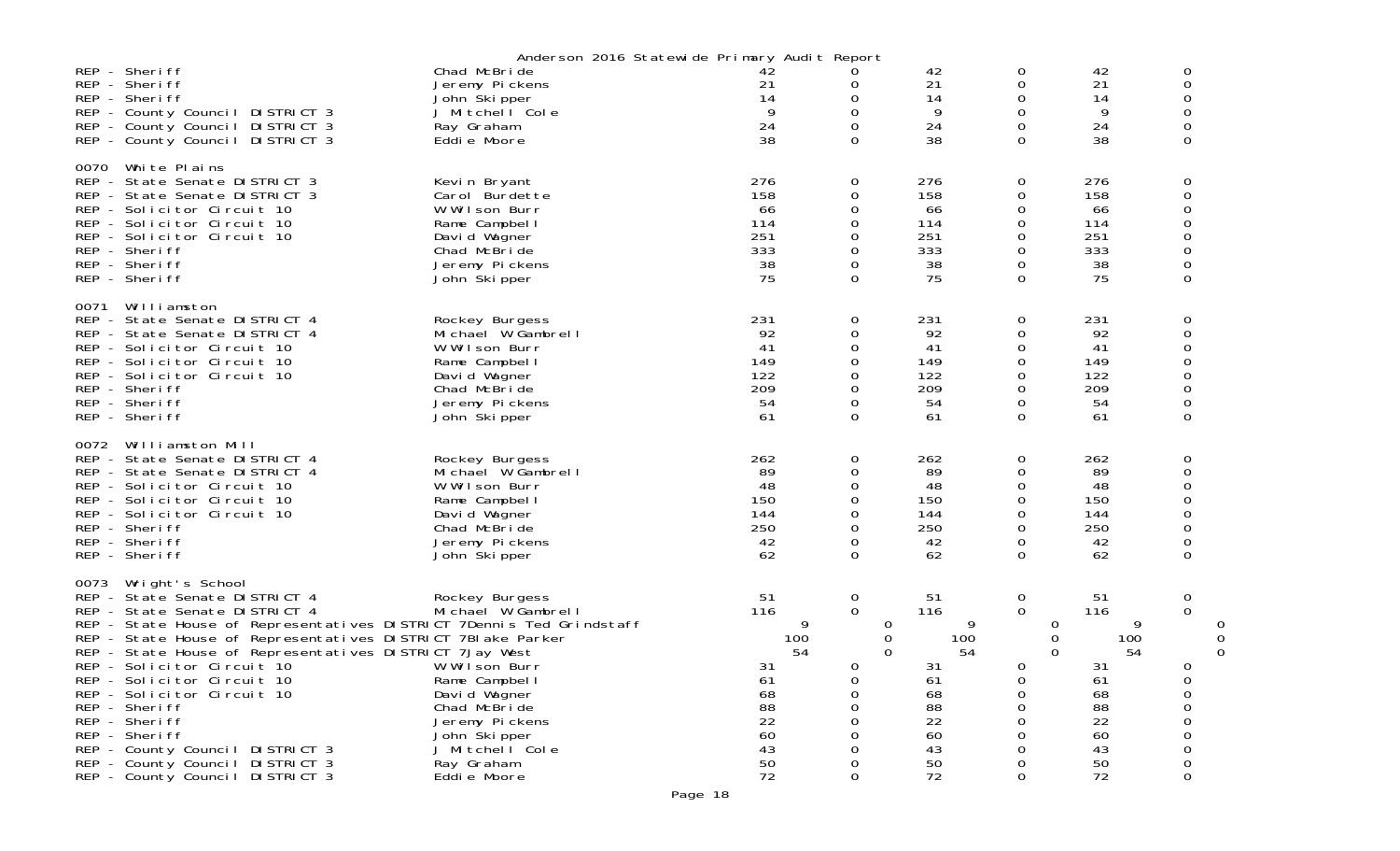|      |                                                                                                                                                                                                                                                                                                                                                                                                                                                                                                                                            | Anderson 2016 Statewide Primary Audit Report                                                                                                                                               |                                                                                   |                                                                                                  |                                                                                   |                                                                           |                                                                                   |                                             |        |
|------|--------------------------------------------------------------------------------------------------------------------------------------------------------------------------------------------------------------------------------------------------------------------------------------------------------------------------------------------------------------------------------------------------------------------------------------------------------------------------------------------------------------------------------------------|--------------------------------------------------------------------------------------------------------------------------------------------------------------------------------------------|-----------------------------------------------------------------------------------|--------------------------------------------------------------------------------------------------|-----------------------------------------------------------------------------------|---------------------------------------------------------------------------|-----------------------------------------------------------------------------------|---------------------------------------------|--------|
|      | REP - Sheriff<br>REP - Sheriff<br>REP - Sheriff<br>REP - County Council DISTRICT 3<br>REP - County Council DISTRICT 3<br>REP - County Council DISTRICT 3                                                                                                                                                                                                                                                                                                                                                                                   | Chad McBride<br>Jeremy Pickens<br>John Skipper<br>J Mitchell Cole<br>Ray Graham<br>Eddie Moore                                                                                             | 42<br>21<br>14<br>9<br>24<br>38                                                   | 0<br>0<br>0<br>0<br>$\Omega$                                                                     | 42<br>21<br>14<br>9<br>24<br>38                                                   | 0<br>0<br>0<br>0<br>0<br>$\Omega$                                         | 42<br>21<br>14<br>9<br>24<br>38                                                   | 0<br>0<br>0<br>0<br>0<br>0                  |        |
| 0070 | White Plains<br>REP - State Senate DISTRICT 3<br>REP - State Senate DISTRICT 3<br>REP - Solicitor Circuit 10<br>REP - Solicitor Circuit 10<br>REP - Solicitor Circuit 10<br>REP - Sheriff<br>REP - Sheriff<br>REP - Sheriff                                                                                                                                                                                                                                                                                                                | Kevin Bryant<br>Carol Burdette<br>W Wilson Burr<br>Rame Campbel I<br>David Wagner<br>Chad McBride<br>Jeremy Pickens<br>John Skipper                                                        | 276<br>158<br>66<br>114<br>251<br>333<br>38<br>75                                 | 0<br>0<br>0<br>0<br>0<br>0<br>0<br>$\Omega$                                                      | 276<br>158<br>66<br>114<br>251<br>333<br>38<br>75                                 | 0<br>0<br>0<br>0<br>0<br>0<br>0<br>$\Omega$                               | 276<br>158<br>66<br>114<br>251<br>333<br>38<br>75                                 | 0<br>0<br>0<br>0<br>0<br>0<br>0             |        |
| 0071 | Williamston<br>REP - State Senate DISTRICT 4<br>REP - State Senate DISTRICT 4<br>REP - Solicitor Circuit 10<br>REP - Solicitor Circuit 10<br>REP - Solicitor Circuit 10<br>REP - Sheriff<br>REP - Sheriff<br>REP - Sheriff                                                                                                                                                                                                                                                                                                                 | Rockey Burgess<br>Michael W Gambrell<br>W Wilson Burr<br>Rame Campbel I<br>David Wagner<br>Chad McBride<br>Jeremy Pickens<br>John Skipper                                                  | 231<br>92<br>41<br>149<br>122<br>209<br>54<br>61                                  | 0<br>0<br>0<br>0<br>0<br>0<br>0<br>0                                                             | 231<br>92<br>41<br>149<br>122<br>209<br>54<br>61                                  | 0<br>0<br>0<br>$\Omega$<br>0<br>0<br>0<br>0                               | 231<br>92<br>41<br>149<br>122<br>209<br>54<br>61                                  | 0<br>0<br>0<br>0<br>0<br>0<br>0<br>0        |        |
| 0072 | Williamston Mill<br>REP - State Senate DISTRICT 4<br>REP - State Senate DISTRICT 4<br>REP - Solicitor Circuit 10<br>REP - Solicitor Circuit 10<br>REP - Solicitor Circuit 10<br>REP - Sheriff<br>REP - Sheriff<br>REP - Sheriff                                                                                                                                                                                                                                                                                                            | Rockey Burgess<br>Michael W Gambrell<br>W Wilson Burr<br>Rame Campbel I<br>David Wagner<br>Chad McBride<br>Jeremy Pickens<br>John Skipper                                                  | 262<br>89<br>48<br>150<br>144<br>250<br>42<br>62                                  | 0<br>0<br>0<br>0<br>0<br>0<br>0<br>$\Omega$                                                      | 262<br>89<br>48<br>150<br>144<br>250<br>42<br>62                                  | 0<br>0<br>0<br>0<br>0<br>$\Omega$<br>0<br>$\Omega$                        | 262<br>89<br>48<br>150<br>144<br>250<br>42<br>62                                  | 0<br>0<br>0<br>0<br>0<br>0<br>0<br>$\Omega$ |        |
| 0073 | Wright's School<br>REP - State Senate DISTRICT 4<br>REP - State Senate DISTRICT 4<br>REP - State House of Representatives DISTRICT 7Dennis Ted Grindstaff<br>REP - State House of Representatives DISTRICT 7BI ake Parker<br>REP - State House of Representatives DISTRICT 7Jay West<br>REP - Solicitor Circuit 10<br>REP - Solicitor Circuit 10<br>REP - Solicitor Circuit 10<br>REP - Sheriff<br>REP - Sheriff<br>REP - Sheriff<br>REP - County Council DISTRICT 3<br>REP - County Council DISTRICT 3<br>REP - County Council DISTRICT 3 | Rockey Burgess<br>Michael W Gambrell<br>W Wilson Burr<br>Rame Campbel I<br>David Wagner<br>Chad McBride<br>Jeremy Pickens<br>John Ški pper<br>J Mitchell Cole<br>Ray Graham<br>Eddie Moore | 51<br>116<br>9<br>100<br>54<br>31<br>61<br>68<br>88<br>22<br>60<br>43<br>50<br>72 | $\overline{0}$<br>$\mathbf 0$<br>0<br>0<br>$\Omega$<br>0<br>0<br>0<br>0<br>0<br>0<br>0<br>0<br>0 | 51<br>116<br>9<br>100<br>54<br>31<br>61<br>68<br>88<br>22<br>60<br>43<br>50<br>72 | 0<br>$\mathbf 0$<br>0<br>0<br>$\Omega$<br>$\mathbf 0$<br>0<br>0<br>0<br>0 | 51<br>116<br>9<br>100<br>54<br>31<br>61<br>68<br>88<br>22<br>60<br>43<br>50<br>72 | 0<br>$\Omega$<br>$\mathbf 0$<br>O<br>0<br>0 | O<br>0 |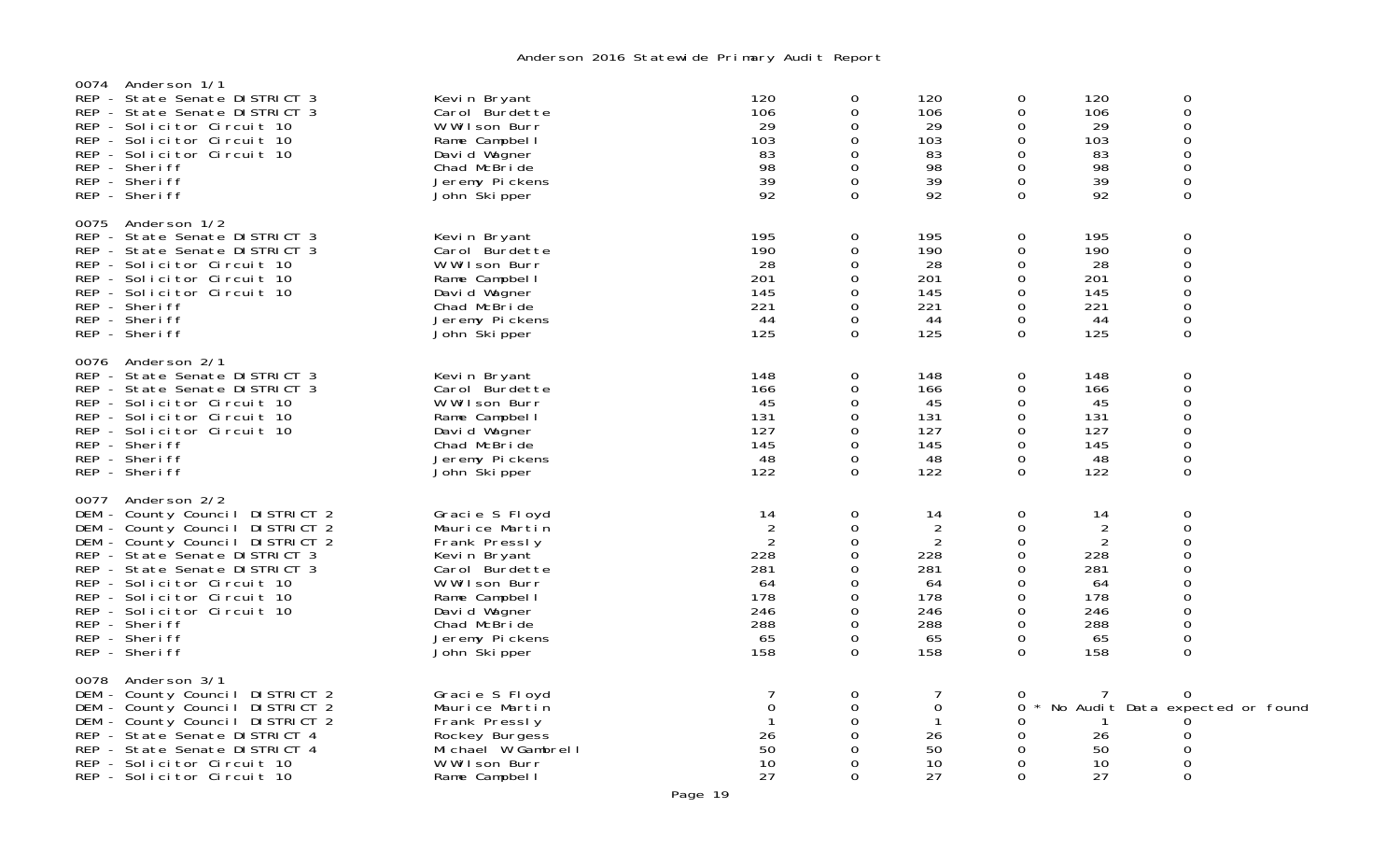| Anderson 1/1<br>0074<br>REP - State Senate DISTRICT 3<br>REP - State Senate DISTRICT 3<br>REP - Solicitor Circuit 10<br>REP - Solicitor Circuit 10<br>REP - Solicitor Circuit 10<br>REP - Sheriff<br>REP - Sheriff<br>REP - Sheriff                                                                                                       | Kevin Bryant<br>Carol Burdette<br>W Wilson Burr<br>Rame Campbell<br>David Wagner<br>Chad McBride<br>Jeremy Pickens<br>John Ški pper                                                      | 120<br>106<br>29<br>103<br>83<br>98<br>39<br>92                                 | 0<br>0<br>0<br>0<br>$\Omega$<br>0<br>$\Omega$<br>0                | 120<br>106<br>29<br>103<br>83<br>98<br>39<br>92                    | $\mathbf 0$<br>0<br>$\mathbf 0$<br>0<br>0<br>$\mathbf 0$<br>$\Omega$<br>$\Omega$  | 120<br>106<br>29<br>103<br>83<br>98<br>39<br>92                                 | 0<br>$\mathsf{O}\xspace$<br>0<br>0<br>0<br>$\mathsf{O}\xspace$<br>0<br>$\Omega$                                    |  |
|-------------------------------------------------------------------------------------------------------------------------------------------------------------------------------------------------------------------------------------------------------------------------------------------------------------------------------------------|------------------------------------------------------------------------------------------------------------------------------------------------------------------------------------------|---------------------------------------------------------------------------------|-------------------------------------------------------------------|--------------------------------------------------------------------|-----------------------------------------------------------------------------------|---------------------------------------------------------------------------------|--------------------------------------------------------------------------------------------------------------------|--|
| 0075<br>Anderson 1/2<br>REP - State Senate DISTRICT 3<br>REP - State Senate DISTRICT 3<br>REP - Solicitor Circuit 10<br>REP - Solicitor Circuit 10<br>REP - Solicitor Circuit 10<br>REP - Sheriff<br>REP - Sheriff<br>REP - Sheriff                                                                                                       | Kevin Bryant<br>Carol Burdette<br>W Wilson Burr<br>Rame Campbel I<br>David Wagner<br>Chad McBride<br>Jeremy Pickens<br>John Ški pper                                                     | 195<br>190<br>28<br>201<br>145<br>221<br>44<br>125                              | 0<br>$\Omega$<br>$\Omega$<br>$\Omega$<br>0<br>0<br>0<br>$\Omega$  | 195<br>190<br>28<br>201<br>145<br>221<br>44<br>125                 | 0<br>0<br>0<br>0<br>$\mathbf 0$<br>0<br>$\mathbf 0$<br>$\Omega$                   | 195<br>190<br>28<br>201<br>145<br>221<br>44<br>125                              | 0<br>0<br>0<br>0<br>0<br>0<br>$\mathbf 0$<br>$\Omega$                                                              |  |
| 0076 Anderson 2/1<br>REP - State Senate DISTRICT 3<br>REP - State Senate DISTRICT 3<br>REP - Solicitor Circuit 10<br>REP - Solicitor Circuit 10<br>REP - Solicitor Circuit 10<br>REP - Sheriff<br>REP - Sheriff<br>REP - Sheriff                                                                                                          | Kevin Bryant<br>Carol Burdette<br>W Wilson Burr<br>Rame Campbel I<br>David Wagner<br>Chad McBride<br>Jeremy Pickens<br>John Skipper                                                      | 148<br>166<br>45<br>131<br>127<br>145<br>48<br>122                              | $\Omega$<br>0<br>0<br>0<br>$\Omega$<br>$\Omega$<br>0<br>0         | 148<br>166<br>45<br>131<br>127<br>145<br>48<br>122                 | $\mathbf 0$<br>$\mathbf 0$<br>$\mathbf 0$<br>0<br>0<br>0<br>$\mathbf 0$<br>0      | 148<br>166<br>45<br>131<br>127<br>145<br>48<br>122                              | 0<br>$\mathbf 0$<br>0<br>$\mathbf 0$<br>0<br>0<br>$\mathsf{O}\xspace$<br>$\mathbf 0$                               |  |
| 0077 Anderson 2/2<br>DEM - County Council DISTRICT 2<br>DEM - County Council DISTRICT 2<br>DEM - County Council DISTRICT 2<br>REP - State Senate DISTRICT 3<br>REP - State Senate DISTRICT 3<br>REP - Solicitor Circuit 10<br>REP - Solicitor Circuit 10<br>REP - Solicitor Circuit 10<br>REP - Sheriff<br>REP - Sheriff<br>REP - Sheriff | Gracie S Floyd<br>Maurice Martin<br>Frank Pressly<br>Kevin Bryant<br>Carol Burdette<br>W Wilson Burr<br>Rame Campbel I<br>David Wagner<br>Chad McBride<br>Jeremy Pickens<br>John Skipper | 14<br>$\overline{2}$<br>2<br>228<br>281<br>64<br>178<br>246<br>288<br>65<br>158 | 0<br>0<br>$\Omega$<br>0<br>0<br>0<br>0<br>0<br>0<br>$\Omega$<br>0 | 14<br>2<br>2<br>228<br>281<br>64<br>178<br>246<br>288<br>65<br>158 | $\mathbf 0$<br>0<br>0<br>0<br>0<br>$\mathbf 0$<br>0<br>$\mathbf 0$<br>0<br>0<br>0 | 14<br>$\overline{2}$<br>2<br>228<br>281<br>64<br>178<br>246<br>288<br>65<br>158 | $\mathbf 0$<br>0<br>$\Omega$<br>0<br>0<br>0<br>0<br>0<br>$\mathsf{O}\xspace$<br>$\mathsf{O}\xspace$<br>$\mathbf 0$ |  |
| Anderson 3/1<br>0078<br>DEM - County Council DISTRICT 2<br>DEM - County Council DISTRICT 2<br>DEM - County Council DISTRICT 2<br>REP - State Senate DISTRICT 4<br>REP - State Senate DISTRICT 4<br>REP - Solicitor Circuit 10<br>REP - Solicitor Circuit 10                                                                               | Gracie S Floyd<br>Maurice Martin<br>Frank Pressly<br>Rockey Burgess<br>Michael W Gambrell<br>W Wilson Burr<br>Rame Campbel I                                                             | $\mathbf 0$<br>26<br>50<br>10<br>27                                             | 0<br>0<br>0<br>0<br>$\Omega$                                      | $\mathbf 0$<br>$\mathbf{1}$<br>26<br>50<br>10<br>27                | 0<br>0<br>0<br>$\mathbf 0$<br>0<br>$\mathbf 0$<br>$\Omega$                        | 26<br>50<br>10<br>27                                                            | $\Omega$<br>No Audit Data expected or found<br>0<br>0<br>0<br>0                                                    |  |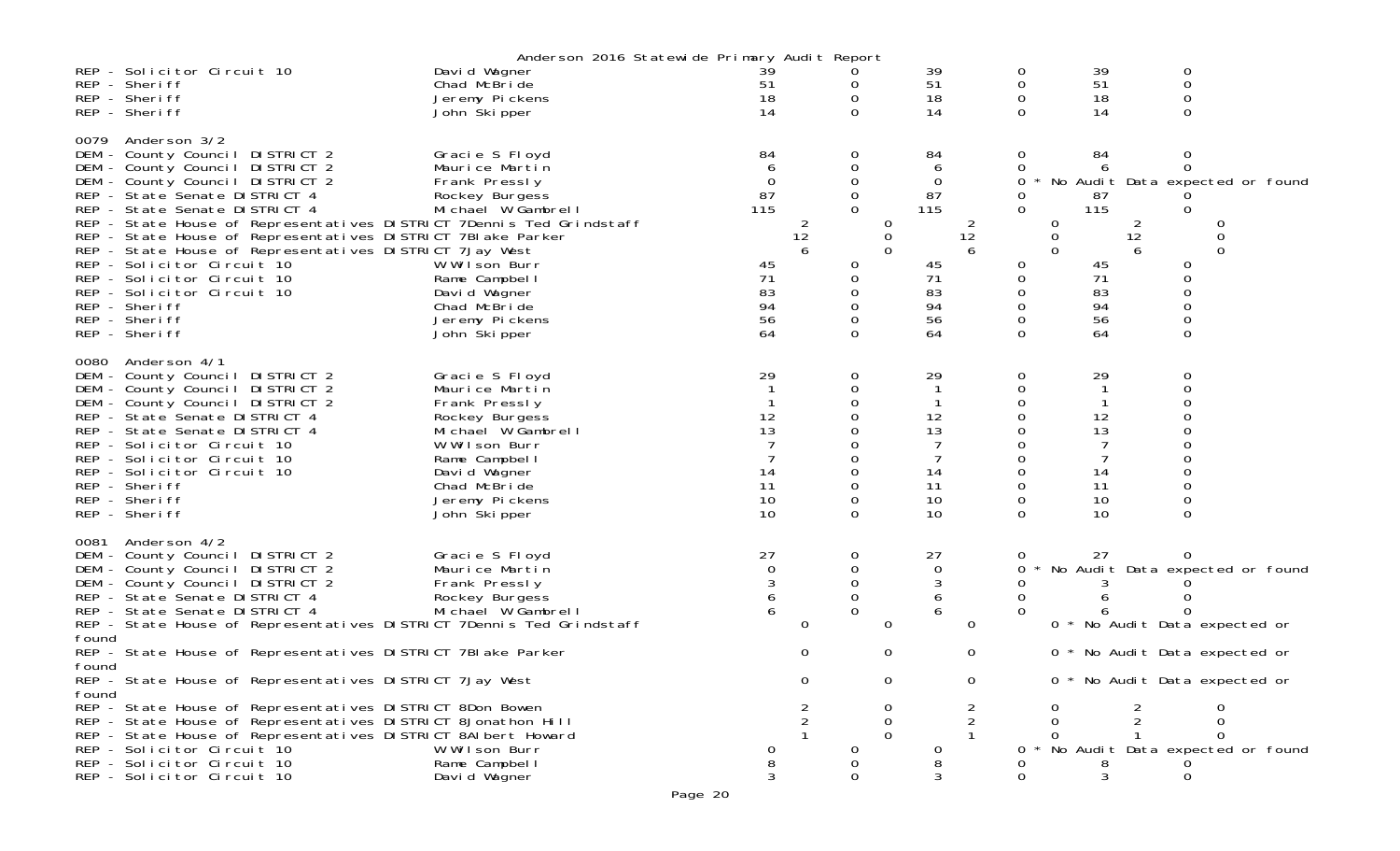|       |                                                                                                                                      | Anderson 2016 Statewide Primary Audit Report |             |             |               |               |          |         |               |          |                                     |          |          |                                   |
|-------|--------------------------------------------------------------------------------------------------------------------------------------|----------------------------------------------|-------------|-------------|---------------|---------------|----------|---------|---------------|----------|-------------------------------------|----------|----------|-----------------------------------|
|       | REP - Solicitor Circuit 10                                                                                                           | David Wagner                                 | 39          |             |               |               | 39       |         | 0             | 39       |                                     | 0        |          |                                   |
|       | REP - Sheriff                                                                                                                        | Chad McBride                                 | 51          |             | 0             |               | 51       |         | 0             | 51       |                                     | 0        |          |                                   |
|       | REP - Sheriff                                                                                                                        | Jeremy Pickens                               | 18          |             | 0             |               | 18       |         | $\mathbf 0$   |          | 18                                  | 0        |          |                                   |
|       | REP - Sheriff                                                                                                                        | John Skipper                                 | 14          |             |               |               | 14       |         |               |          | 14                                  |          |          |                                   |
| 0079  | Anderson 3/2                                                                                                                         |                                              |             |             |               |               |          |         |               |          |                                     |          |          |                                   |
|       | DEM - County Council DISTRICT 2                                                                                                      | Gracie S Floyd                               | 84          |             | 0             |               | 84       |         | 0             | 84       |                                     | 0        |          |                                   |
|       | DEM - County Council DISTRICT 2                                                                                                      | Maurice Martin                               | 6           |             | 0             |               | 6        |         |               |          |                                     |          |          |                                   |
|       | DEM - County Council DISTRICT 2                                                                                                      | Frank Pressly                                | $\mathbf 0$ |             | $\mathbf 0$   |               | $\Omega$ |         | 0             |          |                                     |          |          | No Audit Data expected or found   |
|       | REP - State Senate DISTRICT 4                                                                                                        | Rockey Burgess                               | 87          |             |               |               | 87       |         |               | 87       |                                     |          |          |                                   |
|       | REP - State Senate DISTRICT 4                                                                                                        | Michael W Gambrell                           | 115         |             | $\Omega$      |               | 115      |         | $\Omega$      | 115      |                                     | $\Omega$ |          |                                   |
|       | REP - State House of Representatives DISTRICT 7Dennis Ted Grindstaff<br>REP - State House of Representatives DISTRICT 7BI ake Parker |                                              |             | 2<br>12     |               | 0<br>0        |          | 2<br>12 |               | 0<br>0   | $\overline{2}$<br>$12 \overline{ }$ |          |          |                                   |
|       | REP - State House of Representatives DISTRICT 7Jay West                                                                              |                                              |             | 6           |               | $\Omega$      |          | 6       |               | $\Omega$ | 6                                   |          | $\Omega$ |                                   |
|       | REP - Solicitor Circuit 10                                                                                                           | W Wilson Burr                                | 45          |             | 0             |               | 45       |         | 0             |          | 45                                  |          |          |                                   |
|       | REP - Solicitor Circuit 10                                                                                                           | Rame Campbel I                               | 71          |             | 0             |               | 71       |         | 0             | 71       |                                     |          |          |                                   |
|       | REP - Solicitor Circuit 10                                                                                                           | David Wagner                                 | 83          |             | $\Omega$      |               | 83       |         | $\Omega$      |          | 83                                  |          |          |                                   |
|       | REP - Sheriff                                                                                                                        | Chad McBride                                 | 94          |             |               |               | 94       |         |               |          | 94                                  |          |          |                                   |
|       | REP - Sheriff<br>REP - Sheriff                                                                                                       | Jeremy Pickens<br>John Ški pper              | 56<br>64    |             | $\Omega$      |               | 56<br>64 |         | $\Omega$      |          | 56<br>64                            | $\Omega$ |          |                                   |
|       |                                                                                                                                      |                                              |             |             |               |               |          |         |               |          |                                     |          |          |                                   |
| 0080  | Anderson 4/1                                                                                                                         |                                              |             |             |               |               |          |         |               |          |                                     |          |          |                                   |
|       | DEM - County Council DISTRICT 2                                                                                                      | Gracie S Floyd                               | 29          |             | 0             |               | 29       |         | 0             | 29       |                                     | 0        |          |                                   |
|       | DEM - County Council DISTRICT 2                                                                                                      | Maurice Martin                               |             |             | 0             |               |          |         | $\mathbf 0$   |          | $\mathbf{1}$                        |          |          |                                   |
|       | DEM - County Council DISTRICT 2                                                                                                      | Frank Pressly                                |             |             | 0             |               |          |         |               |          |                                     |          |          |                                   |
|       | REP - State Senate DISTRICT 4<br>REP - State Senate DISTRICT 4                                                                       | Rockey Burgess<br>Michael W Gambrell         | 12<br>13    |             |               |               | 12<br>13 |         | 0             |          | 12<br>13                            |          |          |                                   |
|       | REP - Solicitor Circuit 10                                                                                                           | W Wilson Burr                                |             |             |               |               |          |         |               |          |                                     |          |          |                                   |
|       | REP - Solicitor Circuit 10                                                                                                           | Rame Campbell                                |             |             | 0             |               |          |         | 0             |          |                                     |          |          |                                   |
|       | REP - Solicitor Circuit 10                                                                                                           | David Wagner                                 | 14          |             |               |               | 14       |         |               |          | 14                                  |          |          |                                   |
|       | REP - Sheriff                                                                                                                        | Chad McBride                                 | 11          |             | $\Omega$      |               | 11       |         | $\Omega$      |          | 11                                  |          |          |                                   |
|       | REP - Sheriff<br>REP - Sheriff                                                                                                       | Jeremy Pickens                               | 10<br>10    |             | 0<br>$\Omega$ |               | 10<br>10 |         | 0<br>$\Omega$ |          | 10<br>10                            | $\Omega$ |          |                                   |
|       |                                                                                                                                      | John Skipper                                 |             |             |               |               |          |         |               |          |                                     |          |          |                                   |
| 0081  | Anderson 4/2                                                                                                                         |                                              |             |             |               |               |          |         |               |          |                                     |          |          |                                   |
|       | DEM - County Council DISTRICT 2                                                                                                      | Gracie S Floyd                               | 27          |             | 0             |               | 27       |         | 0             |          | 27                                  | 0        |          |                                   |
|       | DEM - County Council DISTRICT 2                                                                                                      | Maurice Martin                               | 0           |             | 0             |               | 0        |         | 0             |          |                                     |          |          | No Audit Data expected or found   |
|       | DEM - County Council DISTRICT 2<br>REP - State Senate DISTRICT 4                                                                     | Frank Pressly<br>Rockey Burgess              | 3           |             | 0             |               | 3<br>6   |         | 0             |          |                                     |          |          |                                   |
|       | REP - State Senate DISTRICT 4                                                                                                        | Michael W Gambrell                           | 6           |             | $\Omega$      |               | 6        |         |               |          |                                     |          |          |                                   |
|       | REP - State House of Representatives DISTRICT 7Dennis Ted Grindstaff                                                                 |                                              |             | $\mathbf 0$ |               | 0             |          | 0       |               |          | 0 * No Audit Data expected or       |          |          |                                   |
| found |                                                                                                                                      |                                              |             |             |               |               |          |         |               |          |                                     |          |          |                                   |
| found | REP - State House of Representatives DISTRICT 7BI ake Parker                                                                         |                                              |             | 0           |               | 0             |          | 0       |               |          | 0 * No Audit Data expected or       |          |          |                                   |
|       | REP - State House of Representatives DISTRICT 7Jay West                                                                              |                                              |             | 0           |               | 0             |          | 0       |               |          | 0 * No Audit Data expected or       |          |          |                                   |
| found |                                                                                                                                      |                                              |             |             |               |               |          |         |               |          |                                     |          |          |                                   |
|       | REP - State House of Representatives DISTRICT 8Don Bowen                                                                             |                                              |             |             |               |               |          |         |               |          |                                     |          |          |                                   |
|       | REP - State House of Representatives DISTRICT 8Jonathon Hill<br>REP - State House of Representatives DISTRICT 8AI bert Howard        |                                              |             |             |               | 0<br>$\Omega$ |          |         |               |          |                                     |          | $\Omega$ |                                   |
|       | REP - Solicitor Circuit 10                                                                                                           | W Wilson Burr                                |             |             |               |               |          |         |               |          |                                     |          |          | * No Audit Data expected or found |
|       | REP - Solicitor Circuit 10                                                                                                           | Rame Campbel I                               |             |             |               |               |          |         |               |          |                                     |          |          |                                   |
|       | REP - Solicitor Circuit 10                                                                                                           | David Wagner                                 | 3           |             | 0             |               | 3        |         |               |          | 3                                   | 0        |          |                                   |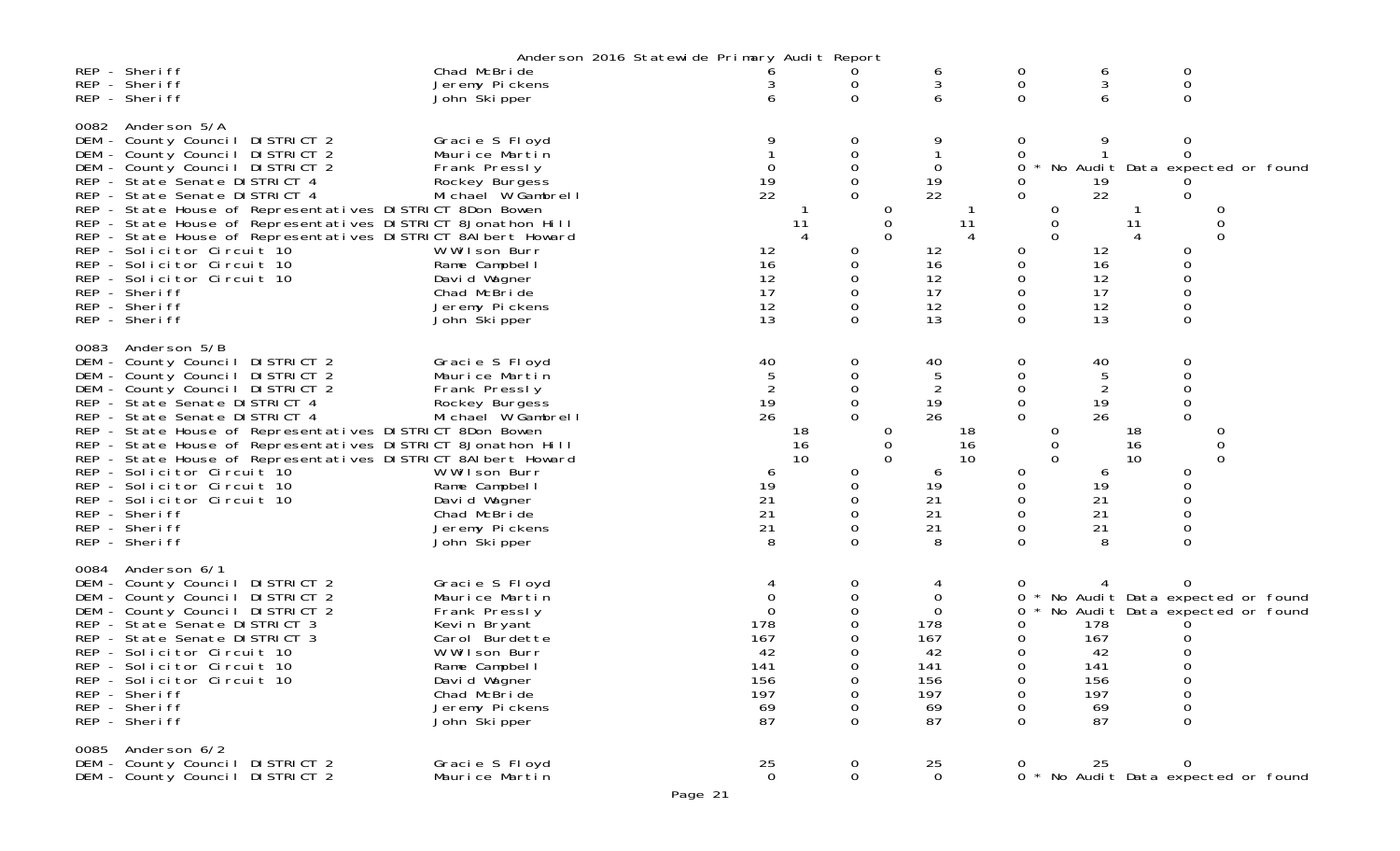|             |                                                                                                                                                                                                                                                                                                                                                                                                                                                                                                                                   | Anderson 2016 Statewide Primary Audit Report                                                                                                                                                   |                                                               |                                                                                                             |                    |                                                                  |                                                                      |                                                      |                                                                                           |                                                                                                       |  |
|-------------|-----------------------------------------------------------------------------------------------------------------------------------------------------------------------------------------------------------------------------------------------------------------------------------------------------------------------------------------------------------------------------------------------------------------------------------------------------------------------------------------------------------------------------------|------------------------------------------------------------------------------------------------------------------------------------------------------------------------------------------------|---------------------------------------------------------------|-------------------------------------------------------------------------------------------------------------|--------------------|------------------------------------------------------------------|----------------------------------------------------------------------|------------------------------------------------------|-------------------------------------------------------------------------------------------|-------------------------------------------------------------------------------------------------------|--|
|             | REP - Sheriff<br>REP - Sheriff<br>REP - Sheriff                                                                                                                                                                                                                                                                                                                                                                                                                                                                                   | Chad McBride<br>Jeremy Pickens<br>John Skipper                                                                                                                                                 | 6                                                             | 0<br>0                                                                                                      |                    | 6<br>3<br>6                                                      | 0                                                                    | 0<br>$\mathbf 0$                                     | 6<br>3<br>6                                                                               | 0<br>0<br>0                                                                                           |  |
| 0082        | Anderson 5/A<br>DEM - County Council DISTRICT 2<br>DEM - County Council DISTRICT 2<br>DEM - County Council DISTRICT 2<br>REP - State Senate DISTRICT 4<br>REP - State Senate DISTRICT 4<br>REP - State House of Representatives DISTRICT 8Don Bowen<br>REP - State House of Representatives DISTRICT 8Jonathon Hill<br>REP - State House of Representatives DISTRICT 8AI bert Howard<br>REP - Solicitor Circuit 10<br>REP - Solicitor Circuit 10<br>REP - Solicitor Circuit 10<br>REP - Sheriff<br>REP - Sheriff<br>REP - Sheriff | Gracie S Floyd<br>Maurice Martin<br>Frank Pressly<br>Rockey Burgess<br>Michael W Gambrell<br>W Wilson Burr<br>Rame Campbel I<br>David Wagner<br>Chad McBride<br>Jeremy Pickens<br>John Skipper | 19<br>22<br>12<br>16<br>12<br>17<br>12<br>13                  | 0<br>0<br>0<br>0<br>11<br>0<br>0<br>0<br>0<br>0<br>$\Omega$                                                 | 0<br>0<br>$\Omega$ | 9<br>0<br>19<br>22<br>12<br>16<br>12<br>17<br>12<br>13           | 0<br>0<br>11<br>0<br>$\overline{0}$<br>0                             | 0<br>$\Omega$<br>0<br>$\Omega$<br>0<br>0<br>$\Omega$ | 9<br>19<br>22<br>11<br>12<br>16<br>12<br>17<br>12<br>13                                   | 0<br>0<br>No Audit Data expected or found<br>0<br>$\Omega$<br>0<br>0<br>0                             |  |
| 0083<br>DEM | Anderson 5/B<br>DEM - County Council DISTRICT 2<br>DEM - County Council DISTRICT 2<br>- County Council DISTRICT 2<br>REP - State Senate DISTRICT 4<br>REP - State Senate DISTRICT 4<br>REP - State House of Representatives DISTRICT 8Don Bowen<br>REP - State House of Representatives DISTRICT 8Jonathon Hill<br>REP - State House of Representatives DISTRICT 8AI bert Howard<br>REP - Solicitor Circuit 10<br>REP - Solicitor Circuit 10<br>REP - Solicitor Circuit 10<br>REP - Sheriff<br>REP - Sheriff<br>REP - Sheriff     | Gracie S Floyd<br>Maurice Martin<br>Frank Pressly<br>Rockey Burgess<br>Michael W Gambrell<br>W Wilson Burr<br>Rame Campbel I<br>David Wagner<br>Chad McBride<br>Jeremy Pickens<br>John Skipper | 40<br>5<br>2<br>19<br>26<br>6<br>19<br>21<br>21<br>21<br>8    | 0<br>$\mathbf 0$<br>0<br>$\Omega$<br>$\Omega$<br>18<br>16<br>10<br>0<br>0<br>0<br>0<br>$\Omega$<br>$\Omega$ | 0<br>0<br>$\Omega$ | 40<br>5<br>19<br>26<br>19<br>21<br>21<br>21<br>8                 | 0<br>0<br>0<br>0<br>$\Omega$<br>18<br>16<br>10<br>0<br>0<br>$\Omega$ | 0<br>0<br>$\Omega$<br>0<br>0                         | 40<br>5<br>$\overline{2}$<br>19<br>26<br>18<br>16<br>10<br>6<br>19<br>21<br>21<br>21<br>8 | 0<br>0<br>0<br>0<br>$\Omega$<br>0<br>0<br>$\Omega$<br>0<br>0                                          |  |
| 0084<br>DEM | Anderson 6/1<br>DEM - County Council DISTRICT 2<br>DEM - County Council DISTRICT 2<br>- County Council DISTRICT 2<br>REP - State Senate DISTRICT 3<br>REP - State Senate DISTRICT 3<br>REP - Solicitor Circuit 10<br>REP - Solicitor Circuit 10<br>REP - Solicitor Circuit 10<br>REP - Sheriff<br>REP - Sheriff<br>REP - Sheriff                                                                                                                                                                                                  | Gracie S Floyd<br>Maurice Martin<br>Frank Pressly<br>Kevin Bryant<br>Carol Burdette<br>W Wilson Burr<br>Rame Campbel I<br>David Wagner<br>Chad McBride<br>Jeremy Pickens<br>John Skipper       | $\Omega$<br>178<br>167<br>42<br>141<br>156<br>197<br>69<br>87 | 0<br>0<br>0<br>$\Omega$<br>0<br>0<br>0<br>$\Omega$                                                          |                    | 4<br>0<br>0<br>178<br>167<br>42<br>141<br>156<br>197<br>69<br>87 | 0<br>0<br>0<br>0<br>0<br>0                                           | 0<br>0<br>0<br>0<br>$\Omega$                         | 178<br>167<br>42<br>141<br>156<br>197<br>69<br>87                                         | 0<br>No Audit Data expected or found<br>No Audit Data expected or found<br>0<br>0<br>0<br>0<br>0<br>0 |  |
| 0085        | Anderson 6/2<br>DEM - County Council DISTRICT 2<br>DEM - County Council DISTRICT 2                                                                                                                                                                                                                                                                                                                                                                                                                                                | Gracie S Floyd<br>Maurice Martin                                                                                                                                                               | 25<br>$\mathbf 0$                                             | $\mathbf 0$<br>$\mathsf{O}\xspace$                                                                          |                    | $^{25}_{\,\,\,\,0}$                                              |                                                                      | $\mathbf{O}$                                         | 25                                                                                        | 0<br>0 * No Audit Data expected or found                                                              |  |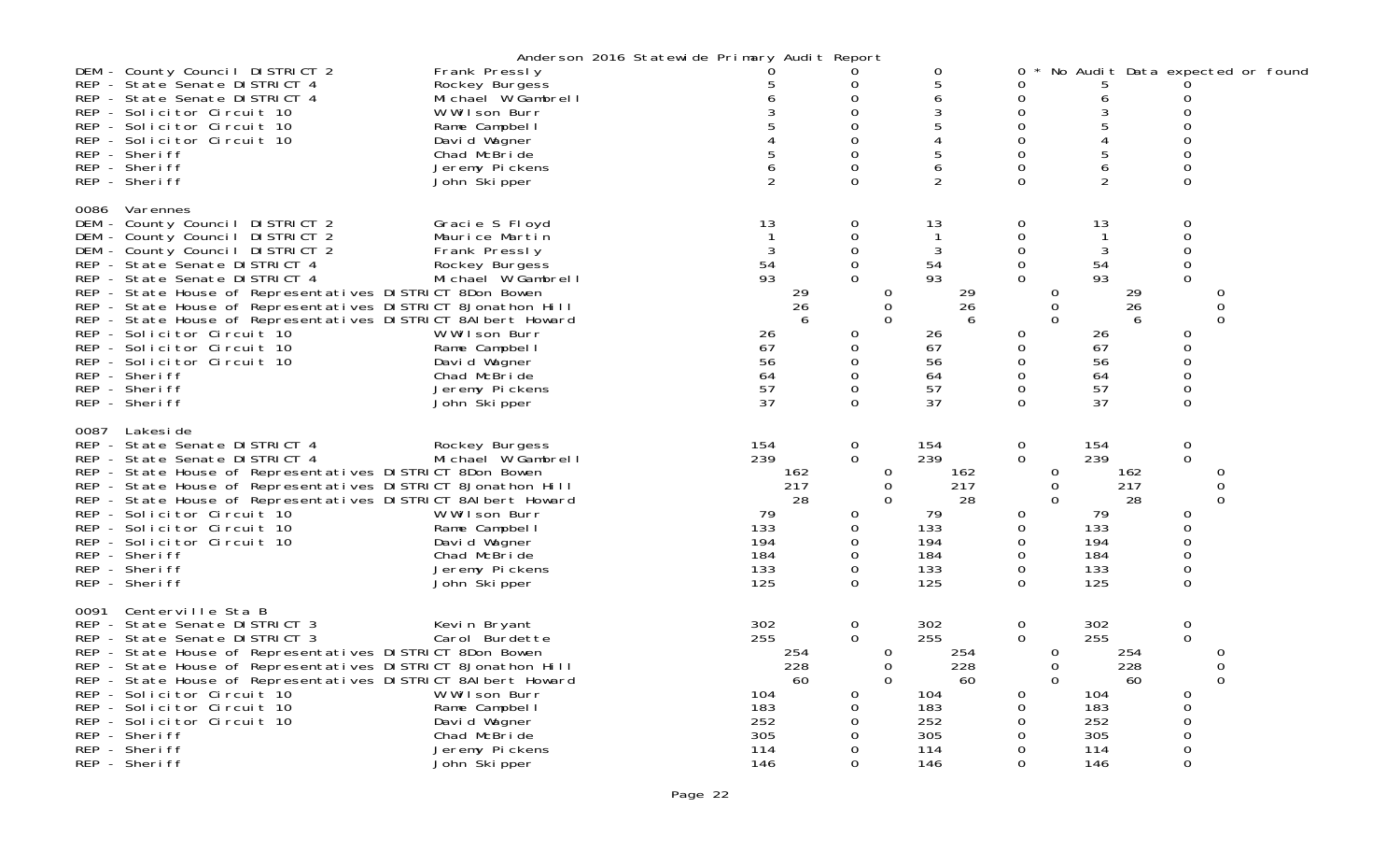|      |                                                                                                                                                                                                                                                                                                                                                                                                                                                                                                                               |                                                                                                                                                                                                | Anderson 2016 Statewide Primary Audit Report |                                                                          |                                                                                                                |                                                                                                |                                                                                                                                        |                                                                          |                                                                                                                                    |  |
|------|-------------------------------------------------------------------------------------------------------------------------------------------------------------------------------------------------------------------------------------------------------------------------------------------------------------------------------------------------------------------------------------------------------------------------------------------------------------------------------------------------------------------------------|------------------------------------------------------------------------------------------------------------------------------------------------------------------------------------------------|----------------------------------------------|--------------------------------------------------------------------------|----------------------------------------------------------------------------------------------------------------|------------------------------------------------------------------------------------------------|----------------------------------------------------------------------------------------------------------------------------------------|--------------------------------------------------------------------------|------------------------------------------------------------------------------------------------------------------------------------|--|
|      | DEM - County Council DISTRICT 2<br>REP - State Senate DISTRICT 4<br>REP - State Senate DISTRICT 4<br>REP - Solicitor Circuit 10<br>REP - Solicitor Circuit 10<br>REP - Solicitor Circuit 10<br>REP - Sheriff<br>REP - Sheriff<br>REP - Sheriff                                                                                                                                                                                                                                                                                | Frank Pressly<br>Rockey Burgess<br>Michael W Gambrell<br>W Wilson Burr<br>Rame Campbel I<br>David Wagner<br>Chad McBride<br>Jeremy Pickens<br>John Skipper                                     |                                              |                                                                          | 0<br>$\Omega$<br>0<br>$\Omega$<br>$\Omega$<br>$\Omega$<br>$\Omega$<br>$\Omega$                                 | 0<br>5<br>6<br>3<br>5<br>4<br>6<br>2                                                           | 0<br>Ω<br>$\mathbf 0$<br>0<br>$\Omega$<br>$\Omega$<br>$\Omega$<br>$\Omega$<br>$\Omega$                                                 | No Audit Data expected or found<br>b<br>6<br>3<br>5<br>4<br>5<br>6<br>2  | 0<br>$\Omega$<br>0<br>0<br>0<br>0<br>0                                                                                             |  |
| 0086 | Varennes<br>DEM - County Council DISTRICT 2<br>DEM - County Council DISTRICT 2<br>DEM - County Council DISTRICT 2<br>REP - State Senate DISTRICT 4<br>REP - State Senate DISTRICT 4<br>REP - State House of Representatives DISTRICT 8Don Bowen<br>REP - State House of Representatives DISTRICT 8Jonathon Hill<br>REP - State House of Representatives DISTRICT 8AI bert Howard<br>REP - Solicitor Circuit 10<br>REP - Solicitor Circuit 10<br>REP - Solicitor Circuit 10<br>REP - Sheriff<br>REP - Sheriff<br>REP - Sheriff | Gracie S Floyd<br>Maurice Martin<br>Frank Pressly<br>Rockey Burgess<br>Michael W Gambrell<br>W Wilson Burr<br>Rame Campbel I<br>David Wagner<br>Chad McBride<br>Jeremy Pickens<br>John Skipper |                                              | 13<br>54<br>93<br>29<br>26<br>6<br>26<br>67<br>56<br>64<br>57<br>37      | 0<br>$\Omega$<br>$\Omega$<br>$\mathbf 0$<br>$\Omega$<br>0<br>0<br>$\Omega$<br>$\Omega$<br>$\Omega$<br>$\Omega$ | 13<br>3<br>54<br>93<br>29<br>0<br>0<br>26<br>$\Omega$<br>6<br>26<br>67<br>56<br>64<br>57<br>37 | 0<br>$\mathbf 0$<br>$\mathbf 0$<br>$\mathbf 0$<br>$\Omega$<br>0<br>0<br>$\Omega$<br>0<br>$\mathbf 0$<br>$\Omega$<br>0<br>0<br>$\Omega$ | 13<br>3<br>54<br>93<br>29<br>26<br>6<br>26<br>67<br>56<br>64<br>57<br>37 | 0<br>$\mathbf 0$<br>$\mathsf 0$<br>$\mathbf 0$<br>$\Omega$<br>0<br>0<br>$\overline{0}$<br>0<br>0<br>$\Omega$<br>0<br>0<br>$\Omega$ |  |
| 0087 | Lakesi de<br>REP - State Senate DISTRICT 4<br>REP - State Senate DISTRICT 4<br>REP - State House of Representatives DISTRICT 8Don Bowen<br>REP - State House of Representatives DISTRICT 8Jonathon Hill<br>REP - State House of Representatives DISTRICT 8AI bert Howard<br>REP - Solicitor Circuit 10<br>REP - Solicitor Circuit 10<br>REP - Solicitor Circuit 10<br>REP - Sheriff<br>REP - Sheriff<br>REP - Sheriff                                                                                                         | Rockey Burgess<br>Michael W Gambrell<br>W Wilson Burr<br>Rame Campbel I<br>David Wagner<br>Chad McBride<br>Jeremy Pickens<br>John Ški pper                                                     |                                              | 154<br>239<br>162<br>217<br>28<br>79<br>133<br>194<br>184<br>133<br>125  | $\mathbf 0$<br>$\Omega$<br>0<br>0<br>0<br>0<br>$\mathbf 0$<br>$\Omega$                                         | 154<br>239<br>0<br>162<br>0<br>217<br>$\Omega$<br>28<br>79<br>133<br>194<br>184<br>133<br>125  | $\mathbf 0$<br>$\mathbf 0$<br>0<br>$\overline{0}$<br>$\Omega$<br>0<br>0<br>0<br>$\Omega$<br>$\mathbf 0$<br>$\Omega$                    | 154<br>239<br>162<br>217<br>28<br>79<br>133<br>194<br>184<br>133<br>125  | $\mathsf{O}\xspace$<br>$\mathbf 0$<br>0<br>0<br>$\Omega$<br>0<br>0<br>0<br>0<br>$\mathsf 0$<br>$\Omega$                            |  |
| 0091 | Centerville Sta B<br>REP - State Senate DISTRICT 3<br>REP - State Senate DISTRICT 3<br>REP - State House of Representatives DISTRICT 8Don Bowen<br>REP - State House of Representatives DISTRICT 8Jonathon Hill<br>REP - State House of Representatives DISTRICT 8AI bert Howard<br>REP - Solicitor Circuit 10<br>REP - Solicitor Circuit 10<br>REP - Solicitor Circuit 10<br>REP - Sheriff<br>REP - Sheriff<br>REP - Sheriff                                                                                                 | Kevin Bryant<br>Carol Burdette<br>W Wilson Burr<br>Rame Campbel I<br>David Wagner<br>Chad McBride<br>Jeremy Pickens<br>John Skipper                                                            |                                              | 302<br>255<br>254<br>228<br>60<br>104<br>183<br>252<br>305<br>114<br>146 | $\mathbf 0$<br>$\Omega$<br>0<br>$\Omega$<br>0<br>0<br>$\Omega$<br>$\Omega$                                     | 302<br>255<br>254<br>0<br>228<br>0<br>$\Omega$<br>60<br>104<br>183<br>252<br>305<br>114<br>146 | $\mathbf 0$<br>$\Omega$<br>$\overline{0}$<br>$\mathbf 0$<br>$\Omega$<br>0<br>0<br>$\Omega$<br>0<br>$\Omega$<br>$\Omega$                | 302<br>255<br>254<br>228<br>60<br>104<br>183<br>252<br>305<br>114<br>146 | $\mathbf 0$<br>$\mathbf{O}$<br>0<br>0<br>0<br>0<br>0<br>$\Omega$<br>$\mathsf{O}\xspace$<br>0<br>0                                  |  |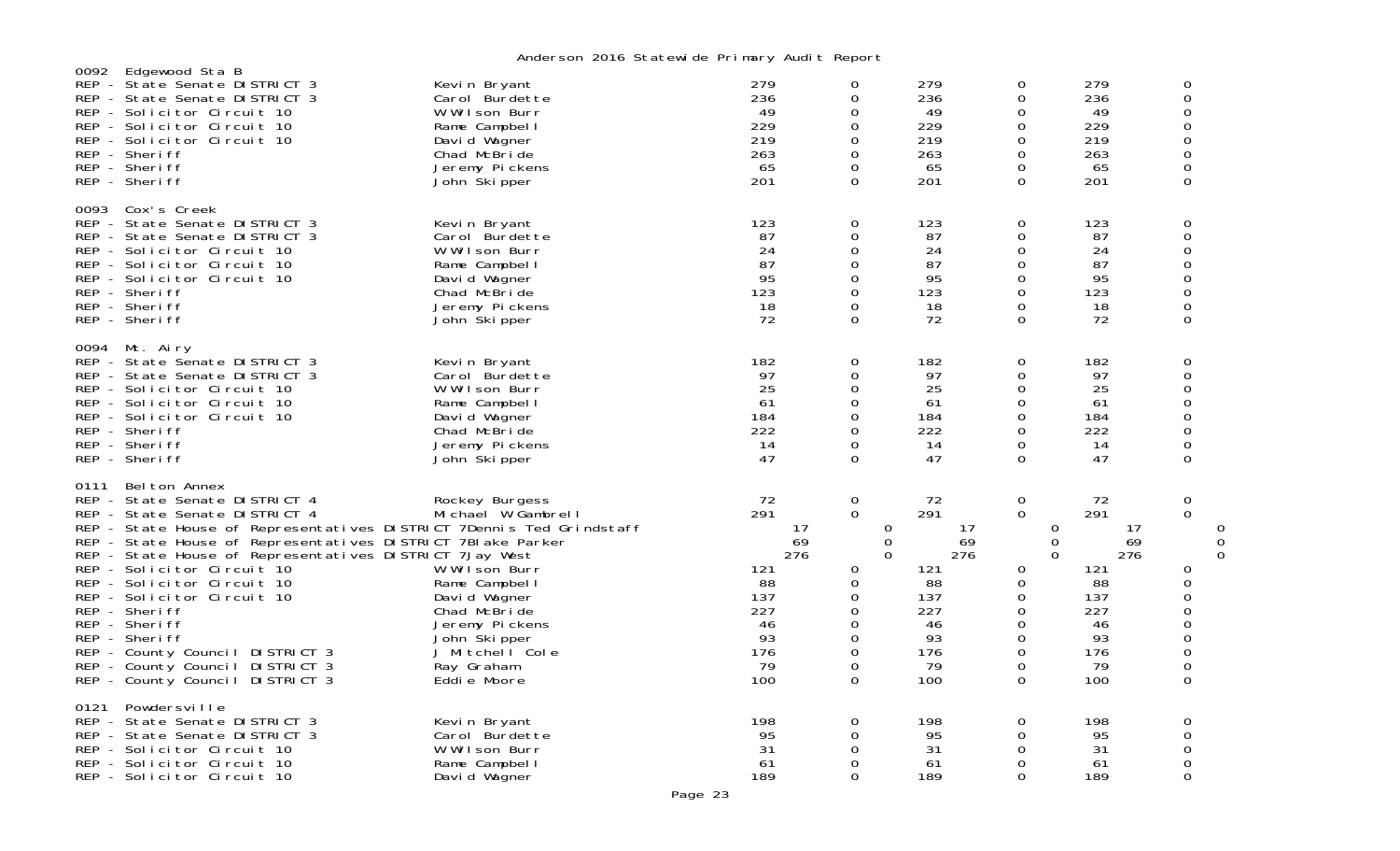|      |                                                                                                                                                                                                                                                                                                                                                                                                                                                                                                                                         | middle son zono otatomi do in midi y nudi tinopolit                                                                                                                                      |                                                                                         |                                                                                                                                       |                                                                                         |                                                                                                                             |                                                                                         |                                                                                                      |             |
|------|-----------------------------------------------------------------------------------------------------------------------------------------------------------------------------------------------------------------------------------------------------------------------------------------------------------------------------------------------------------------------------------------------------------------------------------------------------------------------------------------------------------------------------------------|------------------------------------------------------------------------------------------------------------------------------------------------------------------------------------------|-----------------------------------------------------------------------------------------|---------------------------------------------------------------------------------------------------------------------------------------|-----------------------------------------------------------------------------------------|-----------------------------------------------------------------------------------------------------------------------------|-----------------------------------------------------------------------------------------|------------------------------------------------------------------------------------------------------|-------------|
| 0092 | Edgewood Sta B<br>REP - State Senate DISTRICT 3<br>REP - State Senate DISTRICT 3<br>REP - Solicitor Circuit 10<br>REP - Solicitor Circuit 10<br>REP - Solicitor Circuit 10<br>REP - Sheriff<br>REP - Sheriff<br>REP - Sheriff                                                                                                                                                                                                                                                                                                           | Kevin Bryant<br>Carol Burdette<br>W Wilson Burr<br>Rame Campbel I<br>David Wagner<br>Chad McBride<br>Jeremy Pickens<br>John Skipper                                                      | 279<br>236<br>49<br>229<br>219<br>263<br>65<br>201                                      | 0<br>0<br>0<br>$\mathbf 0$<br>0<br>0<br>0<br>$\Omega$                                                                                 | 279<br>236<br>49<br>229<br>219<br>263<br>65<br>201                                      | 0<br>0<br>0<br>$\mathbf 0$<br>0<br>$\mathbf 0$<br>0<br>$\Omega$                                                             | 279<br>236<br>49<br>229<br>219<br>263<br>65<br>201                                      | 0<br>$\Omega$<br>0<br>$\Omega$<br>$\Omega$<br>$\Omega$<br>0<br>$\Omega$                              |             |
| 0093 | Cox's Creek<br>REP - State Senate DISTRICT 3<br>REP - State Senate DISTRICT 3<br>REP - Solicitor Circuit 10<br>REP - Solicitor Circuit 10<br>REP - Solicitor Circuit 10<br>REP - Sheriff<br>REP - Sheriff<br>REP - Sheriff                                                                                                                                                                                                                                                                                                              | Kevin Bryant<br>Carol Burdette<br>W Wilson Burr<br>Rame Campbell<br>David Wagner<br>Chad McBride<br>Jeremy Pickens<br>John Skipper                                                       | 123<br>87<br>24<br>87<br>95<br>123<br>18<br>72                                          | 0<br>0<br>0<br>$\mathbf 0$<br>0<br>$\mathbf 0$<br>0<br>$\Omega$                                                                       | 123<br>87<br>24<br>87<br>95<br>123<br>18<br>72                                          | 0<br>0<br>$\mathbf 0$<br>$\mathbf 0$<br>0<br>$\mathbf 0$<br>0<br>$\Omega$                                                   | 123<br>87<br>24<br>87<br>95<br>123<br>18<br>72                                          | 0<br>$\Omega$<br>$\Omega$<br>0<br>0<br>0<br>0<br>$\Omega$                                            |             |
|      | 0094 Mt. Airy<br>REP - State Senate DISTRICT 3<br>REP - State Senate DISTRICT 3<br>REP - Solicitor Circuit 10<br>REP - Solicitor Circuit 10<br>REP - Solicitor Circuit 10<br>REP - Sheriff<br>REP - Sheriff<br>REP - Sheriff                                                                                                                                                                                                                                                                                                            | Kevin Bryant<br>Carol Burdette<br>W Wilson Burr<br>Rame Campbell<br>David Wagner<br>Chad McBride<br>Jeremy Pickens<br>John Skipper                                                       | 182<br>97<br>25<br>61<br>184<br>222<br>14<br>47                                         | 0<br>0<br>0<br>0<br>$\mathbf 0$<br>0<br>0<br>$\Omega$                                                                                 | 182<br>97<br>25<br>61<br>184<br>222<br>14<br>47                                         | 0<br>0<br>$\mathbf 0$<br>$\mathbf 0$<br>$\mathbf 0$<br>$\mathbf 0$<br>$\mathbf 0$<br>$\Omega$                               | 182<br>97<br>25<br>61<br>184<br>222<br>14<br>47                                         | 0<br>0<br>0<br>$\Omega$<br>0<br>$\Omega$<br>$\Omega$<br>$\Omega$                                     |             |
| 0111 | Belton Annex<br>REP - State Senate DISTRICT 4<br>REP - State Senate DISTRICT 4<br>REP - State House of Representatives DISTRICT 7Dennis Ted Grindstaff<br>REP - State House of Representatives DISTRICT 7BI ake Parker<br>REP - State House of Representatives DISTRICT 7Jay West<br>REP - Solicitor Circuit 10<br>REP - Solicitor Circuit 10<br>REP - Solicitor Circuit 10<br>REP - Sheriff<br>REP - Sheriff<br>REP - Sheriff<br>REP - County Council DISTRICT 3<br>REP - County Council DISTRICT 3<br>REP - County Council DISTRICT 3 | Rockey Burgess<br>Michael W Gambrell<br>W Wilson Burr<br>Rame Campbell<br>David Wagner<br>Chad McBride<br>Jeremy Pickens<br>John Skipper<br>J Mitchell Cole<br>Ray Graham<br>Eddie Moore | 72<br>291<br>17<br>69<br>276<br>121<br>88<br>137<br>227<br>46<br>93<br>176<br>79<br>100 | $\mathbf 0$<br>$\mathbf 0$<br>$\mathbf 0$<br>$\mathbf 0$<br>$\Omega$<br>0<br>0<br>0<br>$\mathbf 0$<br>0<br>0<br>$\mathbf 0$<br>0<br>0 | 72<br>291<br>17<br>69<br>276<br>121<br>88<br>137<br>227<br>46<br>93<br>176<br>79<br>100 | 0<br>$\mathbf 0$<br>0<br>$\mathbf 0$<br>$\Omega$<br>0<br>$\mathbf 0$<br>0<br>0<br>0<br>0<br>$\mathbf 0$<br>$\mathbf 0$<br>0 | 72<br>291<br>17<br>69<br>276<br>121<br>88<br>137<br>227<br>46<br>93<br>176<br>79<br>100 | 0<br>$\Omega$<br>0<br>0<br>$\Omega$<br>$\Omega$<br>$\Omega$<br>$\Omega$<br>$\Omega$<br>$\Omega$<br>0 | 0<br>0<br>0 |
| 0121 | Powdersville<br>REP - State Senate DISTRICT 3<br>REP - State Senate DISTRICT 3<br>REP - Solicitor Circuit 10<br>REP - Solicitor Circuit 10<br>REP - Solicitor Circuit 10                                                                                                                                                                                                                                                                                                                                                                | Kevin Bryant<br>Carol Burdette<br>W Wilson Burr<br>Rame Campbel I<br>David Wagner                                                                                                        | 198<br>95<br>31<br>61<br>189                                                            | 0<br>0<br>0<br>0<br>$\Omega$                                                                                                          | 198<br>95<br>31<br>61<br>189                                                            | 0<br>0<br>0<br>0<br>$\Omega$                                                                                                | 198<br>95<br>31<br>61<br>189                                                            | 0<br>$\Omega$<br>0<br>0<br>$\Omega$                                                                  |             |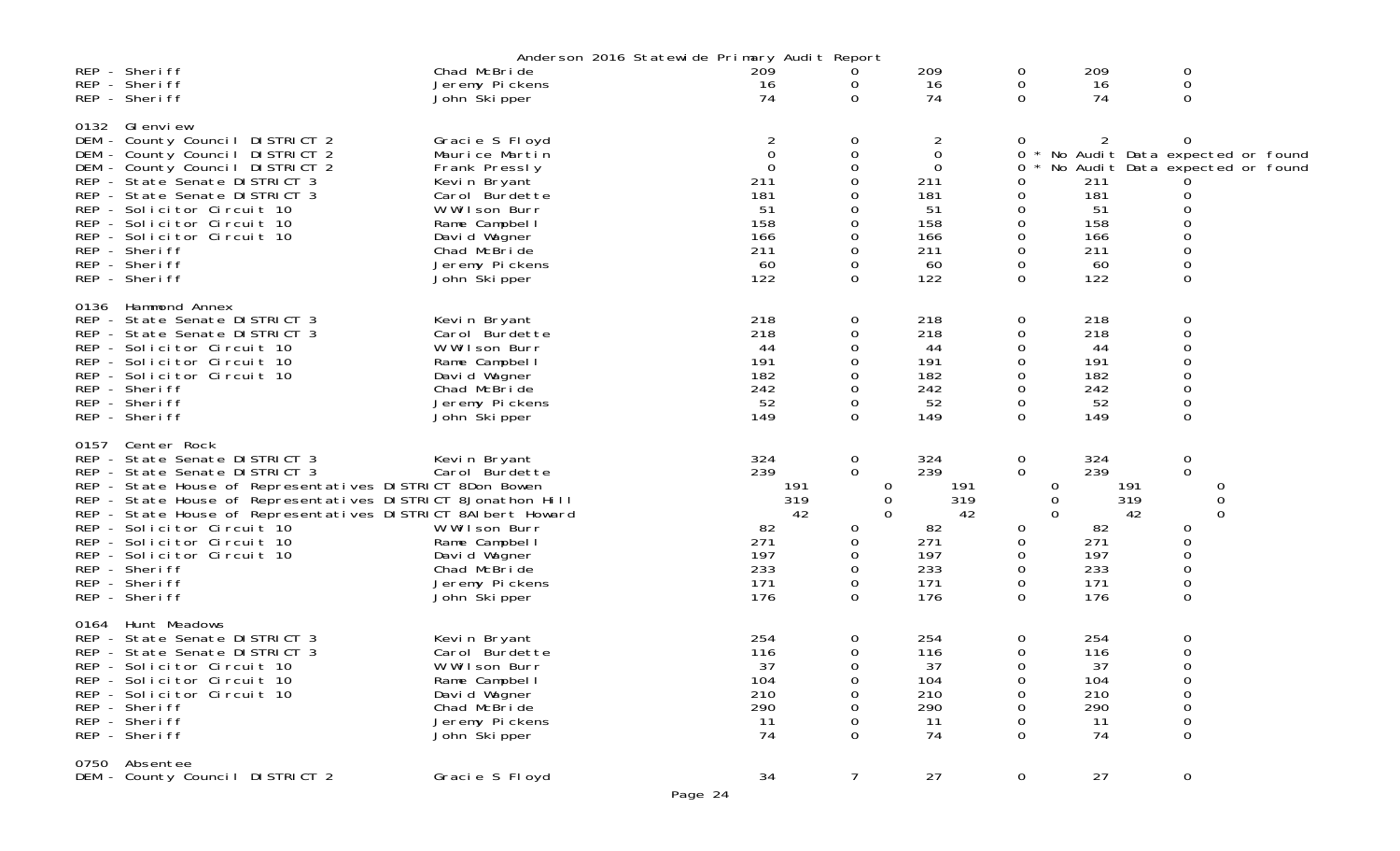|      |                                                                                                                                                                                                                                                                                                                                                                                                                         | Anderson 2016 Statewide Primary Audit Report                                                                                                                                             |                                                                          |                                                                        |                                                                             |                                                                   |                                                                         |                                                                                                              |
|------|-------------------------------------------------------------------------------------------------------------------------------------------------------------------------------------------------------------------------------------------------------------------------------------------------------------------------------------------------------------------------------------------------------------------------|------------------------------------------------------------------------------------------------------------------------------------------------------------------------------------------|--------------------------------------------------------------------------|------------------------------------------------------------------------|-----------------------------------------------------------------------------|-------------------------------------------------------------------|-------------------------------------------------------------------------|--------------------------------------------------------------------------------------------------------------|
|      | REP - Sheriff<br>REP - Sheriff<br>REP - Sheriff                                                                                                                                                                                                                                                                                                                                                                         | Chad McBride<br>Jeremy Pickens<br>John Skipper                                                                                                                                           | 209<br>16<br>74                                                          | 0<br>0<br>$\Omega$                                                     | 209<br>16<br>74                                                             | 0<br>0<br>0                                                       | 209<br>16<br>74                                                         | 0<br>0<br>0                                                                                                  |
| 0132 | GI envi ew<br>DEM - County Council DISTRICT 2<br>DEM - County Council DISTRICT 2<br>DEM - County Council DISTRICT 2<br>REP - State Senate DISTRICT 3<br>REP - State Senate DISTRICT 3<br>REP - Solicitor Circuit 10<br>REP - Solicitor Circuit 10<br>REP - Solicitor Circuit 10<br>REP - Sheriff<br>REP - Sheriff<br>REP - Sheriff                                                                                      | Gracie S Floyd<br>Maurice Martin<br>Frank Pressly<br>Kevin Bryant<br>Carol Burdette<br>W Wilson Burr<br>Rame Campbel I<br>David Wagner<br>Chad McBride<br>Jeremy Pickens<br>John Skipper | 2<br>0<br>$\Omega$<br>211<br>181<br>51<br>158<br>166<br>211<br>60<br>122 | 0<br>0<br>0<br>0<br>0<br>$\Omega$                                      | 2<br>$\mathbf 0$<br>0<br>211<br>181<br>51<br>158<br>166<br>211<br>60<br>122 | 0<br>0<br>0<br>0<br>0<br>0<br>0<br>0<br>0<br>0<br>0               | 211<br>181<br>51<br>158<br>166<br>211<br>60<br>122                      | 0<br>No Audit Data expected or found<br>No Audit Data expected or found<br>0<br>0<br>0<br>0<br>0<br>$\Omega$ |
| 0136 | Hammond Annex<br>REP - State Senate DISTRICT 3<br>REP - State Senate DISTRICT 3<br>REP - Solicitor Circuit 10<br>REP - Solicitor Circuit 10<br>REP - Solicitor Circuit 10<br>REP - Sheriff<br>REP - Sheriff<br>REP - Sheriff                                                                                                                                                                                            | Kevin Bryant<br>Carol Burdette<br>W Wilson Burr<br>Rame Campbell<br>David Wagner<br>Chad McBride<br>Jeremy Pickens<br>John Skipper                                                       | 218<br>218<br>44<br>191<br>182<br>242<br>52<br>149                       | 0<br>0<br>0<br>0<br>0                                                  | 218<br>218<br>44<br>191<br>182<br>242<br>52<br>149                          | 0<br>0<br>0<br>0<br>0<br>0<br>0<br>0                              | 218<br>218<br>44<br>191<br>182<br>242<br>52<br>149                      | 0<br>0<br>0<br>0<br>0<br>0<br>0<br>$\boldsymbol{0}$                                                          |
| 0157 | Center Rock<br>REP - State Senate DISTRICT 3<br>REP - State Senate DISTRICT 3<br>REP - State House of Representatives DISTRICT 8Don Bowen<br>REP - State House of Representatives DISTRICT 8Jonathon Hill<br>REP - State House of Representatives DISTRICT 8AI bert Howard<br>REP - Solicitor Circuit 10<br>REP - Solicitor Circuit 10<br>REP - Solicitor Circuit 10<br>REP - Sheriff<br>REP - Sheriff<br>REP - Sheriff | Kevin Bryant<br>Carol Burdette<br>W Wilson Burr<br>Rame Campbel I<br>David Wagner<br>Chad McBride<br>Jeremy Pickens<br>John Skipper                                                      | 324<br>239<br>191<br>319<br>42<br>82<br>271<br>197<br>233<br>171<br>176  | 0<br>0<br>$\cup$<br>0<br>$\Omega$<br>0<br>0<br>0<br>0<br>0<br>$\Omega$ | 324<br>239<br>191<br>319<br>42<br>82<br>271<br>197<br>233<br>171<br>176     | 0<br>0<br>$\Omega$<br>0<br>$\Omega$<br>0<br>0<br>0<br>0<br>0<br>0 | 324<br>239<br>191<br>319<br>42<br>82<br>271<br>197<br>233<br>171<br>176 | $\boldsymbol{0}$<br>$\mathbf 0$<br>0<br>0<br>0<br>0<br>0<br>0<br>0<br>$\mathbf 0$                            |
| 0164 | Hunt Meadows<br>REP - State Senate DISTRICT 3<br>REP - State Senate DISTRICT 3<br>REP - Solicitor Circuit 10<br>REP - Solicitor Circuit 10<br>REP - Solicitor Circuit 10<br>REP - Sheriff<br>REP - Sheriff<br>REP - Sheriff                                                                                                                                                                                             | Kevin Bryant<br>Carol Burdette<br>W Wilson Burr<br>Rame Campbell<br>David Wagner<br>Chad McBride<br>Jeremy Pickens<br>John Skipper                                                       | 254<br>116<br>37<br>104<br>210<br>290<br>11<br>74                        | 0<br>0<br>0<br>0<br>$\Omega$                                           | 254<br>116<br>37<br>104<br>210<br>290<br>11<br>74                           | 0<br>0<br>0<br>0<br>0<br>Ω<br>0<br>0                              | 254<br>116<br>37<br>104<br>210<br>290<br>11<br>74                       | 0<br>0<br>0<br>0<br>0<br>0<br>0<br>0                                                                         |
| 0750 | Absentee<br>DEM - County Council DISTRICT 2                                                                                                                                                                                                                                                                                                                                                                             | Gracie S Floyd                                                                                                                                                                           | 34<br>Page 24                                                            | $\overline{7}$                                                         | 27                                                                          | $\mathbf 0$                                                       | 27                                                                      | $\mathbf 0$                                                                                                  |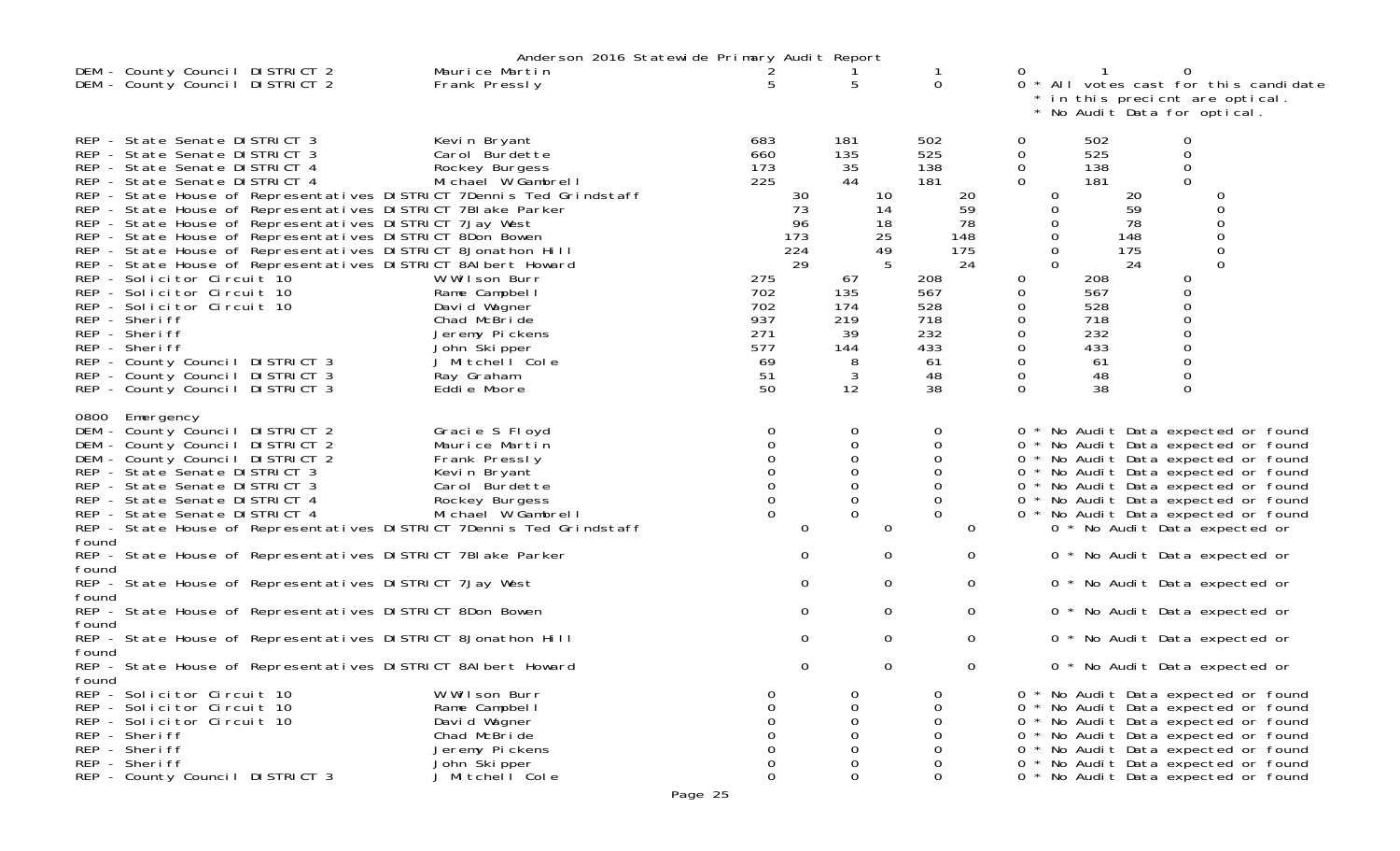|                                                                                                                                                                                                                                                                                                                                                                                        |                                                                                                                                                                                                                                                                                                                      | Anderson 2016 Statewide Primary Audit Report                                                                                                                                                                                                                                                       |                                                                                      |                                    |                                                                                                    |                                 |                                                                                                                            |                                                                                       |                                                                                                                           |                                                                                                                                             |                                                                                                                                                                                                                                                                                                                |  |
|----------------------------------------------------------------------------------------------------------------------------------------------------------------------------------------------------------------------------------------------------------------------------------------------------------------------------------------------------------------------------------------|----------------------------------------------------------------------------------------------------------------------------------------------------------------------------------------------------------------------------------------------------------------------------------------------------------------------|----------------------------------------------------------------------------------------------------------------------------------------------------------------------------------------------------------------------------------------------------------------------------------------------------|--------------------------------------------------------------------------------------|------------------------------------|----------------------------------------------------------------------------------------------------|---------------------------------|----------------------------------------------------------------------------------------------------------------------------|---------------------------------------------------------------------------------------|---------------------------------------------------------------------------------------------------------------------------|---------------------------------------------------------------------------------------------------------------------------------------------|----------------------------------------------------------------------------------------------------------------------------------------------------------------------------------------------------------------------------------------------------------------------------------------------------------------|--|
| DEM - County Council DISTRICT 2<br>DEM - County Council DISTRICT 2                                                                                                                                                                                                                                                                                                                     |                                                                                                                                                                                                                                                                                                                      | Maurice Martin<br>Frank Pressly                                                                                                                                                                                                                                                                    | 5                                                                                    |                                    | 5                                                                                                  |                                 | $\overline{0}$                                                                                                             | 0                                                                                     |                                                                                                                           | 0<br>* No Audit Data for optical.                                                                                                           | 0 * All votes cast for this candidate<br>* in this precient are optical.                                                                                                                                                                                                                                       |  |
| REP - State Senate DISTRICT 3<br>REP - State Senate DISTRICT 3<br>REP - State Senate DISTRICT 4<br>REP - State Senate DISTRICT 4<br>REP - Solicitor Circuit 10<br>REP - Solicitor Circuit 10<br>REP - Solicitor Circuit 10<br>REP - Sheriff<br>REP - Sheriff<br>REP - Sheriff<br>REP - County Council DISTRICT 3<br>REP - County Council DISTRICT 3<br>REP - County Council DISTRICT 3 | REP - State House of Representatives DISTRICT 7BI ake Parker<br>REP - State House of Representatives DISTRICT 7Jay West<br>REP - State House of Representatives DISTRICT 8Don Bowen<br>REP - State House of Representatives DISTRICT 8Jonathon Hill<br>REP - State House of Representatives DISTRICT 8AI bert Howard | Kevin Bryant<br>Carol Burdette<br>Rockey Burgess<br>Michael W Gambrell<br>REP - State House of Representatives DISTRICT 7Dennis Ted Grindstaff<br>W Wilson Burr<br>Rame Campbell<br>David Wagner<br>Chad McBride<br>Jeremy Pickens<br>John Skipper<br>J Mitchell Cole<br>Ray Graham<br>Eddie Moore | 683<br>660<br>173<br>225<br>275<br>702<br>702<br>937<br>271<br>577<br>69<br>51<br>50 | 30<br>73<br>96<br>173<br>224<br>29 | 181<br>135<br>35<br>44<br>67<br>135<br>174<br>219<br>39<br>144<br>8<br>3<br>12                     | 10<br>14<br>18<br>25<br>49<br>5 | 502<br>525<br>138<br>181<br>20<br>59<br>78<br>148<br>175<br>24<br>208<br>567<br>528<br>718<br>232<br>433<br>61<br>48<br>38 | 0<br>0<br>0<br>$\Omega$<br>0<br>0<br>0<br>0<br>0<br>$\mathbf 0$<br>0<br>0<br>$\Omega$ | 502<br>525<br>138<br>181<br>0<br>0<br>0<br>0<br>0<br>$\Omega$<br>208<br>567<br>528<br>718<br>232<br>433<br>61<br>48<br>38 | 0<br>$\mathsf 0$<br>$\mathbf 0$<br>$\overline{0}$<br>20<br>59<br>78<br>148<br>175<br>24<br>0<br>0<br>0<br>0<br>0<br>0<br>0<br>0<br>$\Omega$ | O<br>0<br>0<br>0<br>0<br>$\mathbf 0$                                                                                                                                                                                                                                                                           |  |
| 0800 Emergency<br>DEM - County Council DISTRICT 2<br>DEM - County Council DISTRICT 2<br>DEM - County Council DISTRICT 2<br>REP - State Senate DISTRICT 3<br>REP - State Senate DISTRICT 3<br>REP - State Senate DISTRICT 4<br>REP - State Senate DISTRICT 4<br>found                                                                                                                   |                                                                                                                                                                                                                                                                                                                      | Gracie S Floyd<br>Maurice Martin<br>Frank Pressly<br>Kevin Bryant<br>Carol Burdette<br>Rockey Burgess<br>Michael W Gambrell<br>REP - State House of Representatives DISTRICT 7Dennis Ted Grindstaff                                                                                                | 0<br>0<br>0<br>$\mathsf{O}\xspace$<br>0<br>$\mathbf 0$<br>$\Omega$                   | $\Omega$                           | $\mathbf 0$<br>$\mathbf 0$<br>$\mathbf 0$<br>$\mathbf 0$<br>$\Omega$<br>$\mathbf 0$<br>$\mathbf 0$ | $\mathbf 0$                     | 0<br>0<br>0<br>$\mathbf 0$<br>0<br>$\overline{0}$<br>0<br>0                                                                |                                                                                       |                                                                                                                           |                                                                                                                                             | 0 * No Audit Data expected or found<br>0 * No Audit Data expected or found<br>0 * No Audit Data expected or found<br>0 * No Audit Data expected or found<br>0 * No Audit Data expected or found<br>0 * No Audit Data expected or found<br>0 * No Audit Data expected or found<br>0 * No Audit Data expected or |  |
| found                                                                                                                                                                                                                                                                                                                                                                                  | REP - State House of Representatives DISTRICT 7Blake Parker                                                                                                                                                                                                                                                          |                                                                                                                                                                                                                                                                                                    |                                                                                      | 0                                  |                                                                                                    | $\mathbf 0$                     | $\Omega$                                                                                                                   |                                                                                       |                                                                                                                           |                                                                                                                                             | 0 * No Audit Data expected or                                                                                                                                                                                                                                                                                  |  |
| found                                                                                                                                                                                                                                                                                                                                                                                  | REP - State House of Representatives DISTRICT 7Jay West                                                                                                                                                                                                                                                              |                                                                                                                                                                                                                                                                                                    |                                                                                      | 0                                  |                                                                                                    | $\mathbf 0$                     | 0                                                                                                                          |                                                                                       |                                                                                                                           |                                                                                                                                             | 0 * No Audit Data expected or                                                                                                                                                                                                                                                                                  |  |
| found                                                                                                                                                                                                                                                                                                                                                                                  | REP - State House of Representatives DISTRICT 8Don Bowen                                                                                                                                                                                                                                                             |                                                                                                                                                                                                                                                                                                    |                                                                                      | $\Omega$                           |                                                                                                    | $\mathbf 0$                     | 0                                                                                                                          |                                                                                       |                                                                                                                           |                                                                                                                                             | 0 * No Audit Data expected or                                                                                                                                                                                                                                                                                  |  |
| found                                                                                                                                                                                                                                                                                                                                                                                  | REP - State House of Representatives DISTRICT 8Jonathon Hill                                                                                                                                                                                                                                                         |                                                                                                                                                                                                                                                                                                    |                                                                                      | 0                                  |                                                                                                    | $\mathbf 0$                     | 0                                                                                                                          |                                                                                       |                                                                                                                           |                                                                                                                                             | 0 * No Audit Data expected or                                                                                                                                                                                                                                                                                  |  |
| found                                                                                                                                                                                                                                                                                                                                                                                  | REP - State House of Representatives DISTRICT 8AI bert Howard                                                                                                                                                                                                                                                        |                                                                                                                                                                                                                                                                                                    |                                                                                      | $\Omega$                           |                                                                                                    | 0                               | 0                                                                                                                          |                                                                                       |                                                                                                                           |                                                                                                                                             | 0 * No Audit Data expected or                                                                                                                                                                                                                                                                                  |  |
| REP - Solicitor Circuit 10<br>REP - Solicitor Circuit 10<br>REP - Solicitor Circuit 10<br>REP - Sheriff<br>REP - Sheriff<br>REP - Sheriff<br>REP - County Council DISTRICT 3                                                                                                                                                                                                           |                                                                                                                                                                                                                                                                                                                      | W Wilson Burr<br>Rame Campbel I<br>David Wagner<br>Chad McBride<br>Jeremy Pickens<br>John Skipper<br>J Mitchell Cole                                                                                                                                                                               | O<br>$\Omega$<br>$\Omega$<br>0<br>0<br>0                                             |                                    | 0<br>$\mathbf 0$<br>$\mathbf 0$<br>$\Omega$<br>$\mathbf 0$<br>$\mathbf 0$<br>$\mathbf 0$           |                                 | O<br>0<br>$\Omega$<br>0<br>0<br>0                                                                                          |                                                                                       |                                                                                                                           |                                                                                                                                             | 0 * No Audit Data expected or found<br>0 * No Audit Data expected or found<br>0 * No Audit Data expected or found<br>0 * No Audit Data expected or found<br>0 * No Audit Data expected or found<br>0 * No Audit Data expected or found<br>0 * No Audit Data expected or found                                  |  |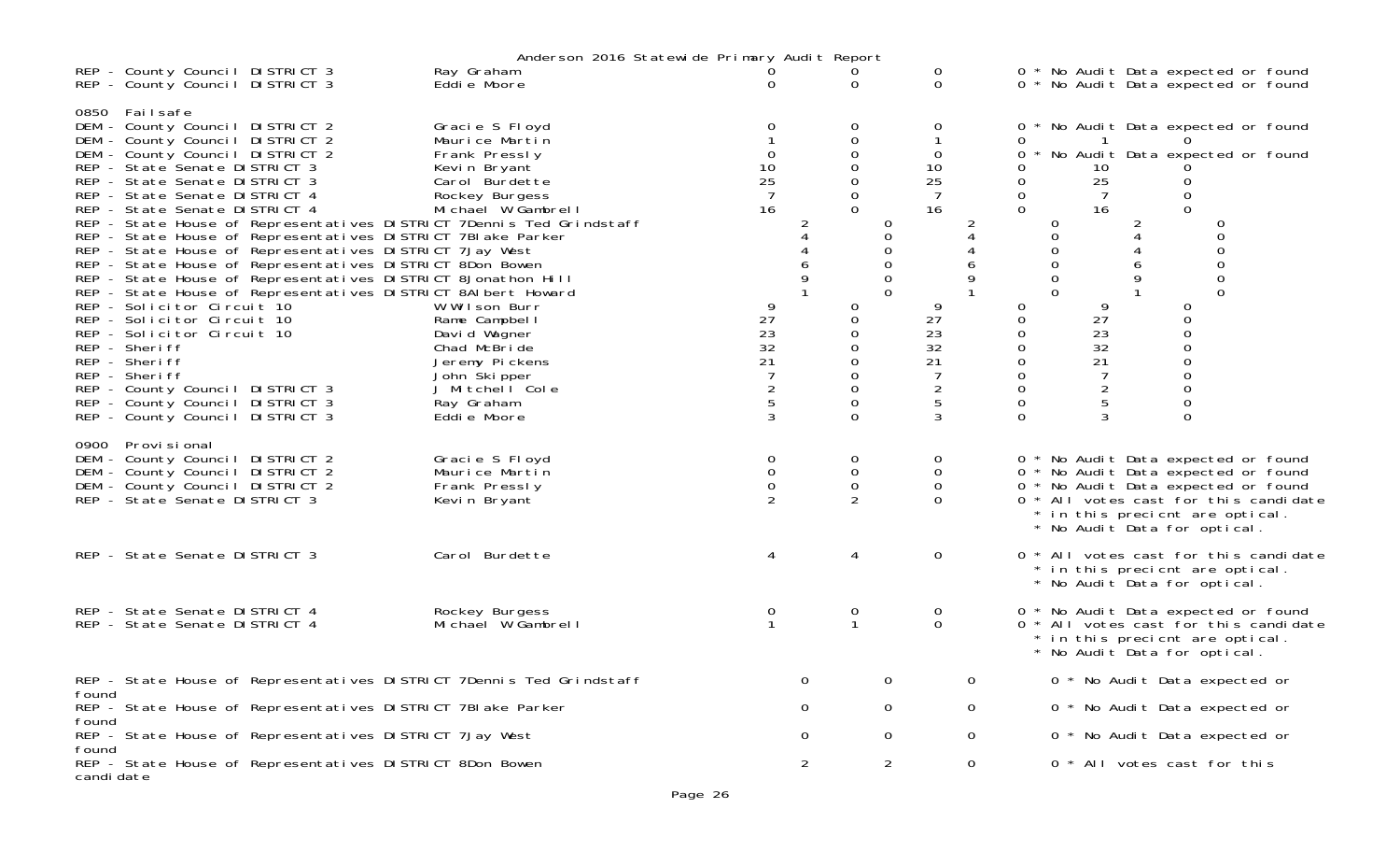|            | Anderson 2016 Statewide Primary Audit Report                     |                                                                                                                                                                                                                                                                                                                                                                                                                                              |                                                                                                                                                                                                                                                                                                                      |                                                                                                                                                                                                                                                                                                                                                         |                                                                                          |        |                                                                                                                      |                                                                                                                                       |              |                                                                                                                                 |                                                                                                 |                                                                                                                                                                                                                               |  |
|------------|------------------------------------------------------------------|----------------------------------------------------------------------------------------------------------------------------------------------------------------------------------------------------------------------------------------------------------------------------------------------------------------------------------------------------------------------------------------------------------------------------------------------|----------------------------------------------------------------------------------------------------------------------------------------------------------------------------------------------------------------------------------------------------------------------------------------------------------------------|---------------------------------------------------------------------------------------------------------------------------------------------------------------------------------------------------------------------------------------------------------------------------------------------------------------------------------------------------------|------------------------------------------------------------------------------------------|--------|----------------------------------------------------------------------------------------------------------------------|---------------------------------------------------------------------------------------------------------------------------------------|--------------|---------------------------------------------------------------------------------------------------------------------------------|-------------------------------------------------------------------------------------------------|-------------------------------------------------------------------------------------------------------------------------------------------------------------------------------------------------------------------------------|--|
|            |                                                                  | REP - County Council DISTRICT 3<br>REP - County Council DISTRICT 3                                                                                                                                                                                                                                                                                                                                                                           |                                                                                                                                                                                                                                                                                                                      | Ray Graham<br>Eddie Moore                                                                                                                                                                                                                                                                                                                               | 0                                                                                        |        | $\Omega$                                                                                                             | 0<br>$\Omega$                                                                                                                         |              |                                                                                                                                 |                                                                                                 | 0 * No Audit Data expected or found<br>0 * No Audit Data expected or found                                                                                                                                                    |  |
|            | 0850 Failsafe<br>REP - Sheriff<br>REP - Sheriff<br>REP - Sheriff | DEM - County Council DISTRICT 2<br>DEM - County Council DISTRICT 2<br>DEM - County Council DISTRICT 2<br>REP - State Senate DISTRICT 3<br>REP - State Senate DISTRICT 3<br>REP - State Senate DISTRICT 4<br>REP - State Senate DISTRICT 4<br>REP - Solicitor Circuit 10<br>REP - Solicitor Circuit 10<br>REP - Solicitor Circuit 10<br>REP - County Council DISTRICT 3<br>REP - County Council DISTRICT 3<br>REP - County Council DISTRICT 3 | REP - State House of Representatives DISTRICT 7BI ake Parker<br>REP - State House of Representatives DISTRICT 7Jay West<br>REP - State House of Representatives DISTRICT 8Don Bowen<br>REP - State House of Representatives DISTRICT 8Jonathon Hill<br>REP - State House of Representatives DISTRICT 8AI bert Howard | Gracie S Floyd<br>Maurice Martin<br>Frank Pressly<br>Kevin Bryant<br>Carol Burdette<br>Rockey Burgess<br>Michael W Gambrell<br>REP - State House of Representatives DISTRICT 7Dennis Ted Grindstaff<br>W Wilson Burr<br>Rame Campbell<br>David Wagner<br>Chad McBride<br>Jeremy Pickens<br>John Skipper<br>J Mitchell Cole<br>Ray Graham<br>Eddie Moore | $\Omega$<br>10<br>25<br>7<br>16<br>9<br>27<br>23<br>32<br>21<br>$\overline{c}$<br>5<br>3 | 2<br>9 | 0<br>0<br>$\Omega$<br>0<br>0<br>$\Omega$<br>$\Omega$<br>0<br>0<br>0<br>$\Omega$<br>$\mathbf 0$<br>0<br>0<br>$\Omega$ | 0<br>0<br>10<br>25<br>7<br>16<br>0<br>$\Omega$<br>$\Omega$<br>9<br>27<br>23<br>32<br>21<br>$\overline{7}$<br>$\overline{2}$<br>5<br>3 | 2<br>9       | 0<br>0<br>0<br>$\Omega$<br>$\Omega$<br>0<br>0<br>0<br>$\Omega$<br>0<br>0<br>0<br>0<br>0<br>$\mathbf 0$<br>0<br>$\mathbf 0$<br>0 | -1<br>10<br>25<br>16<br>9<br>27<br>23<br>32<br>21<br>$\overline{7}$<br>$\overline{c}$<br>5<br>3 | 0 * No Audit Data expected or found<br>* No Audit Data expected or found<br>$\Omega$<br>0<br>0<br>0                                                                                                                           |  |
|            | 0900 Provisional                                                 | DEM - County Council DISTRICT 2<br>DEM - County Council DISTRICT 2<br>DEM - County Council DISTRICT 2<br>REP - State Senate DISTRICT 3                                                                                                                                                                                                                                                                                                       |                                                                                                                                                                                                                                                                                                                      | Gracie S Floyd<br>Maurice Martin<br>Frank Pressly<br>Kevin Bryant                                                                                                                                                                                                                                                                                       | 0<br>$\mathbf 0$<br>$\mathbf 0$<br>2                                                     |        | 0<br>0<br>$\mathbf 0$<br>$\overline{2}$                                                                              | 0<br>0<br>0<br>$\Omega$                                                                                                               |              |                                                                                                                                 |                                                                                                 | 0 * No Audit Data expected or found<br>0 * No Audit Data expected or found<br>0 * No Audit Data expected or found<br>0 * All votes cast for this candidate<br>* in this precient are optical.<br>* No Audit Data for optical. |  |
|            |                                                                  | REP - State Senate DISTRICT 3                                                                                                                                                                                                                                                                                                                                                                                                                |                                                                                                                                                                                                                                                                                                                      | Carol Burdette                                                                                                                                                                                                                                                                                                                                          | 4                                                                                        |        |                                                                                                                      | $\mathsf{O}$                                                                                                                          |              |                                                                                                                                 |                                                                                                 | 0 * All votes cast for this candidate<br>* in this precient are optical.<br>* No Audit Data for optical.                                                                                                                      |  |
|            |                                                                  | REP - State Senate DISTRICT 4<br>REP - State Senate DISTRICT 4                                                                                                                                                                                                                                                                                                                                                                               |                                                                                                                                                                                                                                                                                                                      | Rockey Burgess<br>Michael W Gambrell                                                                                                                                                                                                                                                                                                                    | 0                                                                                        |        | 0                                                                                                                    | 0<br>$\Omega$                                                                                                                         |              |                                                                                                                                 |                                                                                                 | 0 * No Audit Data expected or found<br>0 * All votes cast for this candidate<br>* in this precient are optical.<br>* No Audit Data for optical.                                                                               |  |
|            |                                                                  |                                                                                                                                                                                                                                                                                                                                                                                                                                              |                                                                                                                                                                                                                                                                                                                      | REP - State House of Representatives DISTRICT 7Dennis Ted Grindstaff                                                                                                                                                                                                                                                                                    |                                                                                          | 0      |                                                                                                                      |                                                                                                                                       | 0            |                                                                                                                                 |                                                                                                 | 0 * No Audit Data expected or                                                                                                                                                                                                 |  |
| found      |                                                                  |                                                                                                                                                                                                                                                                                                                                                                                                                                              | REP - State House of Representatives DISTRICT 7BI ake Parker                                                                                                                                                                                                                                                         |                                                                                                                                                                                                                                                                                                                                                         |                                                                                          | 0      |                                                                                                                      | 0                                                                                                                                     | 0            |                                                                                                                                 |                                                                                                 | 0 * No Audit Data expected or                                                                                                                                                                                                 |  |
| found      |                                                                  |                                                                                                                                                                                                                                                                                                                                                                                                                                              | REP - State House of Representatives DISTRICT 7Jay West                                                                                                                                                                                                                                                              |                                                                                                                                                                                                                                                                                                                                                         |                                                                                          | 0      |                                                                                                                      | 0                                                                                                                                     | $\mathbf{0}$ |                                                                                                                                 |                                                                                                 | 0 * No Audit Data expected or                                                                                                                                                                                                 |  |
| found      |                                                                  |                                                                                                                                                                                                                                                                                                                                                                                                                                              |                                                                                                                                                                                                                                                                                                                      |                                                                                                                                                                                                                                                                                                                                                         |                                                                                          |        |                                                                                                                      |                                                                                                                                       |              |                                                                                                                                 |                                                                                                 |                                                                                                                                                                                                                               |  |
| candi date |                                                                  |                                                                                                                                                                                                                                                                                                                                                                                                                                              | REP - State House of Representatives DISTRICT 8Don Bowen                                                                                                                                                                                                                                                             |                                                                                                                                                                                                                                                                                                                                                         |                                                                                          | 2      |                                                                                                                      | $\overline{2}$                                                                                                                        | 0            |                                                                                                                                 |                                                                                                 | 0 * All votes cast for this                                                                                                                                                                                                   |  |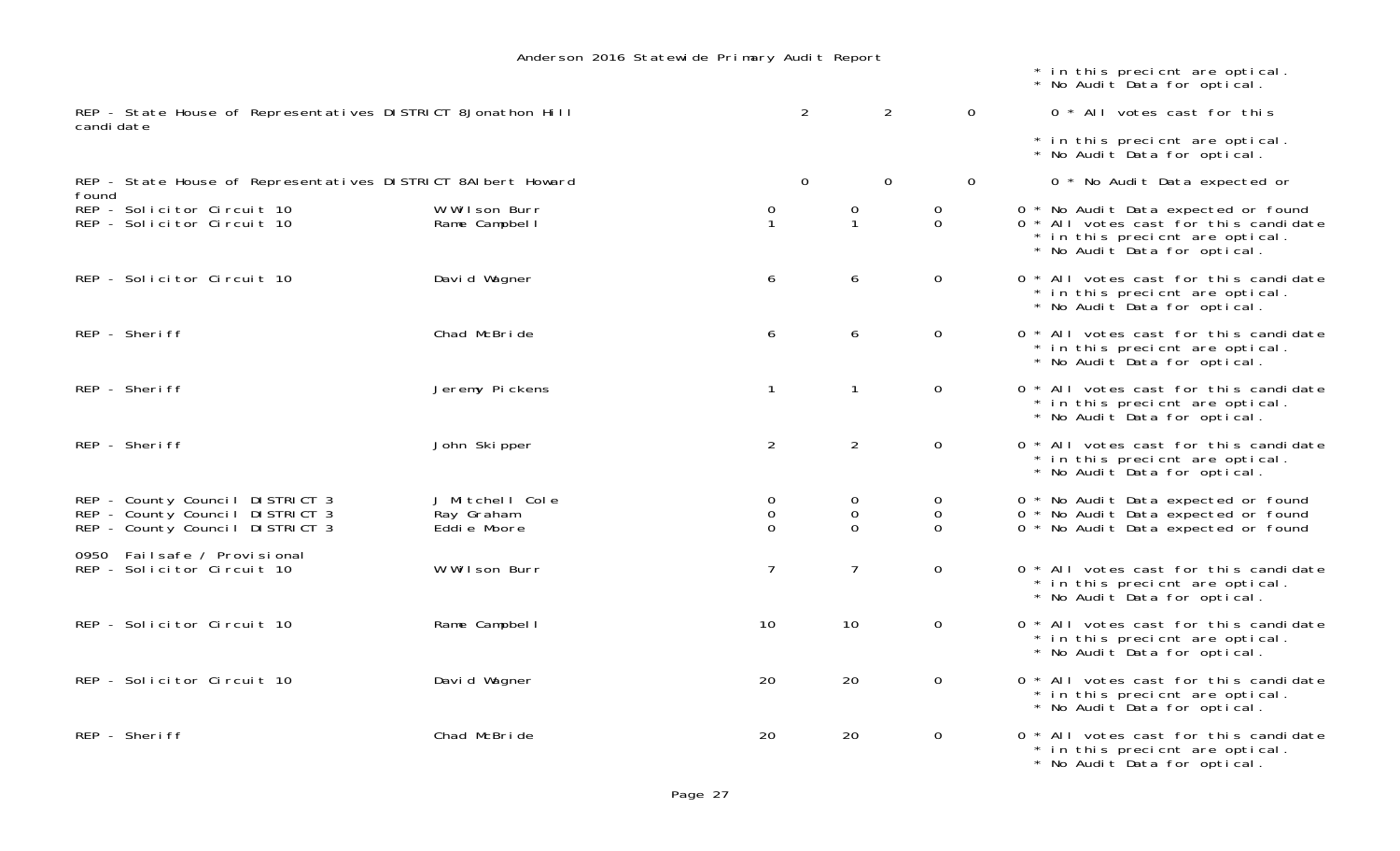|                                                                            |                                 |                              |                   |                  | * in this precient are optical.<br>* No Audit Data for optical.                                                                                 |
|----------------------------------------------------------------------------|---------------------------------|------------------------------|-------------------|------------------|-------------------------------------------------------------------------------------------------------------------------------------------------|
| REP - State House of Representatives DISTRICT 8Jonathon Hill<br>candi date |                                 | $\overline{2}$               | 2                 | $\mathbf 0$      | 0 * All votes cast for this                                                                                                                     |
|                                                                            |                                 |                              |                   |                  | * in this precient are optical.<br>* No Audit Data for optical.                                                                                 |
| REP - State House of Representatives DISTRICT 8AI bert Howard<br>found     |                                 | $\mathbf 0$                  | $\mathbf 0$       | $\mathsf{O}$     | 0 * No Audit Data expected or                                                                                                                   |
| REP - Solicitor Circuit 10<br>REP - Solicitor Circuit 10                   | W Wilson Burr<br>Rame Campbel I | 0<br>$\mathbf{1}$            | 0<br>$\mathbf{1}$ | 0<br>$\mathbf 0$ | 0 * No Audit Data expected or found<br>0 * All votes cast for this candidate<br>* in this precient are optical.<br>* No Audit Data for optical. |
| REP - Solicitor Circuit 10                                                 | David Wagner                    | 6                            | 6                 | $\mathbf 0$      | 0 * All votes cast for this candidate<br>* in this precient are optical.<br>* No Audit Data for optical.                                        |
| REP - Sheriff                                                              | Chad McBride                    | 6                            | 6                 | $\mathbf 0$      | 0 * All votes cast for this candidate<br>* in this precient are optical.<br>* No Audit Data for optical.                                        |
| REP - Sheriff                                                              | Jeremy Pickens                  | $\mathbf{1}$                 | $\mathbf{1}$      | $\mathbf 0$      | 0 * All votes cast for this candidate<br>* in this precient are optical.<br>* No Audit Data for optical.                                        |
| REP - Sheriff                                                              | John Skipper                    | 2                            | $\overline{2}$    | $\mathbf 0$      | 0 * All votes cast for this candidate<br>* in this precient are optical.<br>* No Audit Data for optical.                                        |
| REP - County Council DISTRICT 3                                            | J Mitchell Cole                 | 0                            | 0                 | 0                | 0 * No Audit Data expected or found                                                                                                             |
| REP - County Council DISTRICT 3<br>REP - County Council DISTRICT 3         | Ray Graham<br>Eddie Moore       | $\boldsymbol{0}$<br>$\Omega$ | 0<br>$\Omega$     | 0<br>$\Omega$    | 0 * No Audit Data expected or found<br>0 * No Audit Data expected or found                                                                      |
| 0950 Failsafe / Provisional<br>REP - Solicitor Circuit 10                  | W Wilson Burr                   | $\overline{7}$               | $\overline{7}$    | $\mathbf 0$      | 0 * All votes cast for this candidate<br>* in this precient are optical.<br>* No Audit Data for optical.                                        |
| REP - Solicitor Circuit 10                                                 | Rame Campbell                   | 10                           | 10                | $\mathbf 0$      | 0 * All votes cast for this candidate<br>* in this precient are optical.<br>* No Audit Data for optical.                                        |
| REP - Solicitor Circuit 10                                                 | David Wagner                    | 20                           | 20                | $\mathbf 0$      | 0 * All votes cast for this candidate<br>* in this precient are optical.<br>* No Audit Data for optical.                                        |
| REP - Sheriff                                                              | Chad McBride                    | 20                           | 20                | $\mathbf 0$      | 0 * All votes cast for this candidate<br>* in this precient are optical.<br>* No Audit Data for optical.                                        |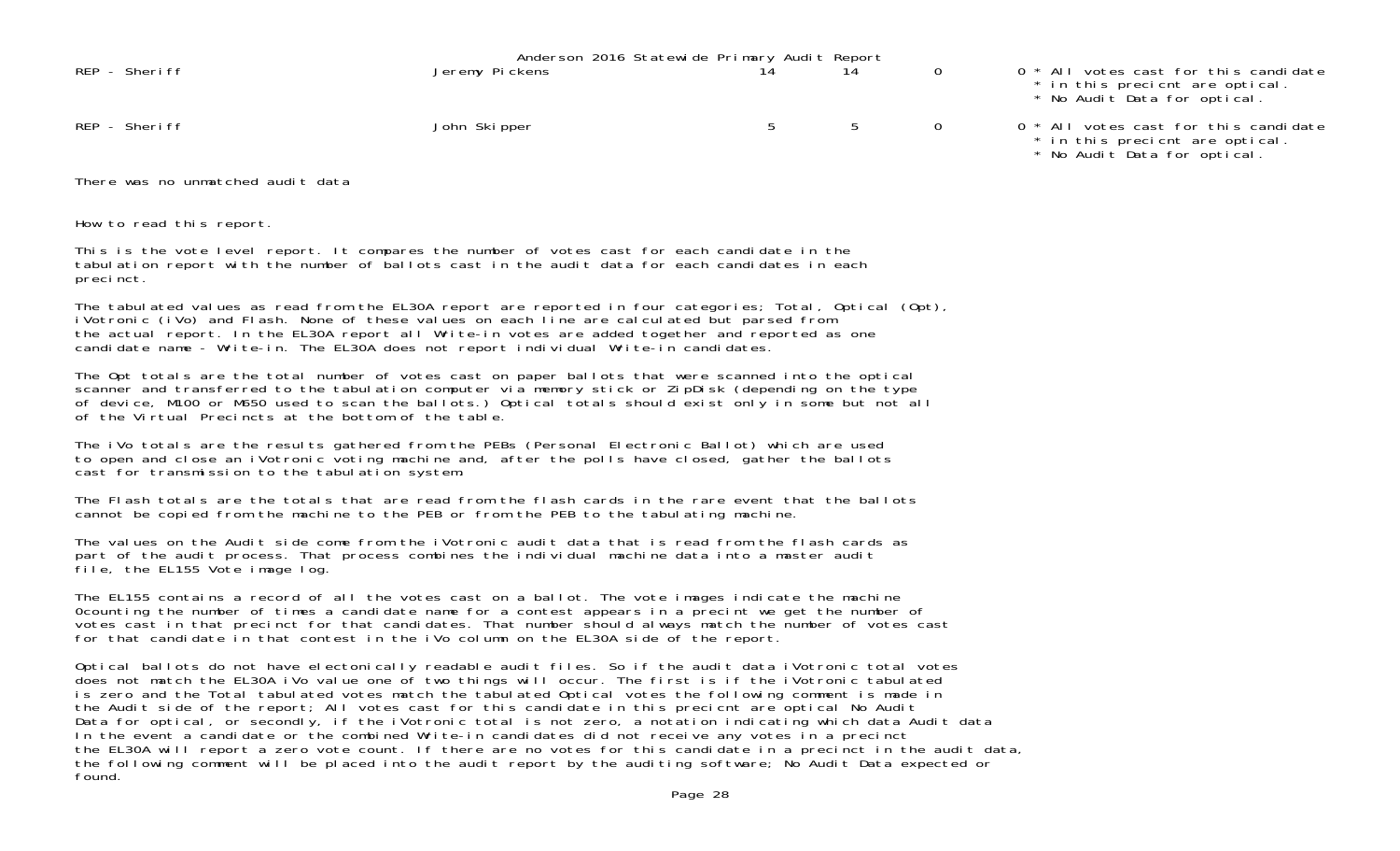|               | Anderson 2016 Statewide Primary Audit Report<br>14 |  |                                                                                                          |
|---------------|----------------------------------------------------|--|----------------------------------------------------------------------------------------------------------|
| REP - Sheriff | Jeremy Pickens                                     |  | 0 * All votes cast for this candidate<br>* in this precient are optical.<br>* No Audit Data for optical. |
| REP - Sheriff | John Skipper                                       |  | 0 * All votes cast for this candidate<br>* in this precient are optical.<br>* No Audit Data for optical. |

There was no unmatched audit data

How to read this report.

This is the vote level report. It compares the number of votes cast for each candidate in the tabulation report with the number of ballots cast in the audit data for each candidates in each precinct.

The tabulated values as read from the EL30A report are reported in four categories; Total, Optical (Opt), iVotronic (iVo) and Flash. None of these values on each line are calculated but parsed from the actual report. In the EL30A report all Write-in votes are added together and reported as one candidate name - Write-in. The EL30A does not report individual Write-in candidates.

The Opt totals are the total number of votes cast on paper ballots that were scanned into the optical scanner and transferred to the tabulation computer via memory stick or ZipDisk (depending on the type of device, M100 or M650 used to scan the ballots.) Optical totals should exist only in some but not all of the Virtual Precincts at the bottom of the table.

The iVo totals are the results gathered from the PEBs (Personal Electronic Ballot) which are used to open and close an iVotronic voting machine and, after the polls have closed, gather the ballots cast for transmission to the tabulation system.

The Flash totals are the totals that are read from the flash cards in the rare event that the ballotscannot be copied from the machine to the PEB or from the PEB to the tabulating machine.

The values on the Audit side come from the iVotronic audit data that is read from the flash cards as part of the audit process. That process combines the individual machine data into a master audit file, the EL155 Vote image log.

The EL155 contains a record of all the votes cast on a ballot. The vote images indicate the machine 0counting the number of times a candidate name for a contest appears in a precint we get the number of votes cast in that precinct for that candidates. That number should always match the number of votes cast for that candidate in that contest in the iVo column on the EL30A side of the report.

Optical ballots do not have electonically readable audit files. So if the audit data iVotronic total votes does not match the EL30A iVo value one of two things will occur. The first is if the iVotronic tabulated is zero and the Total tabulated votes match the tabulated Optical votes the following comment is made in the Audit side of the report; All votes cast for this candidate in this precicnt are optical No Audit Data for optical, or secondly, if the iVotronic total is not zero, a notation indicating which data Audit data In the event a candidate or the combined Write-in candidates did not receive any votes in a precinct the EL30A will report a zero vote count. If there are no votes for this candidate in a precinct in the audit data, the following comment will be placed into the audit report by the auditing software; No Audit Data expected or found.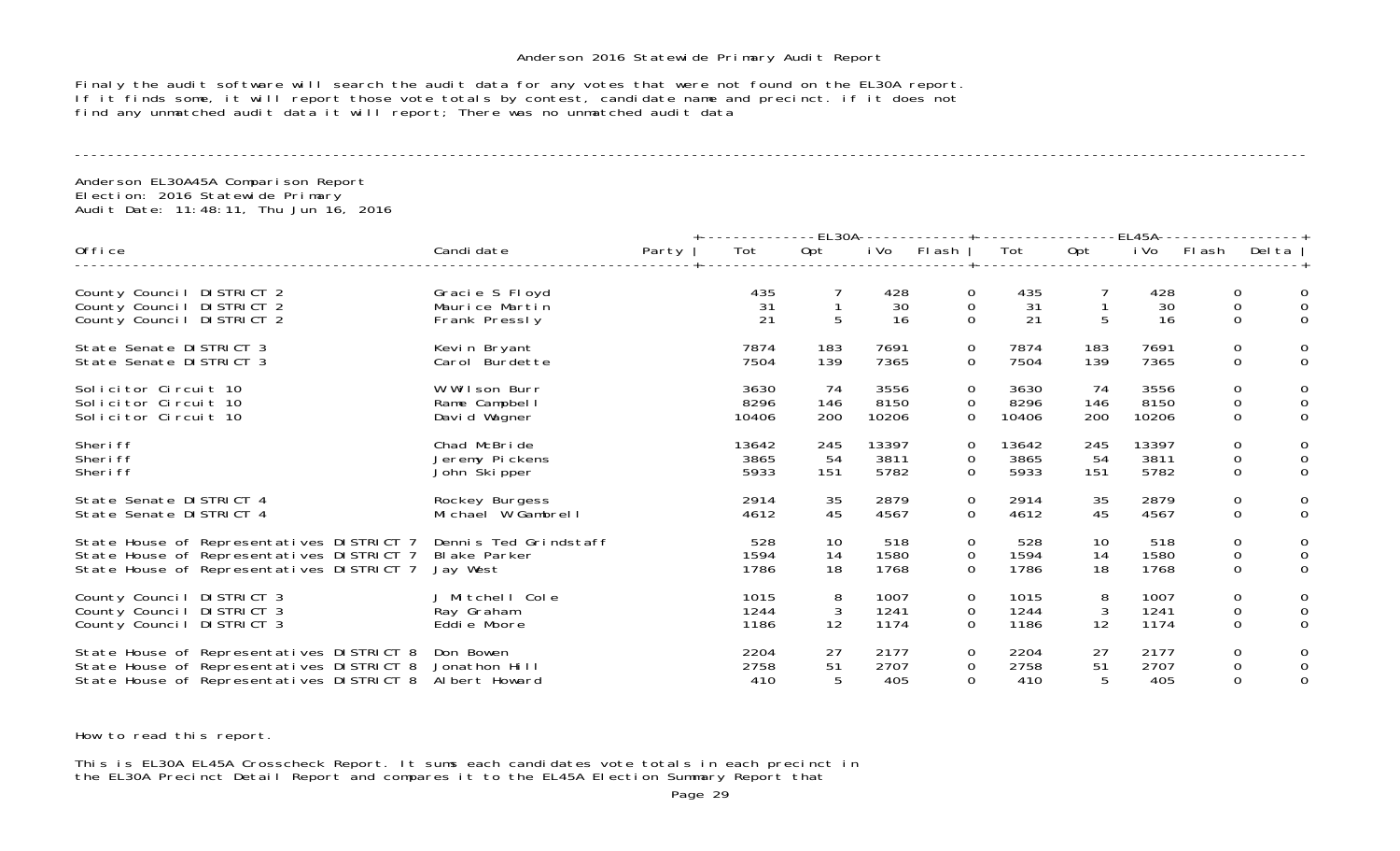Finaly the audit software will search the audit data for any votes that were not found on the EL30A report. If it finds some, it will report those vote totals by contest, candidate name and precinct. if it does not find any unmatched audit data it will report; There was no unmatched audit data

----------------------------------------------------------------------------------------------------------------------------------------------------

Anderson EL30A45A Comparison Report Election: 2016 Statewide Primary Audit Date: 11:48:11, Thu Jun 16, 2016

|                                                                                     |                                                   |       |                 |     | -EL30A--<br>-----------+---------------- |                                 |                 | -EL45A- |                 |                                      |                       |
|-------------------------------------------------------------------------------------|---------------------------------------------------|-------|-----------------|-----|------------------------------------------|---------------------------------|-----------------|---------|-----------------|--------------------------------------|-----------------------|
| Office                                                                              | Candi date                                        | Party | Tot             | Opt | i Vo                                     | Flash                           | Tot             | Opt     | i Vo            | FI ash                               | Delta                 |
| County Council DISTRICT 2<br>County Council DISTRICT 2<br>County Council DISTRICT 2 | Gracie S Floyd<br>Maurice Martin<br>Frank Pressly |       | 435<br>31<br>21 | 5   | 428<br>30<br>16                          | 0<br>$\mathbf 0$<br>$\mathbf 0$ | 435<br>31<br>21 | 5       | 428<br>30<br>16 | 0<br>$\boldsymbol{0}$<br>$\mathbf 0$ | 0<br>0<br>$\mathbf 0$ |
| State Senate DISTRICT 3                                                             | Kevin Bryant                                      |       | 7874            | 183 | 7691                                     | 0                               | 7874            | 183     | 7691            | 0                                    | 0                     |
| State Senate DISTRICT 3                                                             | Carol Burdette                                    |       | 7504            | 139 | 7365                                     | 0                               | 7504            | 139     | 7365            | $\mathbf 0$                          | $\mathbf 0$           |
| Solicitor Circuit 10                                                                | W Wilson Burr                                     |       | 3630            | 74  | 3556                                     | 0                               | 3630            | 74      | 3556            | 0                                    | 0                     |
| Solicitor Circuit 10                                                                | Rame Campbell                                     |       | 8296            | 146 | 8150                                     | $\mathbf 0$                     | 8296            | 146     | 8150            | $\,0\,$                              | $\mathbf 0$           |
| Solicitor Circuit 10                                                                | David Wagner                                      |       | 10406           | 200 | 10206                                    | 0                               | 10406           | 200     | 10206           | $\mathbf 0$                          | 0                     |
| Sheri ff                                                                            | Chad McBride                                      |       | 13642           | 245 | 13397                                    | 0                               | 13642           | 245     | 13397           | 0                                    | 0                     |
| Sheri ff                                                                            | Jeremy Pickens                                    |       | 3865            | 54  | 3811                                     | 0                               | 3865            | 54      | 3811            | $\mathbf 0$                          | $\mathbf 0$           |
| Sheri ff                                                                            | John Skipper                                      |       | 5933            | 151 | 5782                                     | 0                               | 5933            | 151     | 5782            | $\mathbf 0$                          | $\mathbf{0}$          |
| State Senate DISTRICT 4                                                             | Rockey Burgess                                    |       | 2914            | 35  | 2879                                     | $\mathbf 0$                     | 2914            | 35      | 2879            | $\mathbf 0$                          | 0                     |
| State Senate DISTRICT 4                                                             | Michael W Gambrell                                |       | 4612            | 45  | 4567                                     | 0                               | 4612            | 45      | 4567            | $\mathbf 0$                          | $\mathbf 0$           |
| State House of Representatives DISTRICT 7                                           | Dennis Ted Grindstaff                             |       | 528             | 10  | 518                                      | 0                               | 528             | 10      | 518             | 0                                    | 0                     |
| State House of Representatives DISTRICT 7                                           | <b>Blake Parker</b>                               |       | 1594            | 14  | 1580                                     | $\mathbf 0$                     | 1594            | 14      | 1580            | $\mathsf{O}\xspace$                  | 0                     |
| State House of Representatives DISTRICT 7                                           | Jay West                                          |       | 1786            | 18  | 1768                                     | 0                               | 1786            | 18      | 1768            | $\mathbf 0$                          | $\mathbf{0}$          |
| County Council DISTRICT 3                                                           | J Mitchell Cole                                   |       | 1015            | 8   | 1007                                     | 0                               | 1015            | 8       | 1007            | 0                                    | 0                     |
| County Council DISTRICT 3                                                           | Ray Graham                                        |       | 1244            | 3   | 1241                                     | 0                               | 1244            | 3       | 1241            | $\mathbf 0$                          | 0                     |
| County Council DISTRICT 3                                                           | Eddie Moore                                       |       | 1186            | 12  | 1174                                     | $\Omega$                        | 1186            | 12      | 1174            | 0                                    | $\Omega$              |
| State House of Representatives DISTRICT 8                                           | Don Bowen                                         |       | 2204            | 27  | 2177                                     | 0                               | 2204            | 27      | 2177            | 0                                    | 0                     |
| State House of Representatives DISTRICT 8                                           | Jonathon Hill                                     |       | 2758            | 51  | 2707                                     | 0                               | 2758            | 51      | 2707            | $\mathbf 0$                          | 0                     |
| State House of Representatives DISTRICT 8                                           | Albert Howard                                     |       | 410             | 5   | 405                                      | 0                               | 410             | 5       | 405             | $\mathbf 0$                          | 0                     |

How to read this report.

This is EL30A EL45A Crosscheck Report. It sums each candidates vote totals in each precinct in the EL30A Precinct Detail Report and compares it to the EL45A Election Summary Report that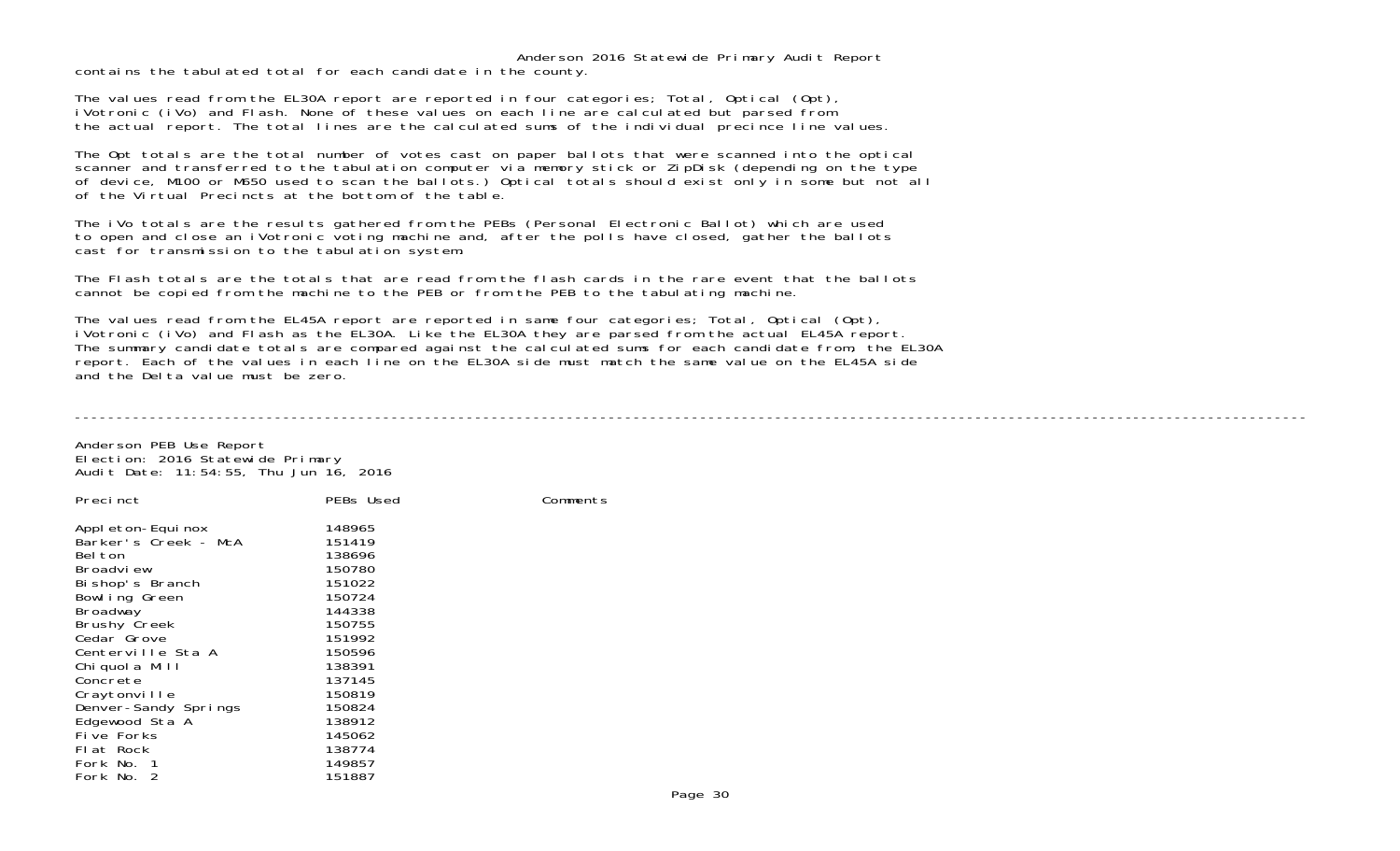contains the tabulated total for each candidate in the county.

The values read from the EL30A report are reported in four categories; Total, Optical (Opt), iVotronic (iVo) and Flash. None of these values on each line are calculated but parsed from the actual report. The total lines are the calculated sums of the individual precince line values.

The Opt totals are the total number of votes cast on paper ballots that were scanned into the optical scanner and transferred to the tabulation computer via memory stick or ZipDisk (depending on the type of device, M100 or M650 used to scan the ballots.) Optical totals should exist only in some but not all of the Virtual Precincts at the bottom of the table.

The iVo totals are the results gathered from the PEBs (Personal Electronic Ballot) which are used to open and close an iVotronic voting machine and, after the polls have closed, gather the ballots cast for transmission to the tabulation system.

The Flash totals are the totals that are read from the flash cards in the rare event that the ballotscannot be copied from the machine to the PEB or from the PEB to the tabulating machine.

The values read from the EL45A report are reported in same four categories; Total, Optical (Opt), iVotronic (iVo) and Flash as the EL30A. Like the EL30A they are parsed from the actual EL45A report. The summary candidate totals are compared against the calculated sums for each candidate from, the EL30A report. Each of the values in each line on the EL30A side must match the same value on the EL45A side and the Delta value must be zero.

----------------------------------------------------------------------------------------------------------------------------------------------------

Anderson PEB Use Report Election: 2016 Statewide Primary Audit Date: 11:54:55, Thu Jun 16, 2016

| Precinct             | PEBs Used | Comments |
|----------------------|-----------|----------|
| Appl eton-Equi nox   | 148965    |          |
| Barker's Creek - McA | 151419    |          |
| Bel ton              | 138696    |          |
| Broadview            | 150780    |          |
| Bi shop's Branch     | 151022    |          |
| Bowl ing Green       | 150724    |          |
| Broadway             | 144338    |          |
| <b>Brushy Creek</b>  | 150755    |          |
| Cedar Grove          | 151992    |          |
| Centerville Sta A    | 150596    |          |
| Chi quol a Mill      | 138391    |          |
| Concrete             | 137145    |          |
| Craytonville         | 150819    |          |
| Denver-Sandy Springs | 150824    |          |
| Edgewood Sta A       | 138912    |          |
| Five Forks           | 145062    |          |
| Flat Rock            | 138774    |          |
| Fork No. 1           | 149857    |          |
| Fork No. 2           | 151887    |          |
|                      |           |          |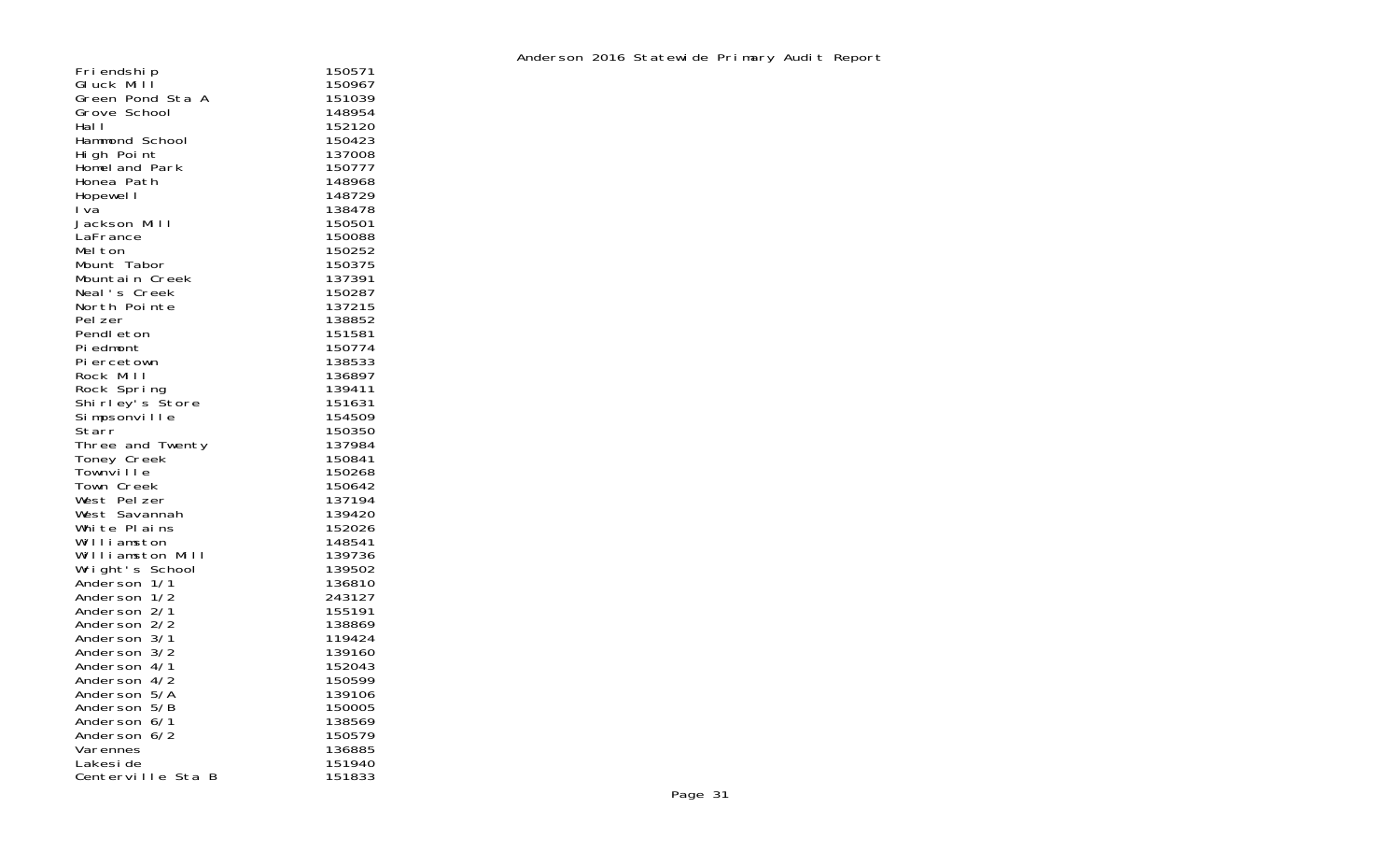| Fri endshi p          | 150571           |
|-----------------------|------------------|
| Gluck Mill            | 150967           |
| Green Pond Sta A      | 151039           |
| Grove School          | 148954           |
| Hal I                 | 152120           |
| Hammond School        | 150423           |
| High Point            | 137008           |
| Homeland Park         | 150777           |
| Honea Path            | 148968           |
| Hopewel I             | 148729           |
| I va                  | 138478           |
| Jackson Mill          | 150501           |
| LaFrance              | 150088           |
| Melton                | 150252           |
| Mount Tabor           | 150375           |
| Mountain Creek        | 137391           |
| Neal's Creek          | 150287           |
| North Pointe          | 137215           |
| Pel zer               | 138852           |
| Pendl eton            | 151581           |
| Pi edmont             | 150774           |
| Piercetown            | 138533           |
| Rock Mill             | 136897           |
| Rock Spring           | 139411           |
| Shirley's Store       | 151631<br>154509 |
| Simpsonville<br>Starr | 150350           |
| Three and Twenty      | 137984           |
| Toney Creek           | 150841           |
| Townville             | 150268           |
| Town Creek            | 150642           |
| West Pelzer           | 137194           |
| West Savannah         | 139420           |
| White Plains          | 152026           |
| Williamston           | 148541           |
| Williamston Mill      | 139736           |
| Wright's School       | 139502           |
| Anderson 1/1          | 136810           |
| Anderson 1/2          | 243127           |
| Anderson 2/1          | 155191           |
| Anderson 2/2          | 138869           |
| Anderson 3/1          | 119424           |
| Anderson 3/2          | 139160           |
| Anderson 4/1          | 152043           |
| Anderson 4/2          | 150599           |
| Anderson 5/A          | 139106           |
| Anderson 5/B          | 150005           |
| Anderson 6/1          | 138569           |
| Anderson 6/2          | 150579           |
| Varennes              | 136885           |
| Lakesi de             | 151940           |
| Centerville Sta<br>B  | 151833           |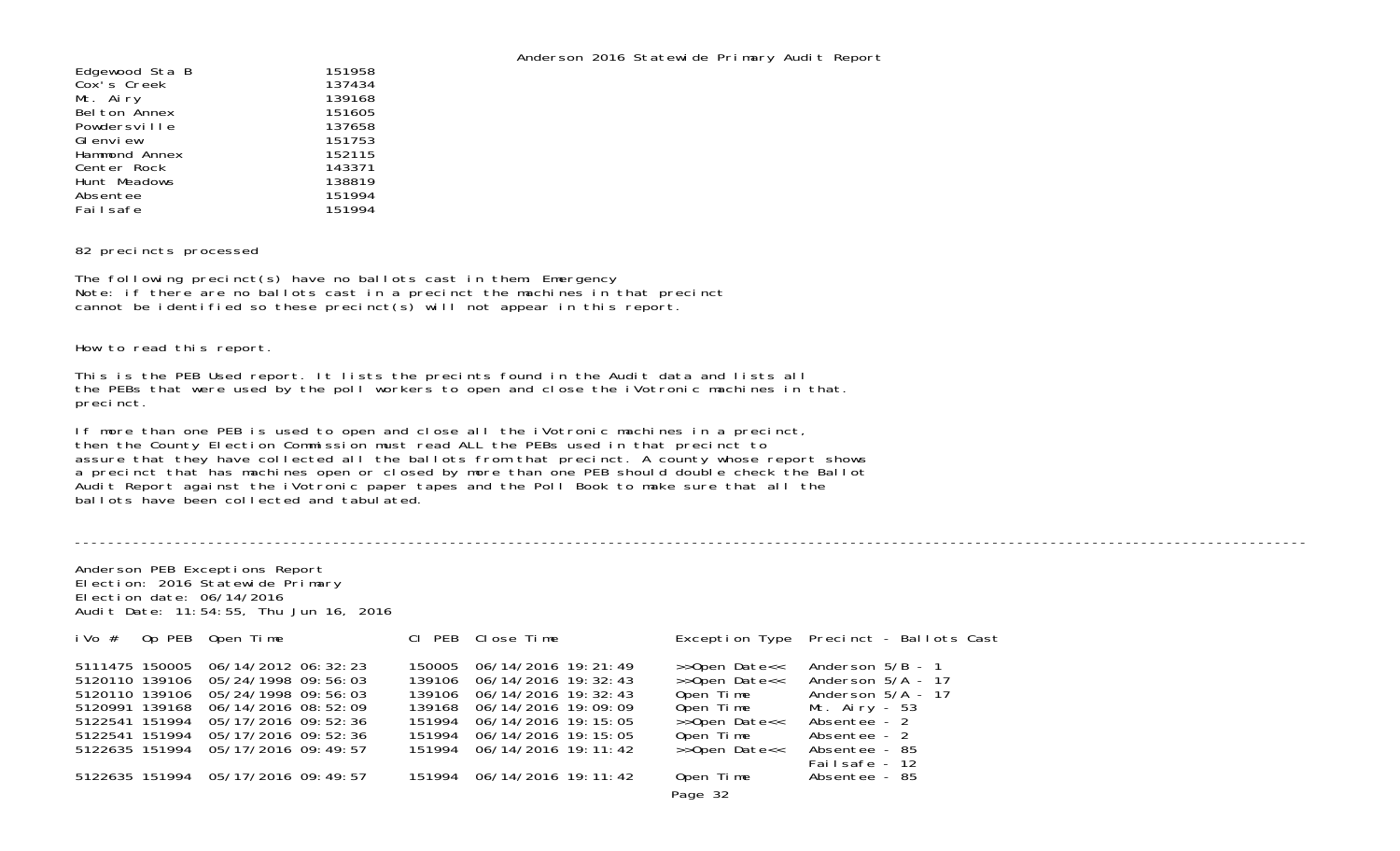----------------------------------------------------------------------------------------------------------------------------------------------------

| Edgewood Sta B | 151958 |
|----------------|--------|
| Cox's Creek    | 137434 |
| Mt. Airy       | 139168 |
| Belton Annex   | 151605 |
| Powdersville   | 137658 |
| GI envi ew     | 151753 |
| Hammond Annex  | 152115 |
| Center Rock    | 143371 |
| Hunt Meadows   | 138819 |
| Absentee       | 151994 |
| Failsafe       | 151994 |
|                |        |

## 82 precincts processed

The following precinct(s) have no ballots cast in them: Emergency Note: if there are no ballots cast in a precinct the machines in that precinct cannot be identified so these precinct(s) will not appear in this report.

How to read this report.

This is the PEB Used report. It lists the precints found in the Audit data and lists all the PEBs that were used by the poll workers to open and close the iVotronic machines in that. precinct.

If more than one PEB is used to open and close all the iVotronic machines in a precinct, then the County Election Commission must read ALL the PEBs used in that precinct to assure that they have collected all the ballots from that precinct. A county whose report shows a precinct that has machines open or closed by more than one PEB should double check the Ballot Audit Report against the iVotronic paper tapes and the Poll Book to make sure that all the ballots have been collected and tabulated.

Anderson PEB Exceptions Report Election: 2016 Statewide Primary Election date: 06/14/2016Audit Date: 11:54:55, Thu Jun 16, 2016

| i Vo #                                                                                 | Op PEB Open Time                                                                                                                                                                            | CI PEB Close Time                                                                                                                                                                                                |                                                                                                         | Exception Type Precinct - Ballots Cast                                                                                                              |
|----------------------------------------------------------------------------------------|---------------------------------------------------------------------------------------------------------------------------------------------------------------------------------------------|------------------------------------------------------------------------------------------------------------------------------------------------------------------------------------------------------------------|---------------------------------------------------------------------------------------------------------|-----------------------------------------------------------------------------------------------------------------------------------------------------|
| 5111475 150005<br>5120110 139106<br>5120991 139168<br>5122541 151994<br>5122541 151994 | 06/14/2012 06:32:23<br>5120110 139106 05/24/1998 09:56:03<br>05/24/1998 09:56:03<br>06/14/2016 08:52:09<br>05/17/2016 09:52:36<br>05/17/2016 09:52:36<br>5122635 151994 05/17/2016 09:49:57 | 150005 06/14/2016 19:21:49<br>139106 06/14/2016 19:32:43<br>139106 06/14/2016 19: 32: 43<br>139168 06/14/2016 19:09:09<br>151994 06/14/2016 19:15:05<br>151994 06/14/2016 19:15:05<br>151994 06/14/2016 19:11:42 | >>Open Date<<<br>>>Open Date<<<br>Open Time<br>Open Time<br>>>Open Date<<<br>Open Time<br>>>Open Date<< | Anderson $5/B - 1$<br>Anderson $5/A - 17$<br>Anderson $5/A$ - 17<br>Mt. Airy - 53<br>Absentee - 2<br>Absentee - 2<br>Absentee - 85<br>Failsafe - 12 |
|                                                                                        | 5122635 151994 05/17/2016 09:49:57                                                                                                                                                          | 151994 06/14/2016 19:11:42                                                                                                                                                                                       | Open Time<br>Page 32                                                                                    | Absentee - 85                                                                                                                                       |